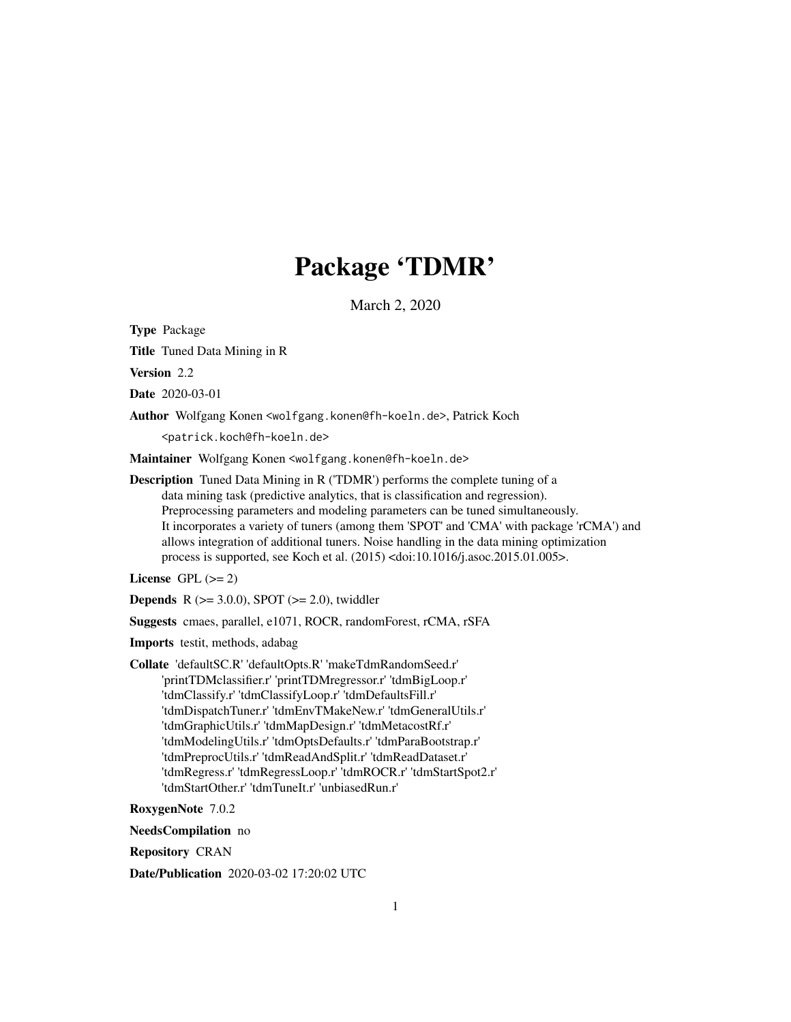# Package 'TDMR'

March 2, 2020

<span id="page-0-0"></span>Type Package

Title Tuned Data Mining in R

Version 2.2

Date 2020-03-01

Author Wolfgang Konen <wolfgang.konen@fh-koeln.de>, Patrick Koch

<patrick.koch@fh-koeln.de>

Maintainer Wolfgang Konen <wolfgang.konen@fh-koeln.de>

Description Tuned Data Mining in R ('TDMR') performs the complete tuning of a data mining task (predictive analytics, that is classification and regression). Preprocessing parameters and modeling parameters can be tuned simultaneously. It incorporates a variety of tuners (among them 'SPOT' and 'CMA' with package 'rCMA') and allows integration of additional tuners. Noise handling in the data mining optimization process is supported, see Koch et al. (2015) <doi:10.1016/j.asoc.2015.01.005>.

License GPL  $(>= 2)$ 

**Depends** R ( $>= 3.0.0$ ), SPOT ( $>= 2.0$ ), twiddler

Suggests cmaes, parallel, e1071, ROCR, randomForest, rCMA, rSFA

Imports testit, methods, adabag

Collate 'defaultSC.R' 'defaultOpts.R' 'makeTdmRandomSeed.r' 'printTDMclassifier.r' 'printTDMregressor.r' 'tdmBigLoop.r' 'tdmClassify.r' 'tdmClassifyLoop.r' 'tdmDefaultsFill.r' 'tdmDispatchTuner.r' 'tdmEnvTMakeNew.r' 'tdmGeneralUtils.r' 'tdmGraphicUtils.r' 'tdmMapDesign.r' 'tdmMetacostRf.r' 'tdmModelingUtils.r' 'tdmOptsDefaults.r' 'tdmParaBootstrap.r' 'tdmPreprocUtils.r' 'tdmReadAndSplit.r' 'tdmReadDataset.r' 'tdmRegress.r' 'tdmRegressLoop.r' 'tdmROCR.r' 'tdmStartSpot2.r' 'tdmStartOther.r' 'tdmTuneIt.r' 'unbiasedRun.r'

RoxygenNote 7.0.2

NeedsCompilation no

Repository CRAN

Date/Publication 2020-03-02 17:20:02 UTC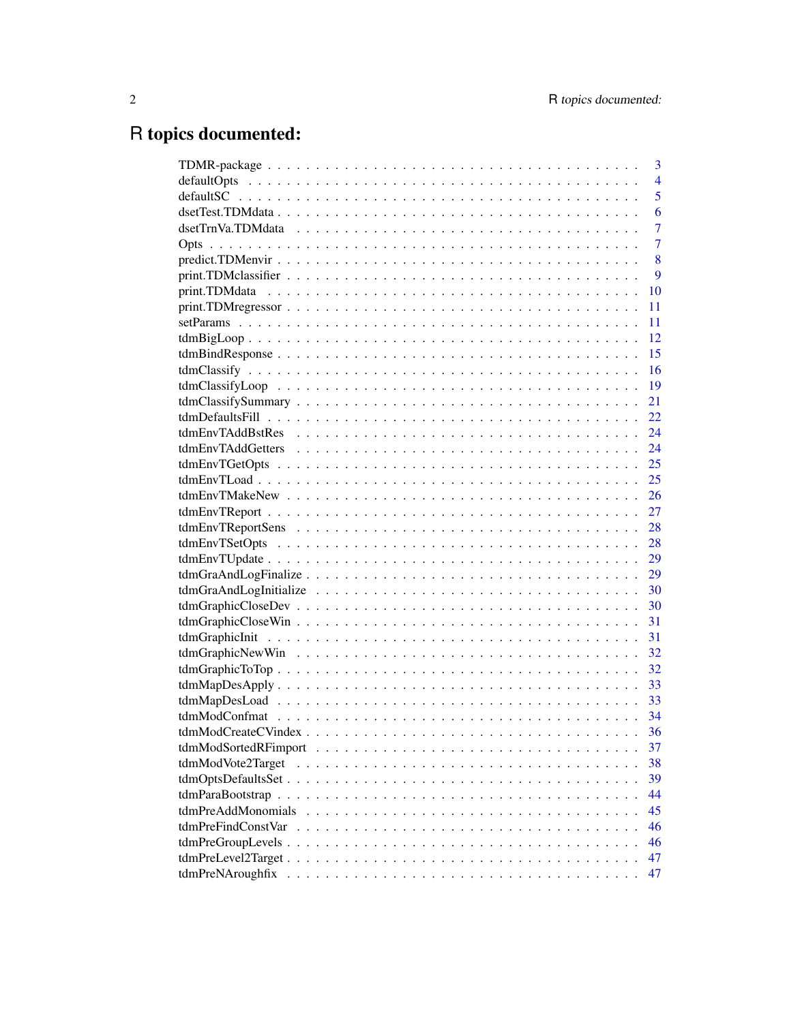# R topics documented:

|                    | 3              |
|--------------------|----------------|
|                    | $\overline{4}$ |
|                    | 5              |
|                    | 6              |
|                    | $\overline{7}$ |
|                    | $\overline{7}$ |
|                    | 8              |
|                    | 9              |
|                    | 10             |
|                    | 11             |
|                    | 11             |
|                    | 12             |
|                    | 15             |
|                    | 16             |
|                    | -19            |
|                    | 21             |
|                    | 22             |
|                    | 24             |
|                    |                |
|                    |                |
|                    | 25             |
| $tdmEnvTMakeNew$   | 26             |
|                    | 27             |
|                    | 28             |
|                    | 28             |
|                    |                |
|                    |                |
|                    |                |
|                    | 30             |
|                    | 31             |
|                    | 31             |
|                    | 32             |
|                    | 32             |
|                    | 33             |
|                    |                |
|                    |                |
|                    | 36             |
|                    | 37             |
| tdmModVote2Target  | 38             |
|                    | 39             |
|                    | 44             |
|                    | 45             |
| tdmPreFindConstVar | 46             |
|                    | 46             |
|                    | 47             |
| tdmPreNAroughfix   | 47             |
|                    |                |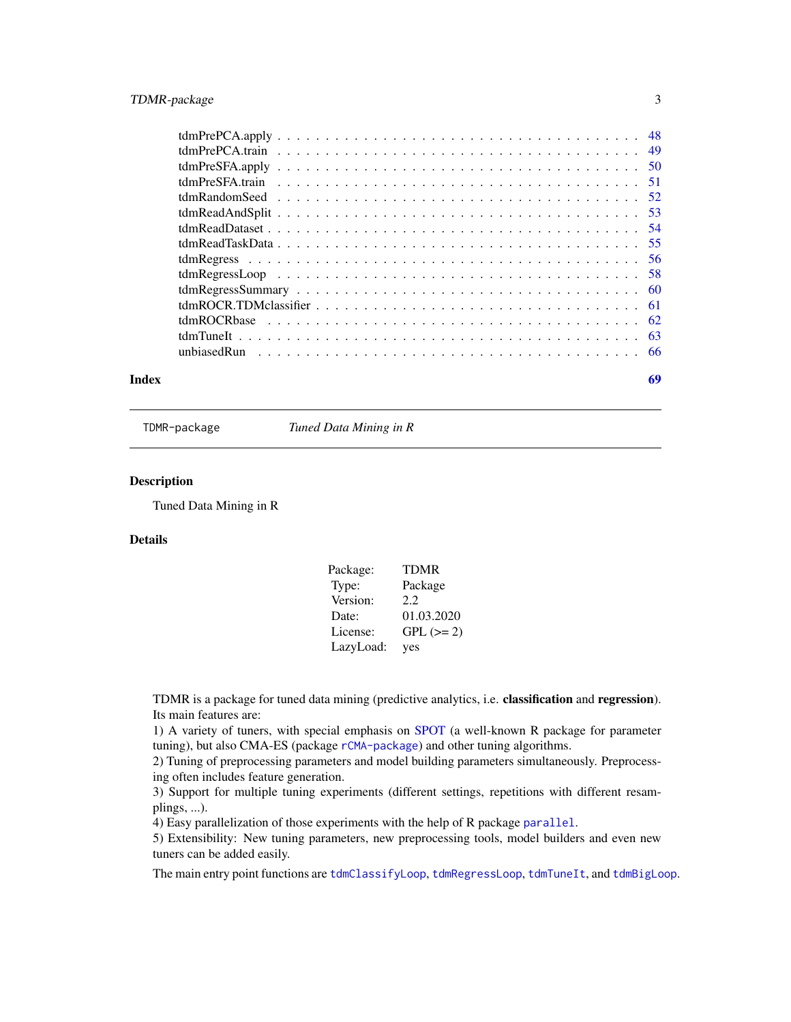## <span id="page-2-0"></span>TDMR-package 3

| Index | 69 |  |
|-------|----|--|

TDMR-package *Tuned Data Mining in R*

#### Description

Tuned Data Mining in R

## Details

| Package:  | <b>TDMR</b> |
|-----------|-------------|
| Type:     | Package     |
| Version:  | 2.2         |
| Date:     | 01.03.2020  |
| License:  | $GPL (= 2)$ |
| LazyLoad: | yes         |

TDMR is a package for tuned data mining (predictive analytics, i.e. classification and regression). Its main features are:

1) A variety of tuners, with special emphasis on [SPOT](#page-0-0) (a well-known R package for parameter tuning), but also CMA-ES (package [rCMA-package](#page-0-0)) and other tuning algorithms.

2) Tuning of preprocessing parameters and model building parameters simultaneously. Preprocessing often includes feature generation.

3) Support for multiple tuning experiments (different settings, repetitions with different resamplings, ...).

4) Easy parallelization of those experiments with the help of R package [parallel](#page-0-0).

5) Extensibility: New tuning parameters, new preprocessing tools, model builders and even new tuners can be added easily.

The main entry point functions are [tdmClassifyLoop](#page-18-1), [tdmRegressLoop](#page-57-1), [tdmTuneIt](#page-62-1), and [tdmBigLoop](#page-11-1).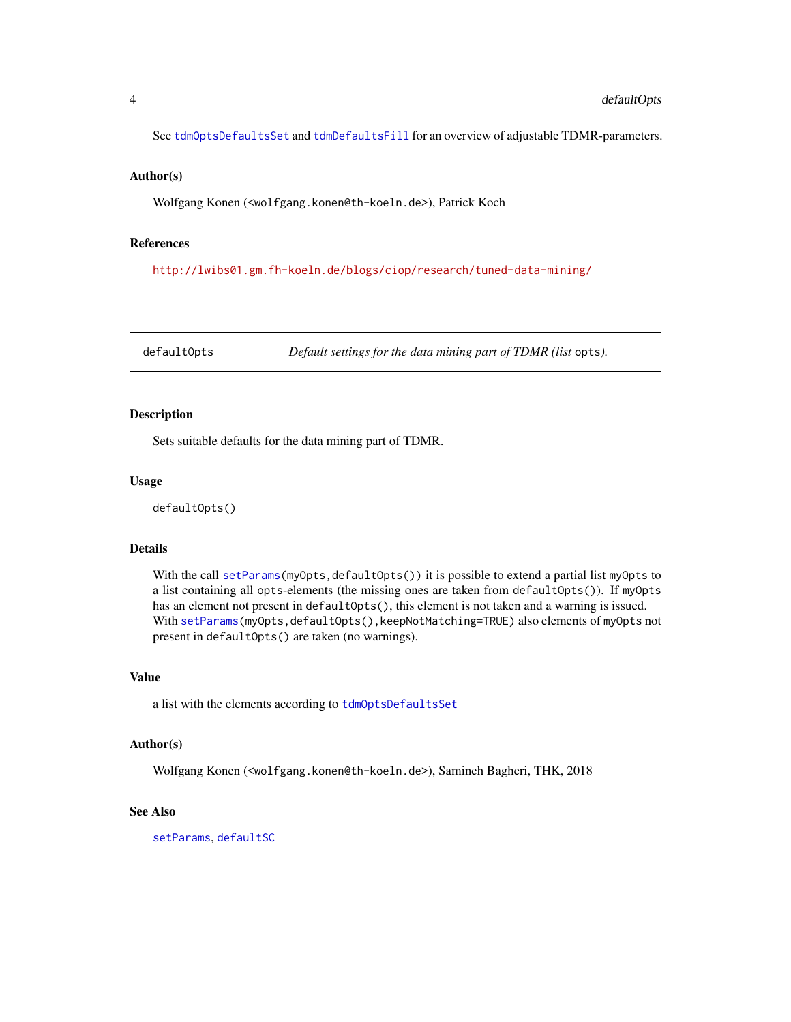<span id="page-3-0"></span>See [tdmOptsDefaultsSet](#page-38-1) and [tdmDefaultsFill](#page-21-1) for an overview of adjustable TDMR-parameters.

#### Author(s)

Wolfgang Konen (<wolfgang.konen@th-koeln.de>), Patrick Koch

#### References

<http://lwibs01.gm.fh-koeln.de/blogs/ciop/research/tuned-data-mining/>

<span id="page-3-1"></span>defaultOpts *Default settings for the data mining part of TDMR (list* opts*).*

#### Description

Sets suitable defaults for the data mining part of TDMR.

#### Usage

defaultOpts()

## Details

With the call [setParams\(](#page-10-1)myOpts,defaultOpts()) it is possible to extend a partial list myOpts to a list containing all opts-elements (the missing ones are taken from defaultOpts()). If myOpts has an element not present in defaultOpts(), this element is not taken and a warning is issued. With [setParams\(](#page-10-1)myOpts,defaultOpts(),keepNotMatching=TRUE) also elements of myOpts not present in defaultOpts() are taken (no warnings).

#### Value

a list with the elements according to [tdmOptsDefaultsSet](#page-38-1)

#### Author(s)

Wolfgang Konen (<wolfgang.konen@th-koeln.de>), Samineh Bagheri, THK, 2018

#### See Also

[setParams](#page-10-1), [defaultSC](#page-4-1)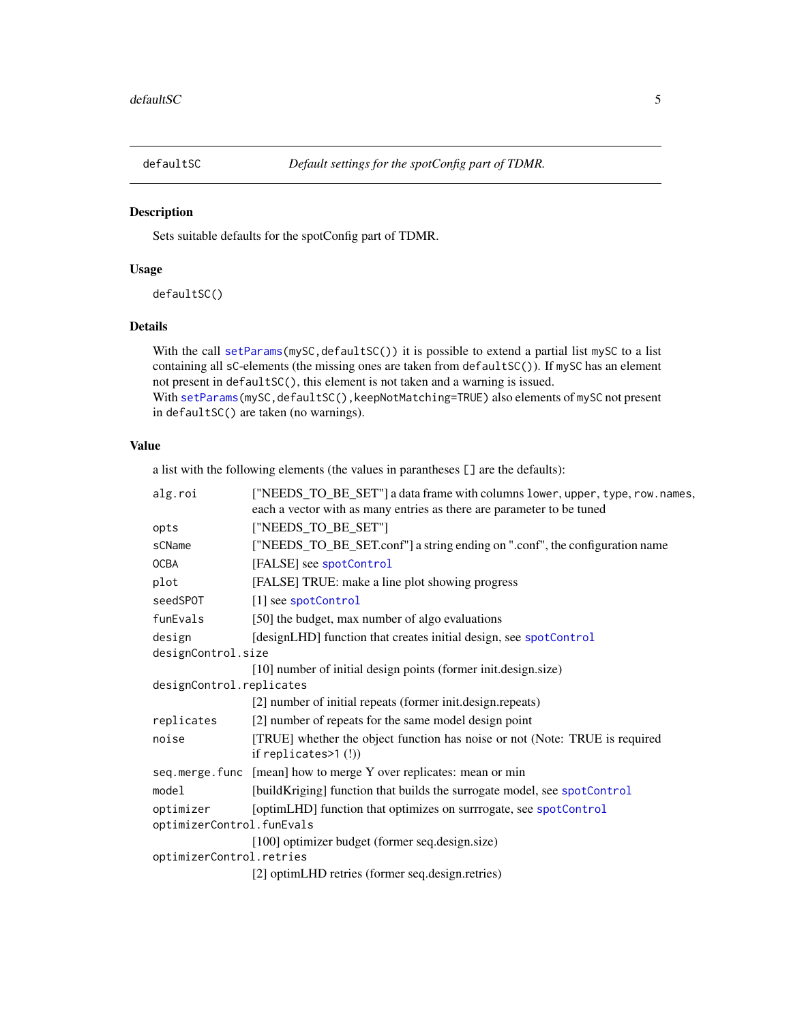<span id="page-4-1"></span><span id="page-4-0"></span>

Sets suitable defaults for the spotConfig part of TDMR.

## Usage

defaultSC()

## Details

With the call [setParams\(](#page-10-1)mySC, defaultSC()) it is possible to extend a partial list mySC to a list containing all sC-elements (the missing ones are taken from defaultSC()). If mySC has an element not present in defaultSC(), this element is not taken and a warning is issued. With [setParams\(](#page-10-1)mySC,defaultSC(),keepNotMatching=TRUE) also elements of mySC not present in defaultSC() are taken (no warnings).

#### Value

a list with the following elements (the values in parantheses [] are the defaults):

| alg.roi                   | ["NEEDS_TO_BE_SET"] a data frame with columns lower, upper, type, row.names, |  |
|---------------------------|------------------------------------------------------------------------------|--|
|                           | each a vector with as many entries as there are parameter to be tuned        |  |
| opts                      | ["NEEDS_TO_BE_SET"]                                                          |  |
| sCName                    | ["NEEDS_TO_BE_SET.conf"] a string ending on ".conf", the configuration name  |  |
| <b>OCBA</b>               | [FALSE] see spotControl                                                      |  |
| plot                      | [FALSE] TRUE: make a line plot showing progress                              |  |
| seedSP0T                  | [1] see spotControl                                                          |  |
| funEvals                  | [50] the budget, max number of algo evaluations                              |  |
| design                    | [designLHD] function that creates initial design, see spotControl            |  |
| designControl.size        |                                                                              |  |
|                           | [10] number of initial design points (former init.design.size)               |  |
| designControl.replicates  |                                                                              |  |
|                           | [2] number of initial repeats (former init.design.repeats)                   |  |
| replicates                | [2] number of repeats for the same model design point                        |  |
| noise                     | [TRUE] whether the object function has noise or not (Note: TRUE is required  |  |
|                           | if replicates $>1$ (!))                                                      |  |
|                           | seq.merge.func [mean] how to merge Y over replicates: mean or min            |  |
| model                     | [buildKriging] function that builds the surrogate model, see spotControl     |  |
| optimizer                 | [optimLHD] function that optimizes on surrrogate, see spotControl            |  |
| optimizerControl.funEvals |                                                                              |  |
|                           | [100] optimizer budget (former seq.design.size)                              |  |
| optimizerControl.retries  |                                                                              |  |
|                           | [2] optimLHD retries (former seq.design.retries)                             |  |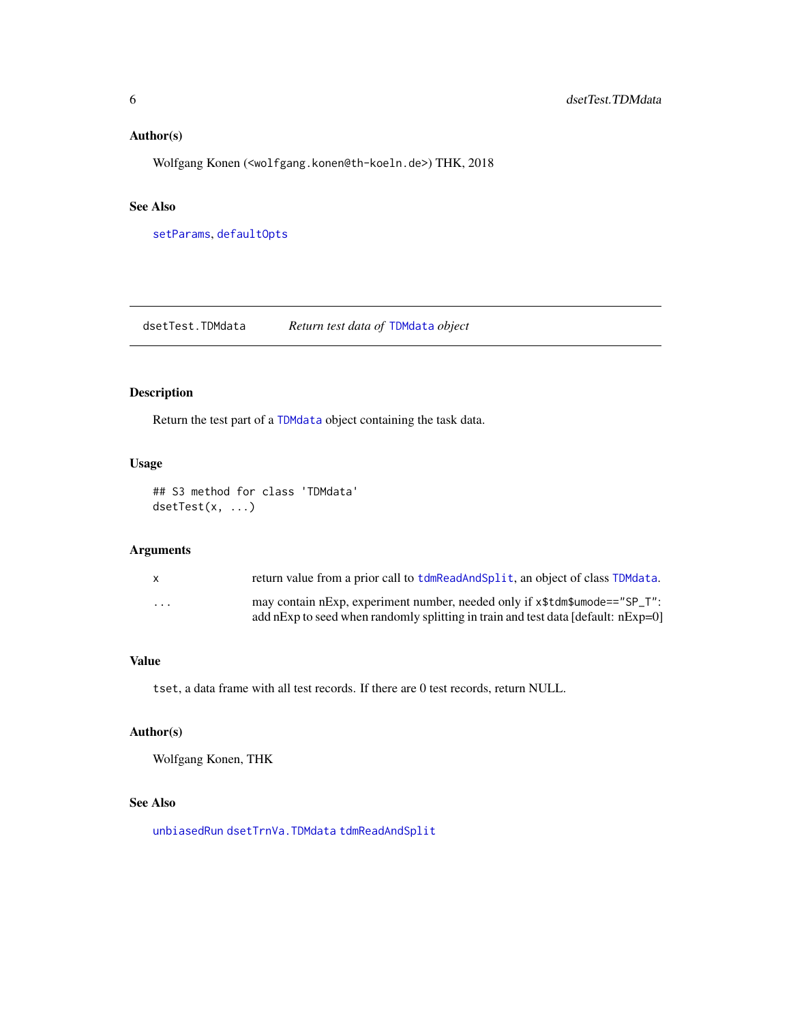## <span id="page-5-0"></span>Author(s)

Wolfgang Konen (<wolfgang.konen@th-koeln.de>) THK, 2018

## See Also

[setParams](#page-10-1), [defaultOpts](#page-3-1)

<span id="page-5-1"></span>dsetTest.TDMdata *Return test data of* [TDMdata](#page-52-1) *object*

#### Description

Return the test part of a [TDMdata](#page-52-1) object containing the task data.

#### Usage

## S3 method for class 'TDMdata' dsetTest(x, ...)

#### Arguments

| X       | return value from a prior call to tdmReadAndSplit, an object of class TDMdata.                                                                                  |
|---------|-----------------------------------------------------------------------------------------------------------------------------------------------------------------|
| $\cdot$ | may contain nExp, experiment number, needed only if x\$tdm\$umode=="SP_T":<br>add nExp to seed when randomly splitting in train and test data [default: nExp=0] |

## Value

tset, a data frame with all test records. If there are 0 test records, return NULL.

## Author(s)

Wolfgang Konen, THK

## See Also

[unbiasedRun](#page-65-1) [dsetTrnVa.TDMdata](#page-6-1) [tdmReadAndSplit](#page-52-2)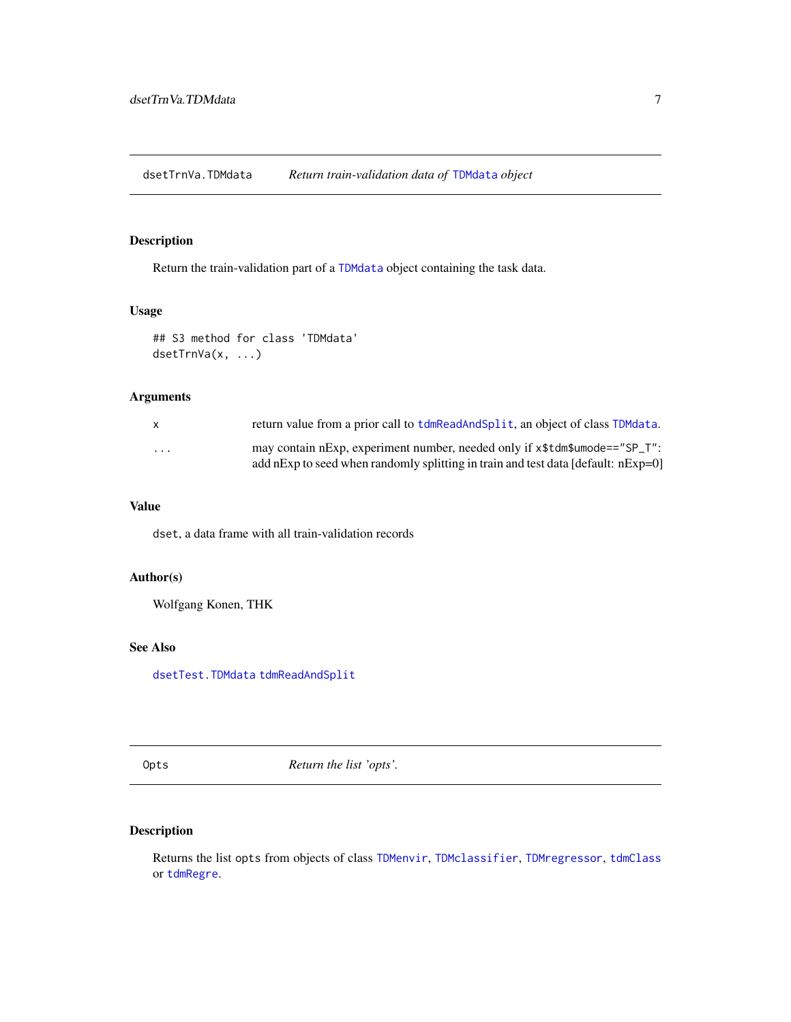<span id="page-6-1"></span><span id="page-6-0"></span>dsetTrnVa.TDMdata *Return train-validation data of* [TDMdata](#page-52-1) *object*

## Description

Return the train-validation part of a [TDMdata](#page-52-1) object containing the task data.

## Usage

```
## S3 method for class 'TDMdata'
dsetTrnVa(x, ...)
```
## Arguments

| X.                      | return value from a prior call to tdmReadAndSplit, an object of class TDMdata.                                                                                     |
|-------------------------|--------------------------------------------------------------------------------------------------------------------------------------------------------------------|
| $\cdot$ $\cdot$ $\cdot$ | may contain nExp, experiment number, needed only if x\$tdm\$umode=="SP_T":<br>add nExp to seed when randomly splitting in train and test data [default: $nExp=0$ ] |

#### Value

dset, a data frame with all train-validation records

#### Author(s)

Wolfgang Konen, THK

#### See Also

[dsetTest.TDMdata](#page-5-1) [tdmReadAndSplit](#page-52-2)

<span id="page-6-2"></span>Opts *Return the list 'opts'.*

## Description

Returns the list opts from objects of class [TDMenvir](#page-25-1), [TDMclassifier](#page-18-2), [TDMregressor](#page-57-2), [tdmClass](#page-15-1) or [tdmRegre](#page-55-1).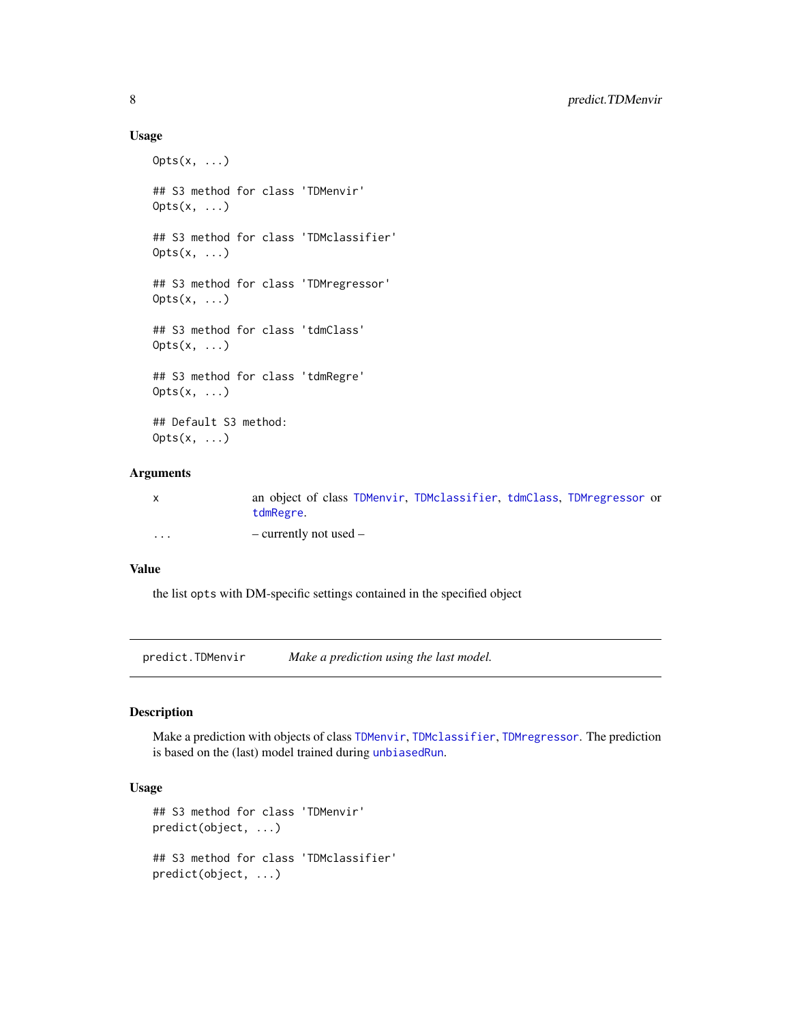#### Usage

```
0pts(x, \ldots)## S3 method for class 'TDMenvir'
0pts(x, \ldots)## S3 method for class 'TDMclassifier'
0pts(x, \ldots)## S3 method for class 'TDMregressor'
0pts(x, \ldots)## S3 method for class 'tdmClass'
0pts(x, \ldots)## S3 method for class 'tdmRegre'
0pts(x, \ldots)## Default S3 method:
0pts(x, \ldots)
```
#### Arguments

| $\mathsf{x}$      | an object of class TDMenvir, TDMclassifier, tdmClass, TDMregressor or<br>tdmRegre. |
|-------------------|------------------------------------------------------------------------------------|
| $\cdot\cdot\cdot$ | $-$ currently not used $-$                                                         |

## Value

the list opts with DM-specific settings contained in the specified object

predict.TDMenvir *Make a prediction using the last model.*

## Description

Make a prediction with objects of class [TDMenvir](#page-25-1), [TDMclassifier](#page-18-2), [TDMregressor](#page-57-2). The prediction is based on the (last) model trained during [unbiasedRun](#page-65-1).

## Usage

```
## S3 method for class 'TDMenvir'
predict(object, ...)
## S3 method for class 'TDMclassifier'
predict(object, ...)
```
<span id="page-7-0"></span>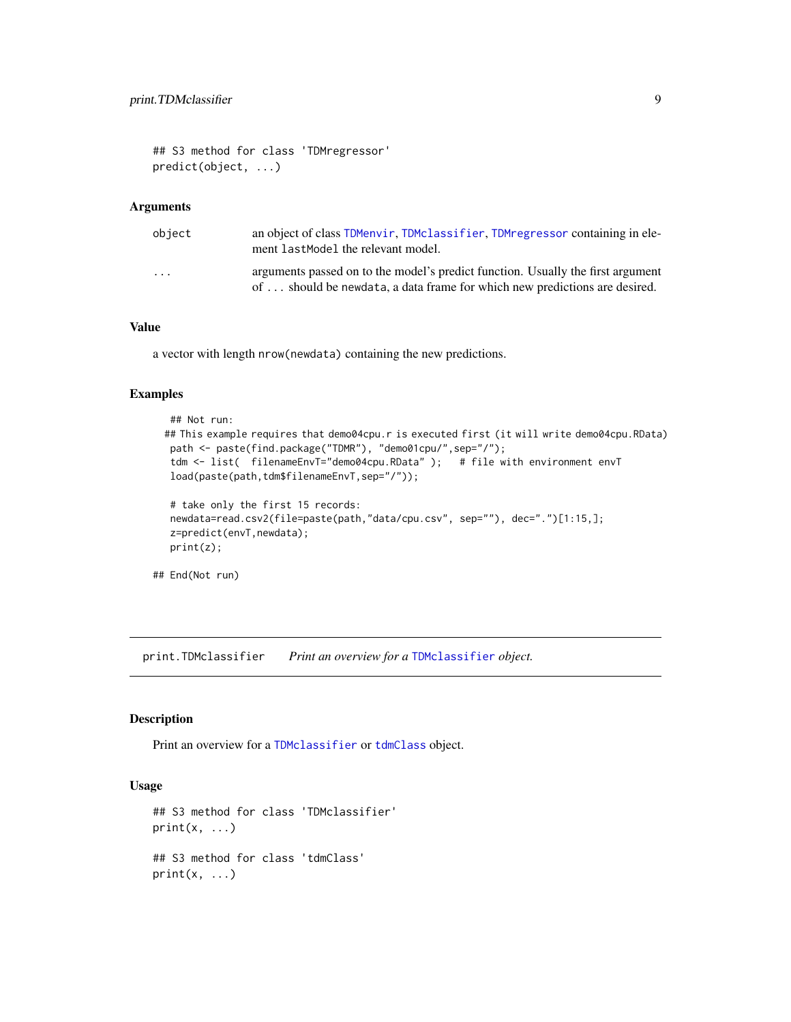```
## S3 method for class 'TDMregressor'
predict(object, ...)
```
#### Arguments

| object                  | an object of class TDMenvir, TDMclassifier, TDMregressor containing in ele-<br>ment lastModel the relevant model.                                             |
|-------------------------|---------------------------------------------------------------------------------------------------------------------------------------------------------------|
| $\cdot$ $\cdot$ $\cdot$ | arguments passed on to the model's predict function. Usually the first argument<br>of  should be newdata, a data frame for which new predictions are desired. |

## Value

a vector with length nrow(newdata) containing the new predictions.

#### Examples

```
## Not run:
## This example requires that demo04cpu.r is executed first (it will write demo04cpu.RData)
path <- paste(find.package("TDMR"), "demo01cpu/",sep="/");
 tdm <- list( filenameEnvT="demo04cpu.RData" ); # file with environment envT
 load(paste(path,tdm$filenameEnvT,sep="/"));
 # take only the first 15 records:
```

```
newdata=read.csv2(file=paste(path,"data/cpu.csv", sep=""), dec=".")[1:15,];
z=predict(envT,newdata);
print(z);
```
## End(Not run)

<span id="page-8-1"></span>print.TDMclassifier *Print an overview for a* [TDMclassifier](#page-18-2) *object.*

#### <span id="page-8-2"></span>Description

Print an overview for a [TDMclassifier](#page-18-2) or [tdmClass](#page-15-1) object.

#### Usage

```
## S3 method for class 'TDMclassifier'
print(x, \ldots)## S3 method for class 'tdmClass'
print(x, \ldots)
```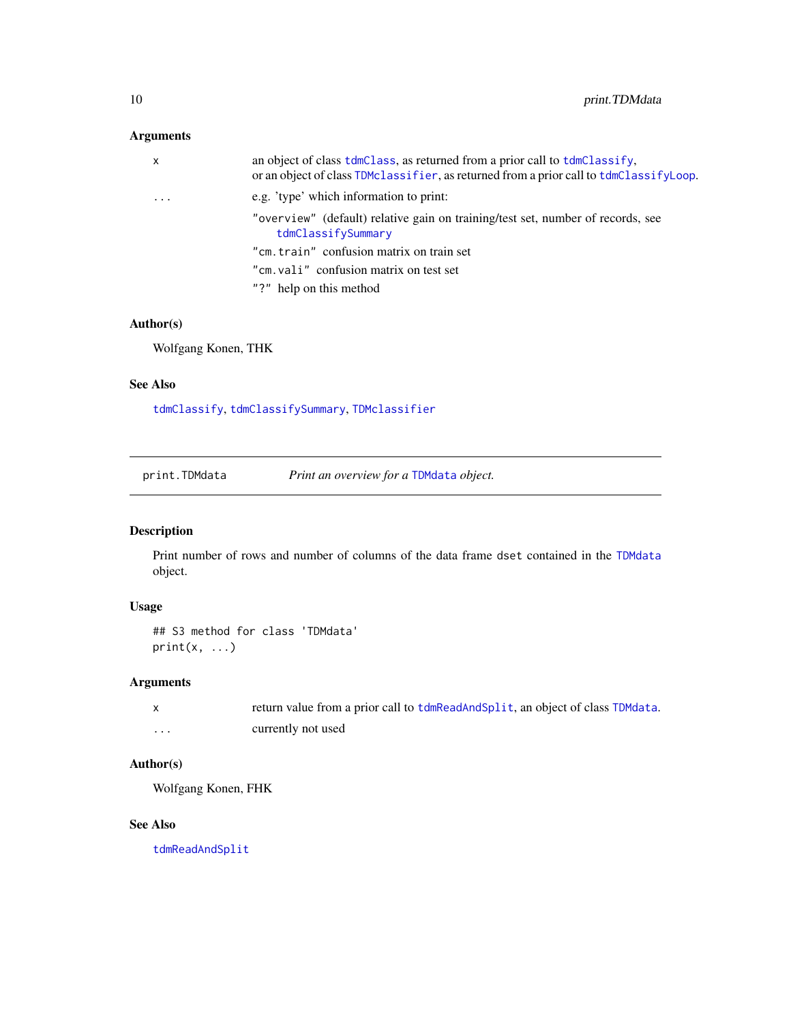## <span id="page-9-0"></span>Arguments

| $\mathsf{x}$ | an object of class tdmClass, as returned from a prior call to tdmClassify.<br>or an object of class TDMclassifier, as returned from a prior call to tdmClassifyLoop. |
|--------------|----------------------------------------------------------------------------------------------------------------------------------------------------------------------|
| $\cdot$      | e.g. 'type' which information to print:                                                                                                                              |
|              | "overview" (default) relative gain on training/test set, number of records, see<br>tdmClassifySummary                                                                |
|              | "cm. train" confusion matrix on train set                                                                                                                            |
|              | "cm. vali" confusion matrix on test set                                                                                                                              |
|              | "?" help on this method                                                                                                                                              |

## Author(s)

Wolfgang Konen, THK

#### See Also

[tdmClassify](#page-15-1), [tdmClassifySummary](#page-20-1), [TDMclassifier](#page-18-2)

print.TDMdata *Print an overview for a* [TDMdata](#page-52-1) *object.*

#### Description

Print number of rows and number of columns of the data frame dset contained in the [TDMdata](#page-52-1) object.

## Usage

```
## S3 method for class 'TDMdata'
print(x, \ldots)
```
## Arguments

|   | return value from a prior call to tdmReadAndSplit, an object of class TDMdata. |
|---|--------------------------------------------------------------------------------|
| . | currently not used                                                             |

## Author(s)

Wolfgang Konen, FHK

## See Also

[tdmReadAndSplit](#page-52-2)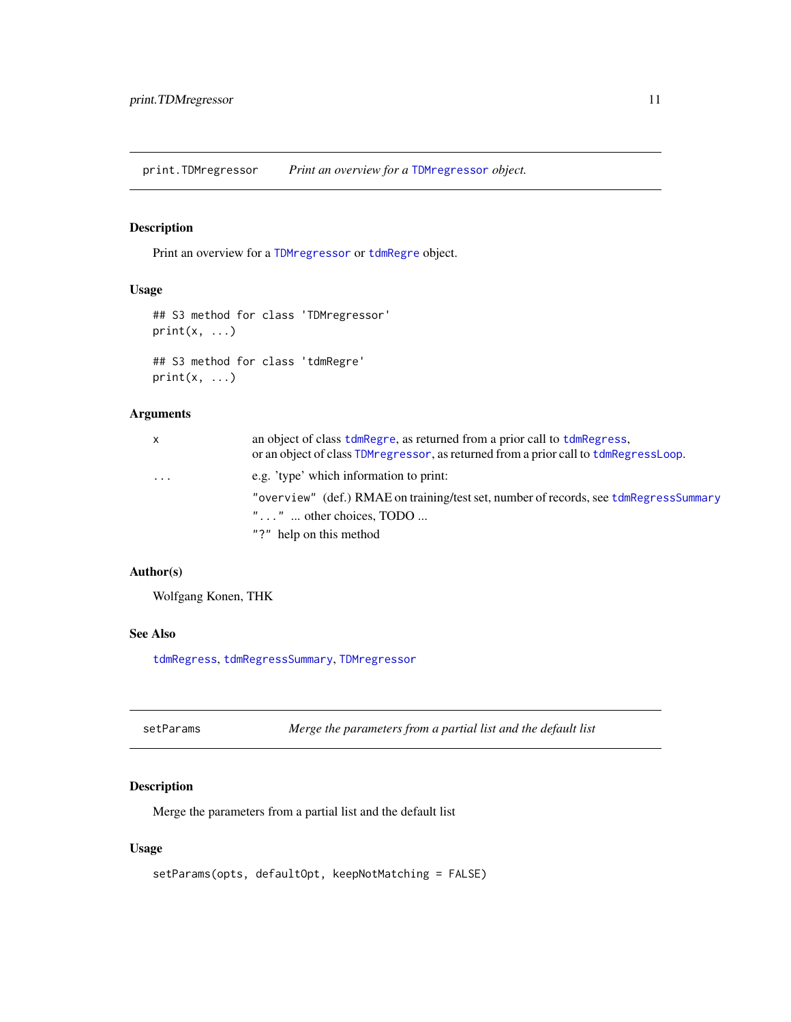<span id="page-10-0"></span>print.TDMregressor *Print an overview for a* [TDMregressor](#page-57-2) *object.*

#### <span id="page-10-2"></span>Description

Print an overview for a [TDMregressor](#page-57-2) or [tdmRegre](#page-55-1) object.

## Usage

```
## S3 method for class 'TDMregressor'
print(x, \ldots)
```

```
## S3 method for class 'tdmRegre'
print(x, \ldots)
```
## Arguments

| $\mathsf{x}$ | an object of class tdmRegre, as returned from a prior call to tdmRegress,<br>or an object of class TDM regressor, as returned from a prior call to tdmRegressLoop. |
|--------------|--------------------------------------------------------------------------------------------------------------------------------------------------------------------|
| $\cdots$     | e.g. 'type' which information to print:                                                                                                                            |
|              | "overview" (def.) RMAE on training/test set, number of records, see tdmRegressSummary                                                                              |
|              | " $\dots$ " $\dots$ other choices, TODO $\dots$                                                                                                                    |
|              | "?" help on this method                                                                                                                                            |

#### Author(s)

Wolfgang Konen, THK

#### See Also

[tdmRegress](#page-55-1), [tdmRegressSummary](#page-59-1), [TDMregressor](#page-57-2)

<span id="page-10-1"></span>

| setParams |  |  |
|-----------|--|--|
|-----------|--|--|

Merge the parameters from a partial list and the default list

## Description

Merge the parameters from a partial list and the default list

#### Usage

```
setParams(opts, defaultOpt, keepNotMatching = FALSE)
```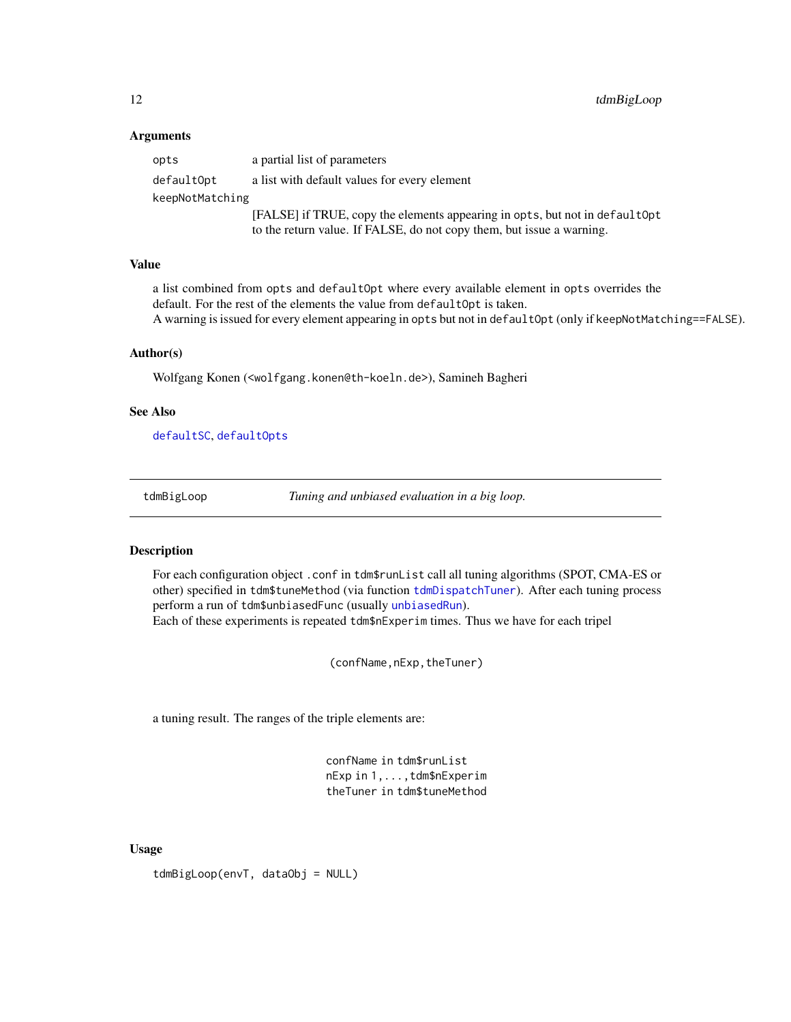#### <span id="page-11-0"></span>Arguments

| opts            | a partial list of parameters                                                 |  |
|-----------------|------------------------------------------------------------------------------|--|
| defaultOpt      | a list with default values for every element                                 |  |
| keepNotMatching |                                                                              |  |
|                 | [FALSE] if TRUE, copy the elements appearing in opts, but not in default Opt |  |
|                 | to the return value. If FALSE, do not copy them, but issue a warning.        |  |

#### Value

a list combined from opts and defaultOpt where every available element in opts overrides the default. For the rest of the elements the value from defaultOpt is taken. A warning is issued for every element appearing in opts but not in defaultOpt (only if keepNotMatching==FALSE).

#### Author(s)

Wolfgang Konen (<wolfgang.konen@th-koeln.de>), Samineh Bagheri

#### See Also

[defaultSC](#page-4-1), [defaultOpts](#page-3-1)

<span id="page-11-1"></span>tdmBigLoop *Tuning and unbiased evaluation in a big loop.*

#### **Description**

For each configuration object .conf in tdm\$runList call all tuning algorithms (SPOT, CMA-ES or other) specified in tdm\$tuneMethod (via function [tdmDispatchTuner](#page-0-0)). After each tuning process perform a run of tdm\$unbiasedFunc (usually [unbiasedRun](#page-65-1)). Each of these experiments is repeated tdm\$nExperim times. Thus we have for each tripel

(confName,nExp,theTuner)

a tuning result. The ranges of the triple elements are:

confName in tdm\$runList nExp in 1,...,tdm\$nExperim theTuner in tdm\$tuneMethod

#### Usage

tdmBigLoop(envT, dataObj = NULL)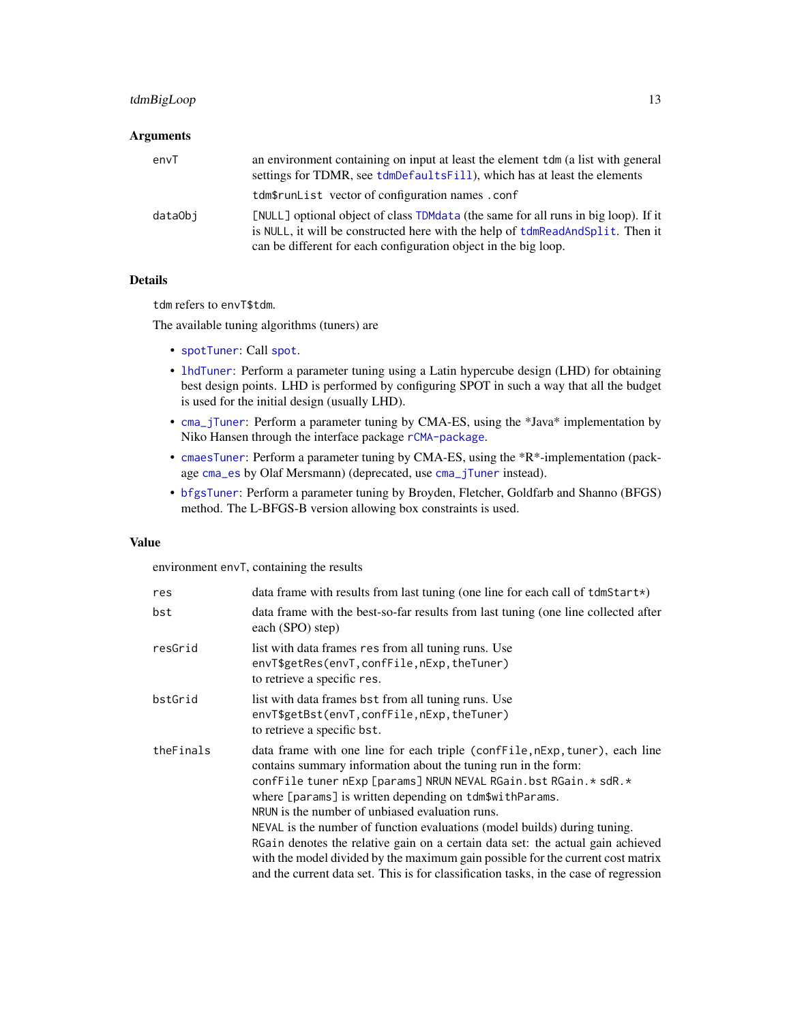## <span id="page-12-0"></span>tdmBigLoop 13

## Arguments

| envT    | an environment containing on input at least the element tdm (a list with general<br>settings for TDMR, see tdmDefaultsFill), which has at least the elements                                                                            |
|---------|-----------------------------------------------------------------------------------------------------------------------------------------------------------------------------------------------------------------------------------------|
|         | tdm\$runList vector of configuration names.conf                                                                                                                                                                                         |
| dataObi | [NULL] optional object of class TDMdata (the same for all runs in big loop). If it<br>is NULL, it will be constructed here with the help of tdmReadAndSplit. Then it<br>can be different for each configuration object in the big loop. |

#### Details

tdm refers to envT\$tdm.

The available tuning algorithms (tuners) are

- [spotTuner](#page-0-0): Call [spot](#page-0-0).
- [lhdTuner](#page-0-0): Perform a parameter tuning using a Latin hypercube design (LHD) for obtaining best design points. LHD is performed by configuring SPOT in such a way that all the budget is used for the initial design (usually LHD).
- [cma\\_jTuner](#page-0-0): Perform a parameter tuning by CMA-ES, using the \*Java\* implementation by Niko Hansen through the interface package [rCMA-package](#page-0-0).
- [cmaesTuner](#page-0-0): Perform a parameter tuning by CMA-ES, using the \*R\*-implementation (package [cma\\_es](#page-0-0) by Olaf Mersmann) (deprecated, use [cma\\_jTuner](#page-0-0) instead).
- [bfgsTuner](#page-0-0): Perform a parameter tuning by Broyden, Fletcher, Goldfarb and Shanno (BFGS) method. The L-BFGS-B version allowing box constraints is used.

## Value

environment envT, containing the results

| res       | data frame with results from last tuning (one line for each call of $tdmStart \star$ )                                                                                                                                                                                                                                                                                                                                                                                                                                                                                                                                                                                     |
|-----------|----------------------------------------------------------------------------------------------------------------------------------------------------------------------------------------------------------------------------------------------------------------------------------------------------------------------------------------------------------------------------------------------------------------------------------------------------------------------------------------------------------------------------------------------------------------------------------------------------------------------------------------------------------------------------|
| bst       | data frame with the best-so-far results from last tuning (one line collected after<br>each (SPO) step)                                                                                                                                                                                                                                                                                                                                                                                                                                                                                                                                                                     |
| resGrid   | list with data frames res from all tuning runs. Use<br>envT\$getRes(envT, confFile, nExp, theTuner)<br>to retrieve a specific res.                                                                                                                                                                                                                                                                                                                                                                                                                                                                                                                                         |
| bstGrid   | list with data frames bst from all tuning runs. Use<br>envT\$getBst(envT,confFile,nExp,theTuner)<br>to retrieve a specific bst.                                                                                                                                                                                                                                                                                                                                                                                                                                                                                                                                            |
| theFinals | data frame with one line for each triple (confFile, nExp, tuner), each line<br>contains summary information about the tuning run in the form:<br>confFile tuner nExp [params] NRUN NEVAL RGain.bst RGain.* sdR.*<br>where [params] is written depending on tdm\$withParams.<br>NRUN is the number of unbiased evaluation runs.<br>NEVAL is the number of function evaluations (model builds) during tuning.<br>RGain denotes the relative gain on a certain data set: the actual gain achieved<br>with the model divided by the maximum gain possible for the current cost matrix<br>and the current data set. This is for classification tasks, in the case of regression |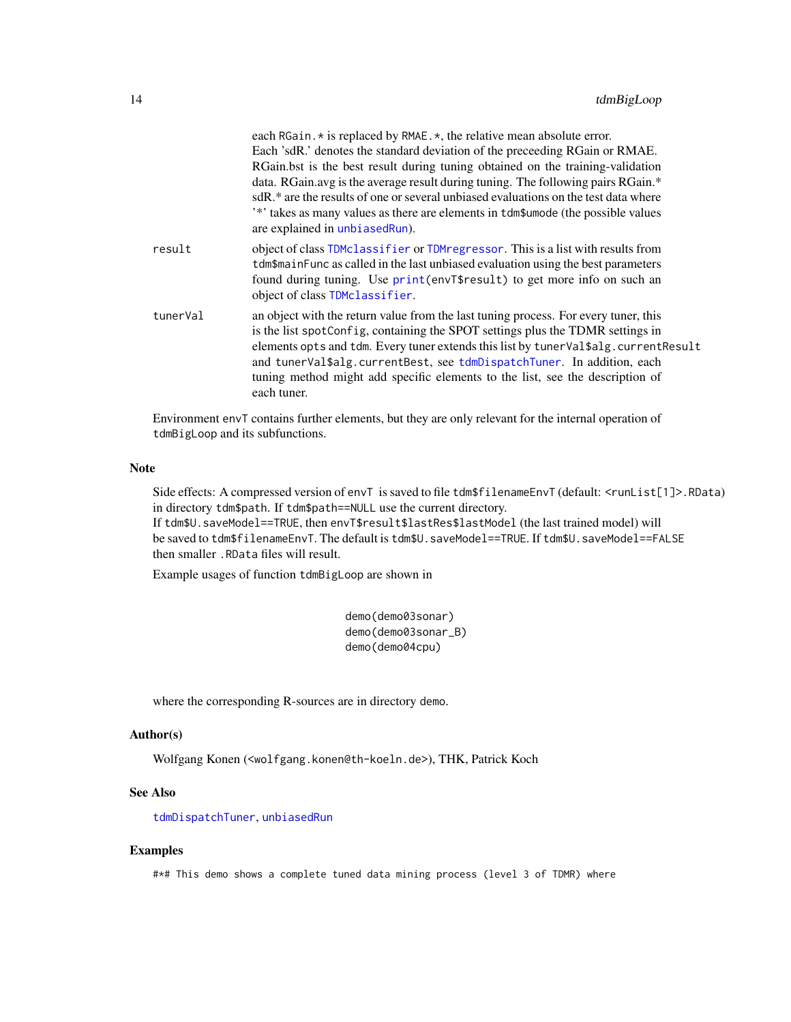<span id="page-13-0"></span>

|          | each RGain. * is replaced by RMAE. *, the relative mean absolute error.<br>Each 'sdR.' denotes the standard deviation of the preceeding RGain or RMAE.<br>RGain.bst is the best result during tuning obtained on the training-validation<br>data. RGain.avg is the average result during tuning. The following pairs RGain.*<br>sdR,* are the results of one or several unbiased evaluations on the test data where<br>'*' takes as many values as there are elements in tdm\$umode (the possible values<br>are explained in unbiasedRun). |
|----------|--------------------------------------------------------------------------------------------------------------------------------------------------------------------------------------------------------------------------------------------------------------------------------------------------------------------------------------------------------------------------------------------------------------------------------------------------------------------------------------------------------------------------------------------|
| result   | object of class TDMclassifier or TDM regressor. This is a list with results from<br>tdm\$mainFunc as called in the last unbiased evaluation using the best parameters<br>found during tuning. Use print (envT\$result) to get more info on such an<br>object of class TDMclassifier.                                                                                                                                                                                                                                                       |
| tunerVal | an object with the return value from the last tuning process. For every tuner, this<br>is the list spotConfig, containing the SPOT settings plus the TDMR settings in<br>elements opts and tdm. Every tuner extends this list by tunerVal\$alg.currentResult<br>and tunerVal\$alg.currentBest, see tdmDispatchTuner. In addition, each<br>tuning method might add specific elements to the list, see the description of<br>each tuner.                                                                                                     |

Environment envT contains further elements, but they are only relevant for the internal operation of tdmBigLoop and its subfunctions.

#### Note

Side effects: A compressed version of envT is saved to file tdm\$filenameEnvT (default: <runList[1]>.RData) in directory tdm\$path. If tdm\$path==NULL use the current directory.

If tdm\$U.saveModel==TRUE, then envT\$result\$lastRes\$lastModel (the last trained model) will be saved to tdm\$filenameEnvT. The default is tdm\$U.saveModel==TRUE. If tdm\$U.saveModel==FALSE then smaller .RData files will result.

Example usages of function tdmBigLoop are shown in

demo(demo03sonar) demo(demo03sonar\_B) demo(demo04cpu)

where the corresponding R-sources are in directory demo.

#### Author(s)

Wolfgang Konen (<wolfgang.konen@th-koeln.de>), THK, Patrick Koch

#### See Also

[tdmDispatchTuner](#page-0-0), [unbiasedRun](#page-65-1)

#### Examples

#\*# This demo shows a complete tuned data mining process (level 3 of TDMR) where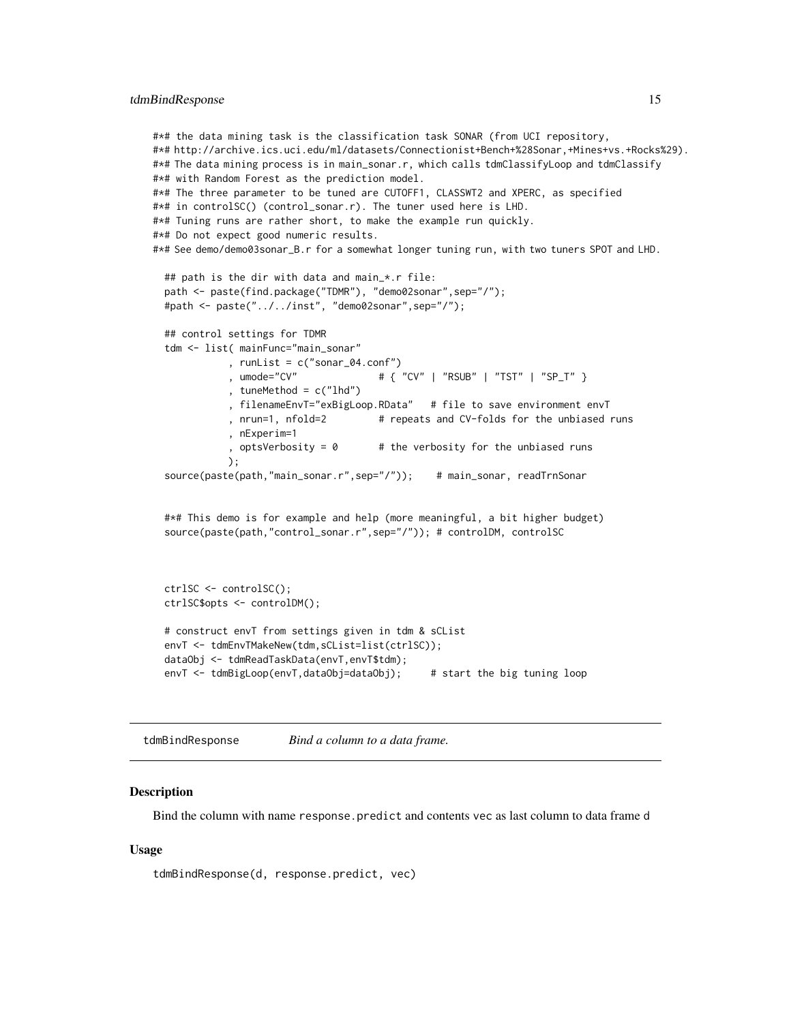```
#*# the data mining task is the classification task SONAR (from UCI repository,
#*# http://archive.ics.uci.edu/ml/datasets/Connectionist+Bench+%28Sonar,+Mines+vs.+Rocks%29).
#*# The data mining process is in main_sonar.r, which calls tdmClassifyLoop and tdmClassify
#*# with Random Forest as the prediction model.
#*# The three parameter to be tuned are CUTOFF1, CLASSWT2 and XPERC, as specified
#*# in controlSC() (control_sonar.r). The tuner used here is LHD.
#*# Tuning runs are rather short, to make the example run quickly.
#*# Do not expect good numeric results.
#*# See demo/demo03sonar_B.r for a somewhat longer tuning run, with two tuners SPOT and LHD.
 ## path is the dir with data and main_*.r file:
 path <- paste(find.package("TDMR"), "demo02sonar",sep="/");
 #path <- paste("../../inst", "demo02sonar",sep="/");
 ## control settings for TDMR
 tdm <- list( mainFunc="main_sonar"
             , runList = c("sonar_04.conf")
            , umode="CV" # { "CV" | "RSUB" | "TST" | "SP_T" }
            , tuneMethod = c("lhd"), filenameEnvT="exBigLoop.RData" # file to save environment envT
            , nrun=1, nfold=2 # repeats and CV-folds for the unbiased runs
            , nExperim=1
            , optsVerbosity = 0 # the verbosity for the unbiased runs
            );
 source(paste(path,"main_sonar.r",sep="/")); # main_sonar, readTrnSonar
 #*# This demo is for example and help (more meaningful, a bit higher budget)
```
source(paste(path,"control\_sonar.r",sep="/")); # controlDM, controlSC

```
ctrlSC <- controlSC();
ctrlSC$opts <- controlDM();
# construct envT from settings given in tdm & sCList
envT <- tdmEnvTMakeNew(tdm,sCList=list(ctrlSC));
dataObj <- tdmReadTaskData(envT,envT$tdm);
envT <- tdmBigLoop(envT,dataObj=dataObj); # start the big tuning loop
```
tdmBindResponse *Bind a column to a data frame.*

#### Description

Bind the column with name response.predict and contents vec as last column to data frame d

#### Usage

```
tdmBindResponse(d, response.predict, vec)
```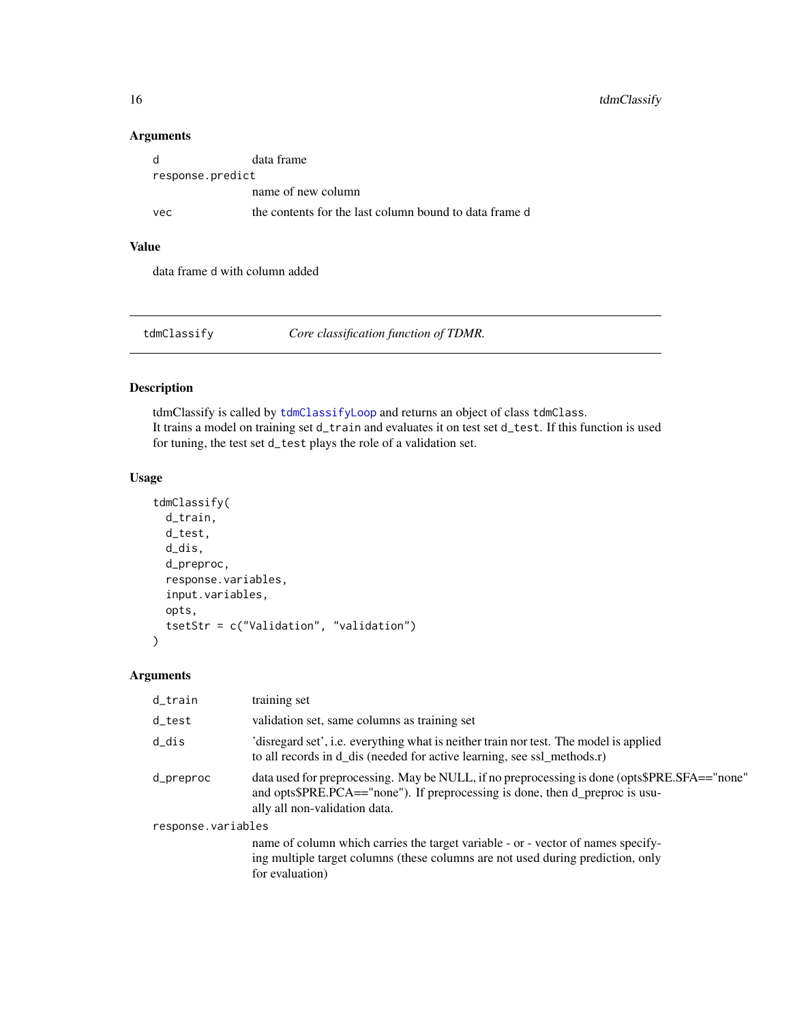## <span id="page-15-0"></span>16 tdmClassify

#### Arguments

| - d              | data frame                                             |  |
|------------------|--------------------------------------------------------|--|
| response.predict |                                                        |  |
|                  | name of new column                                     |  |
| vec              | the contents for the last column bound to data frame d |  |

#### Value

data frame d with column added

<span id="page-15-1"></span>tdmClassify *Core classification function of TDMR.*

## Description

tdmClassify is called by [tdmClassifyLoop](#page-18-1) and returns an object of class tdmClass. It trains a model on training set d\_train and evaluates it on test set d\_test. If this function is used for tuning, the test set d\_test plays the role of a validation set.

#### Usage

```
tdmClassify(
  d_train,
  d_test,
  d_dis,
  d_preproc,
  response.variables,
  input.variables,
  opts,
  tsetStr = c("Validation", "validation")
)
```

| d_train            | training set                                                                                                                                                                                                  |  |
|--------------------|---------------------------------------------------------------------------------------------------------------------------------------------------------------------------------------------------------------|--|
| d_test             | validation set, same columns as training set                                                                                                                                                                  |  |
| d_dis              | 'disregard set', i.e. everything what is neither train nor test. The model is applied<br>to all records in d_dis (needed for active learning, see ssl_methods.r)                                              |  |
| d_preproc          | data used for preprocessing. May be NULL, if no preprocessing is done (opts\$PRE.SFA=="none"<br>and opts\$PRE.PCA=="none"). If preprocessing is done, then d_preproc is usu-<br>ally all non-validation data. |  |
| response.variables |                                                                                                                                                                                                               |  |
|                    | name of column which carries the target variable - or - vector of names specify-<br>ing multiple target columns (these columns are not used during prediction, only<br>for evaluation)                        |  |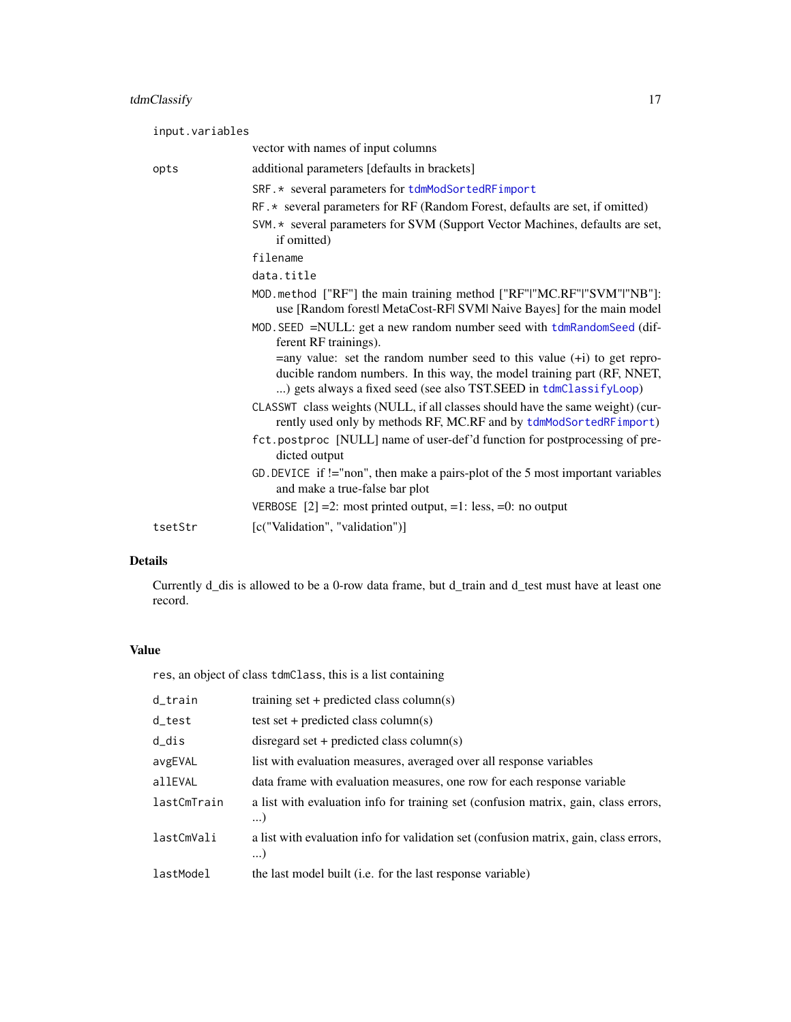<span id="page-16-0"></span>

| input.variables |                                                                                                                                                                                                                              |
|-----------------|------------------------------------------------------------------------------------------------------------------------------------------------------------------------------------------------------------------------------|
|                 | vector with names of input columns                                                                                                                                                                                           |
| opts            | additional parameters [defaults in brackets]                                                                                                                                                                                 |
|                 | SRF. * several parameters for tdmModSortedRFimport                                                                                                                                                                           |
|                 | RF.* several parameters for RF (Random Forest, defaults are set, if omitted)                                                                                                                                                 |
|                 | SVM. * several parameters for SVM (Support Vector Machines, defaults are set,<br>if omitted)                                                                                                                                 |
|                 | filename                                                                                                                                                                                                                     |
|                 | data.title                                                                                                                                                                                                                   |
|                 | MOD. method ["RF"] the main training method ["RF" "MC.RF" "SVM" "NB"]:<br>use [Random forestl MetaCost-RFI SVMI Naive Bayes] for the main model                                                                              |
|                 | MOD. SEED =NULL: get a new random number seed with tdmRandomSeed (dif-<br>ferent RF trainings).                                                                                                                              |
|                 | $=$ any value: set the random number seed to this value $(+i)$ to get repro-<br>ducible random numbers. In this way, the model training part (RF, NNET,<br>) gets always a fixed seed (see also TST.SEED in tdmClassifyLoop) |
|                 | CLASSWT class weights (NULL, if all classes should have the same weight) (cur-<br>rently used only by methods RF, MC.RF and by tdmModSortedRFimport)                                                                         |
|                 | fct.postproc [NULL] name of user-def'd function for postprocessing of pre-<br>dicted output                                                                                                                                  |
|                 | GD. DEVICE if $!=$ "non", then make a pairs-plot of the 5 most important variables<br>and make a true-false bar plot                                                                                                         |
|                 | VERBOSE $[2] = 2$ : most printed output, =1: less, =0: no output                                                                                                                                                             |
| tsetStr         | [c("Validation", "validation")]                                                                                                                                                                                              |

## Details

Currently d\_dis is allowed to be a 0-row data frame, but d\_train and d\_test must have at least one record.

## Value

res, an object of class tdmClass, this is a list containing

| d_train     | training set $+$ predicted class column(s)                                                        |
|-------------|---------------------------------------------------------------------------------------------------|
| d_test      | test set + predicted class column(s)                                                              |
| d_dis       | disregard set + predicted class column(s)                                                         |
| avgEVAL     | list with evaluation measures, averaged over all response variables                               |
| allEVAL     | data frame with evaluation measures, one row for each response variable                           |
| lastCmTrain | a list with evaluation info for training set (confusion matrix, gain, class errors,<br>$\ldots$   |
| lastCmVali  | a list with evaluation info for validation set (confusion matrix, gain, class errors,<br>$\ldots$ |
| lastModel   | the last model built (i.e. for the last response variable)                                        |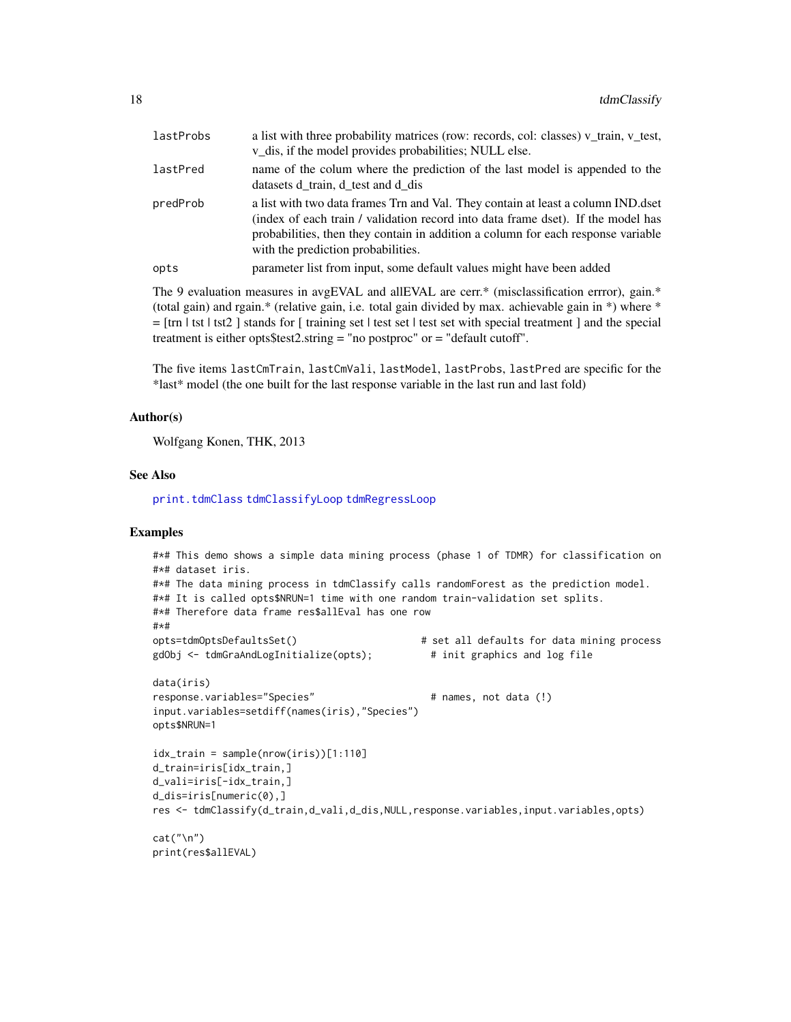<span id="page-17-0"></span>

| lastProbs | a list with three probability matrices (row: records, col: classes) v_train, v_test,<br>v_dis, if the model provides probabilities; NULL else.                                                                                                                                                 |
|-----------|------------------------------------------------------------------------------------------------------------------------------------------------------------------------------------------------------------------------------------------------------------------------------------------------|
| lastPred  | name of the colum where the prediction of the last model is appended to the<br>datasets d train, d test and d dis                                                                                                                                                                              |
| predProb  | a list with two data frames Trn and Val. They contain at least a column IND dset<br>(index of each train / validation record into data frame dset). If the model has<br>probabilities, then they contain in addition a column for each response variable<br>with the prediction probabilities. |
| opts      | parameter list from input, some default values might have been added                                                                                                                                                                                                                           |
|           |                                                                                                                                                                                                                                                                                                |

The 9 evaluation measures in avgEVAL and allEVAL are cerr.\* (misclassification errror), gain.\* (total gain) and rgain.\* (relative gain, i.e. total gain divided by max. achievable gain in \*) where \* = [trn | tst | tst2 ] stands for [ training set | test set | test set with special treatment ] and the special treatment is either opts\$test2.string = "no postproc" or = "default cutoff".

The five items lastCmTrain, lastCmVali, lastModel, lastProbs, lastPred are specific for the \*last\* model (the one built for the last response variable in the last run and last fold)

#### Author(s)

Wolfgang Konen, THK, 2013

## See Also

[print.tdmClass](#page-8-2) [tdmClassifyLoop](#page-18-1) [tdmRegressLoop](#page-57-1)

#### Examples

```
#*# This demo shows a simple data mining process (phase 1 of TDMR) for classification on
#*# dataset iris.
#*# The data mining process in tdmClassify calls randomForest as the prediction model.
#*# It is called opts$NRUN=1 time with one random train-validation set splits.
#*# Therefore data frame res$allEval has one row
#*#
opts=tdmOptsDefaultsSet() # set all defaults for data mining process
gdObj <- tdmGraAndLogInitialize(opts); # init graphics and log file
data(iris)
response.variables="Species" \qquad \qquad \qquad # \text{ names, not data } (!)input.variables=setdiff(names(iris),"Species")
opts$NRUN=1
idx_train = sample(nrow(iris))[1:110]
d_train=iris[idx_train,]
d_vali=iris[-idx_train,]
d_dis=iris[numeric(0),]
res <- tdmClassify(d_train,d_vali,d_dis,NULL,response.variables,input.variables,opts)
cat(''\n'')print(res$allEVAL)
```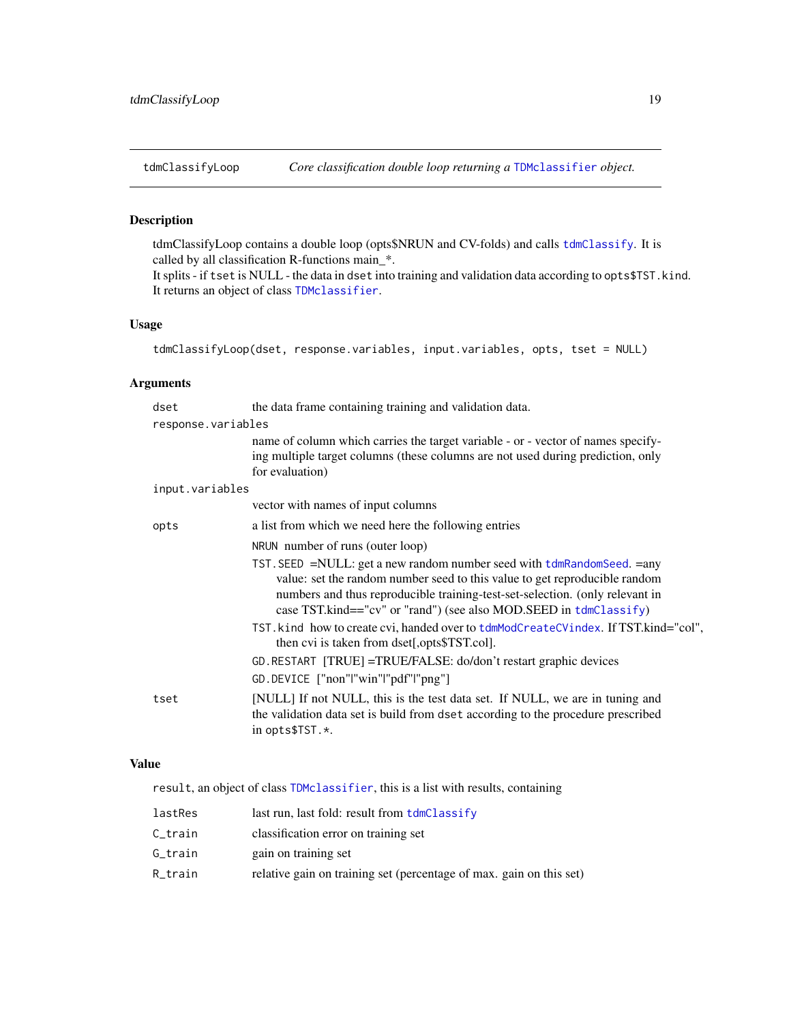<span id="page-18-2"></span><span id="page-18-1"></span><span id="page-18-0"></span>

tdmClassifyLoop contains a double loop (opts\$NRUN and CV-folds) and calls [tdmClassify](#page-15-1). It is called by all classification R-functions main\_\*.

It splits - if tset is NULL - the data in dset into training and validation data according to opts\$TST.kind. It returns an object of class [TDMclassifier](#page-18-2).

## Usage

```
tdmClassifyLoop(dset, response.variables, input.variables, opts, tset = NULL)
```
## Arguments

| dset               | the data frame containing training and validation data.                                                                                                                                                                                                                                                       |  |
|--------------------|---------------------------------------------------------------------------------------------------------------------------------------------------------------------------------------------------------------------------------------------------------------------------------------------------------------|--|
| response.variables |                                                                                                                                                                                                                                                                                                               |  |
|                    | name of column which carries the target variable - or - vector of names specify-<br>ing multiple target columns (these columns are not used during prediction, only<br>for evaluation)                                                                                                                        |  |
| input.variables    |                                                                                                                                                                                                                                                                                                               |  |
|                    | vector with names of input columns                                                                                                                                                                                                                                                                            |  |
| opts               | a list from which we need here the following entries                                                                                                                                                                                                                                                          |  |
|                    | NRUN number of runs (outer loop)                                                                                                                                                                                                                                                                              |  |
|                    | TST. SEED =NULL: get a new random number seed with tdmRandomSeed. = any<br>value: set the random number seed to this value to get reproducible random<br>numbers and thus reproducible training-test-set-selection. (only relevant in<br>case TST.kind=="cv" or "rand") (see also MOD.SEED in $tdmClassify$ ) |  |
|                    | TST. kind how to create cvi, handed over to tdmModCreateCVindex. If TST.kind="col",<br>then cvi is taken from dset[,opts\$TST.col].                                                                                                                                                                           |  |
|                    | GD. RESTART [TRUE] = TRUE/FALSE: do/don't restart graphic devices                                                                                                                                                                                                                                             |  |
|                    | GD.DEVICE ["non" "win" "pdf" "png"]                                                                                                                                                                                                                                                                           |  |
| tset               | [NULL] If not NULL, this is the test data set. If NULL, we are in tuning and<br>the validation data set is build from dset according to the procedure prescribed<br>in opts\$TST.*.                                                                                                                           |  |

#### Value

result, an object of class [TDMclassifier](#page-18-2), this is a list with results, containing

| lastRes | last run, last fold: result from tdmClassify                        |
|---------|---------------------------------------------------------------------|
| C_train | classification error on training set                                |
| G_train | gain on training set                                                |
| R_train | relative gain on training set (percentage of max. gain on this set) |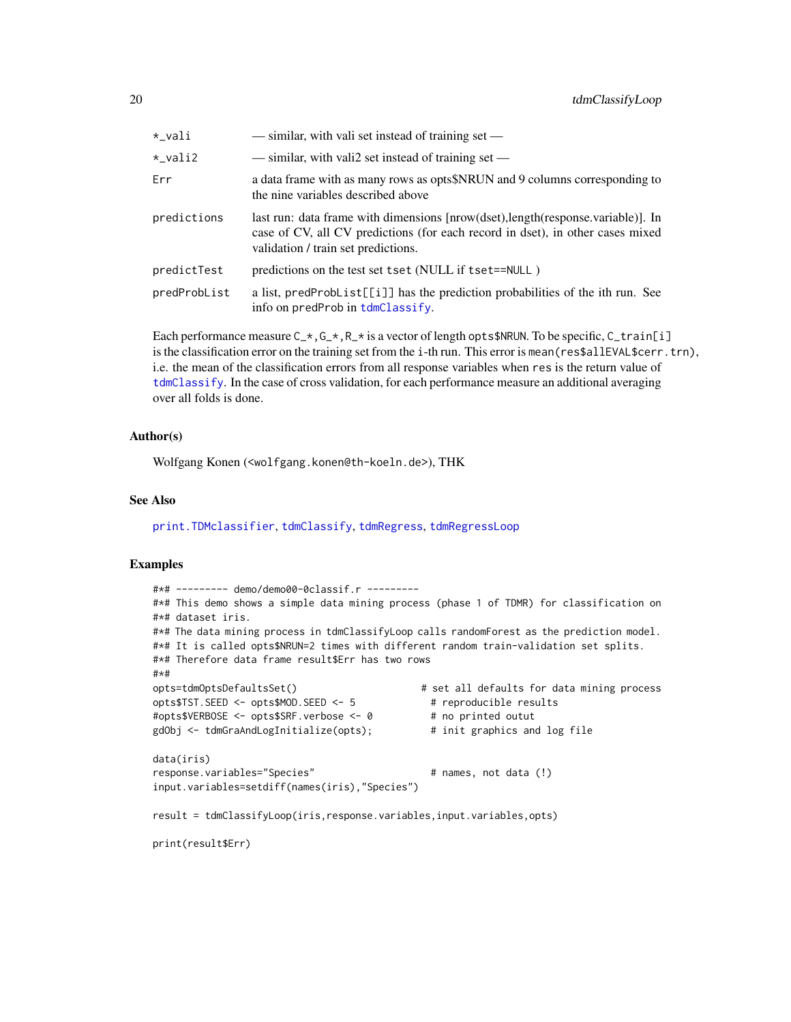<span id="page-19-0"></span>

| *_vali       | — similar, with vali set instead of training set —                                                                                                                                                        |
|--------------|-----------------------------------------------------------------------------------------------------------------------------------------------------------------------------------------------------------|
| *_vali2      | — similar, with vali2 set instead of training set —                                                                                                                                                       |
| Err          | a data frame with as many rows as opts\$NRUN and 9 columns corresponding to<br>the nine variables described above                                                                                         |
| predictions  | last run: data frame with dimensions [nrow(dset), length(response.variable)]. In<br>case of CV, all CV predictions (for each record in dset), in other cases mixed<br>validation / train set predictions. |
| predictTest  | predictions on the test set tset (NULL if tset==NULL)                                                                                                                                                     |
| predProbList | a list, predProbList[[i]] has the prediction probabilities of the ith run. See<br>info on predProb in tdmClassify.                                                                                        |

Each performance measure  $C_{\pm}$ ,  $C_{\pm}$ ,  $R_{\pm}$  is a vector of length opts\$NRUN. To be specific,  $C_{\pm}$ train[i] is the classification error on the training set from the i-th run. This error is mean(res\$allEVAL\$cerr.trn), i.e. the mean of the classification errors from all response variables when res is the return value of [tdmClassify](#page-15-1). In the case of cross validation, for each performance measure an additional averaging over all folds is done.

#### Author(s)

Wolfgang Konen (<wolfgang.konen@th-koeln.de>), THK

#### See Also

[print.TDMclassifier](#page-8-1), [tdmClassify](#page-15-1), [tdmRegress](#page-55-1), [tdmRegressLoop](#page-57-1)

#### Examples

```
#*# --------- demo/demo00-0classif.r ---------
#*# This demo shows a simple data mining process (phase 1 of TDMR) for classification on
#*# dataset iris.
#*# The data mining process in tdmClassifyLoop calls randomForest as the prediction model.
#*# It is called opts$NRUN=2 times with different random train-validation set splits.
#*# Therefore data frame result$Err has two rows
#+#opts=tdmOptsDefaultsSet() # set all defaults for data mining process
opts$TST.SEED <- opts$MOD.SEED <- 5 # reproducible results
#opts$VERBOSE <- opts$SRF.verbose <- 0 # no printed outut
gdObj <- tdmGraAndLogInitialize(opts); # init graphics and log file
data(iris)
response.variables="Species" \qquad # names, not data (!)
input.variables=setdiff(names(iris),"Species")
result = tdmClassifyLoop(iris,response.variables,input.variables,opts)
print(result$Err)
```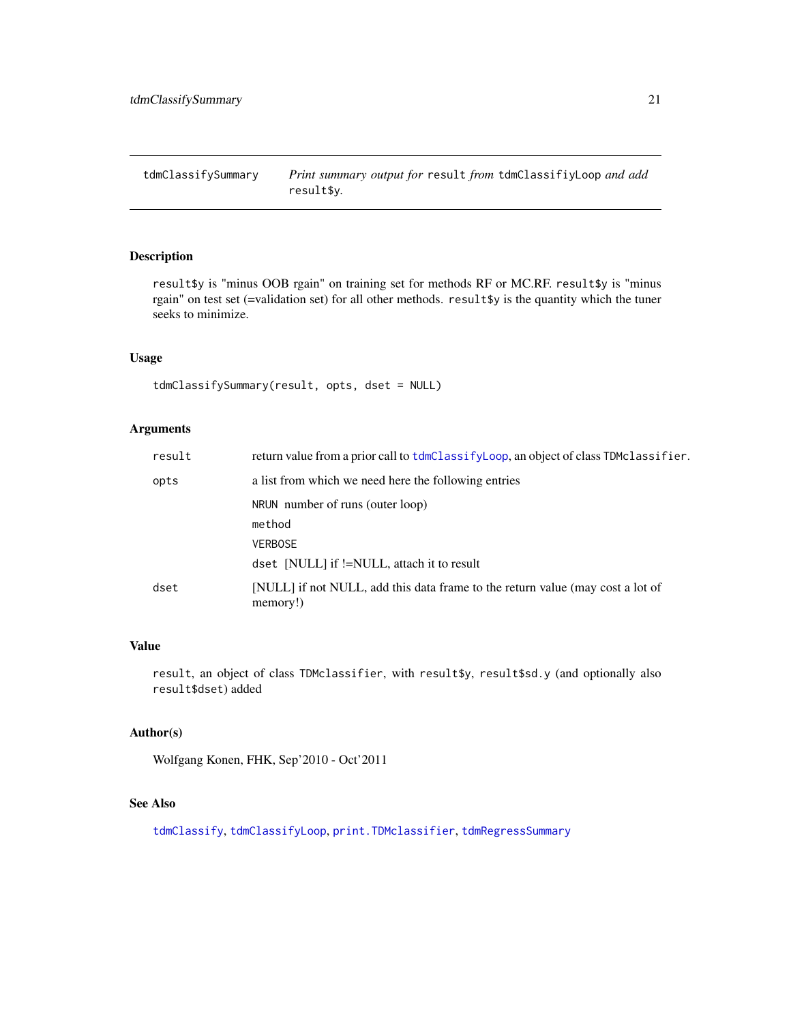<span id="page-20-1"></span><span id="page-20-0"></span>tdmClassifySummary *Print summary output for* result *from* tdmClassifiyLoop *and add* result\$y*.*

## Description

result\$y is "minus OOB rgain" on training set for methods RF or MC.RF. result\$y is "minus rgain" on test set (=validation set) for all other methods. result\$y is the quantity which the tuner seeks to minimize.

#### Usage

```
tdmClassifySummary(result, opts, dset = NULL)
```
#### Arguments

| result | return value from a prior call to tdmClassifyLoop, an object of class TDMclassifier.       |
|--------|--------------------------------------------------------------------------------------------|
| opts   | a list from which we need here the following entries                                       |
|        | NRUN number of runs (outer loop)                                                           |
|        | method                                                                                     |
|        | <b>VERBOSE</b>                                                                             |
|        | dset [NULL] if !=NULL, attach it to result                                                 |
| dset   | [NULL] if not NULL, add this data frame to the return value (may cost a lot of<br>memory!) |

## Value

result, an object of class TDMclassifier, with result\$y, result\$sd.y (and optionally also result\$dset) added

## Author(s)

Wolfgang Konen, FHK, Sep'2010 - Oct'2011

## See Also

[tdmClassify](#page-15-1), [tdmClassifyLoop](#page-18-1), [print.TDMclassifier](#page-8-1), [tdmRegressSummary](#page-59-1)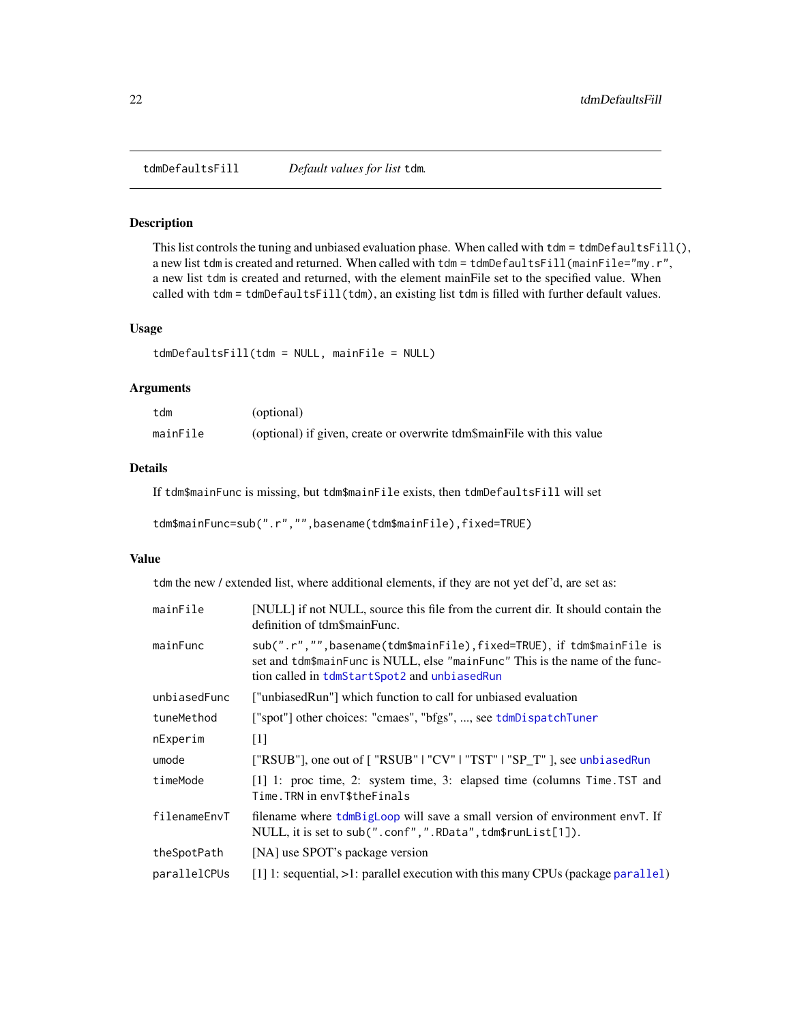<span id="page-21-1"></span><span id="page-21-0"></span>tdmDefaultsFill *Default values for list* tdm*.*

## Description

This list controls the tuning and unbiased evaluation phase. When called with  $\tt dm = \t dmDefaultsfill()$ , a new list tdm is created and returned. When called with tdm = tdmDefaultsFill(mainFile="my.r", a new list tdm is created and returned, with the element mainFile set to the specified value. When called with tdm = tdmDefaultsFill(tdm), an existing list tdm is filled with further default values.

#### Usage

tdmDefaultsFill(tdm = NULL, mainFile = NULL)

#### Arguments

| tdm      | (optional)                                                             |
|----------|------------------------------------------------------------------------|
| mainFile | (optional) if given, create or overwrite tdm\$mainFile with this value |

## Details

If tdm\$mainFunc is missing, but tdm\$mainFile exists, then tdmDefaultsFill will set

```
tdm$mainFunc=sub(".r","",basename(tdm$mainFile),fixed=TRUE)
```
#### Value

tdm the new / extended list, where additional elements, if they are not yet def'd, are set as:

| mainFile     | [NULL] if not NULL, source this file from the current dir. It should contain the<br>definition of tdm\$mainFunc.                                                                                       |
|--------------|--------------------------------------------------------------------------------------------------------------------------------------------------------------------------------------------------------|
| mainFunc     | sub(".r","", basename(tdm\$mainFile), fixed=TRUE), if tdm\$mainFile is<br>set and tdm\$mainFunc is NULL, else "mainFunc" This is the name of the func-<br>tion called in tdmStartSpot2 and unbiasedRun |
| unbiasedFunc | ["unbiasedRun"] which function to call for unbiased evaluation                                                                                                                                         |
| tuneMethod   | ["spot"] other choices: "cmaes", "bfgs", , see tdmDispatchTuner                                                                                                                                        |
| nExperim     | $\lceil 1 \rceil$                                                                                                                                                                                      |
| umode        | ["RSUB"], one out of [ "RSUB"   "CV"   "TST"   "SP_T" ], see unbiased Run                                                                                                                              |
| timeMode     | [1] 1: proc time, 2: system time, 3: elapsed time (columns Time. TST and<br>Time. TRN in envT\$theFinals                                                                                               |
| filenameEnvT | filename where $tdmBig \in \text{G}$ will save a small version of environment envT. If<br>NULL, it is set to sub(".conf",".RData", tdm\$runList[1]).                                                   |
| theSpotPath  | [NA] use SPOT's package version                                                                                                                                                                        |
| parallelCPUs | $[1]$ 1: sequential, $>1$ : parallel execution with this many CPUs (package parallel)                                                                                                                  |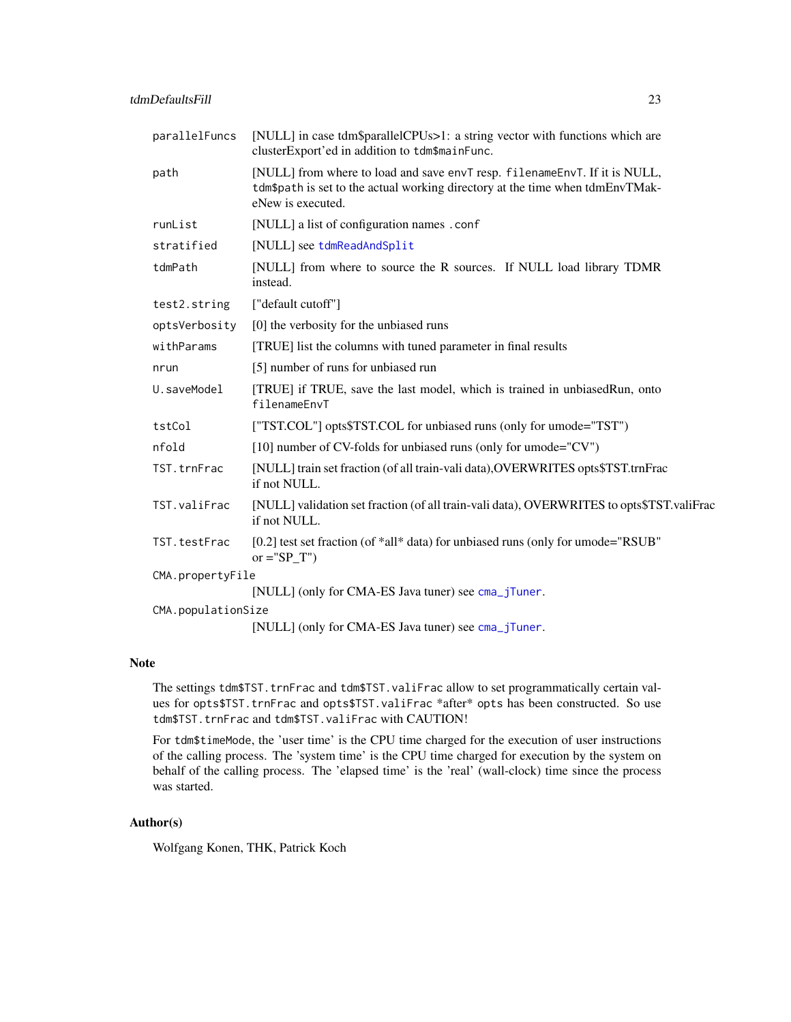<span id="page-22-0"></span>

| parallelFuncs      | [NULL] in case tdm\$parallelCPUs>1: a string vector with functions which are<br>clusterExport'ed in addition to tdm\$mainFunc.                                                   |
|--------------------|----------------------------------------------------------------------------------------------------------------------------------------------------------------------------------|
| path               | [NULL] from where to load and save envT resp. filenameEnvT. If it is NULL,<br>tdm\$path is set to the actual working directory at the time when tdmEnvTMak-<br>eNew is executed. |
| runList            | [NULL] a list of configuration names . conf                                                                                                                                      |
| stratified         | [NULL] see tdmReadAndSplit                                                                                                                                                       |
| tdmPath            | [NULL] from where to source the R sources. If NULL load library TDMR<br>instead.                                                                                                 |
| test2.string       | ["default cutoff"]                                                                                                                                                               |
| optsVerbosity      | [0] the verbosity for the unbiased runs                                                                                                                                          |
| withParams         | [TRUE] list the columns with tuned parameter in final results                                                                                                                    |
| nrun               | [5] number of runs for unbiased run                                                                                                                                              |
| U.saveModel        | [TRUE] if TRUE, save the last model, which is trained in unbiasedRun, onto<br>filenameEnvT                                                                                       |
| tstCol             | ["TST.COL"] opts\$TST.COL for unbiased runs (only for umode="TST")                                                                                                               |
| nfold              | [10] number of CV-folds for unbiased runs (only for umode="CV")                                                                                                                  |
| TST.trnFrac        | [NULL] train set fraction (of all train-vali data), OVERWRITES opts\$TST.trnFrac<br>if not NULL.                                                                                 |
| TST.valiFrac       | [NULL] validation set fraction (of all train-vali data), OVERWRITES to opts\$TST.valiFrac<br>if not NULL.                                                                        |
| TST.testFrac       | [0.2] test set fraction (of *all* data) for unbiased runs (only for umode="RSUB"<br>or $=$ "SP_T")                                                                               |
| CMA.propertyFile   |                                                                                                                                                                                  |
|                    | [NULL] (only for CMA-ES Java tuner) see cma_jTuner.                                                                                                                              |
| CMA.populationSize |                                                                                                                                                                                  |
|                    | [NULL] (only for CMA-ES Java tuner) see cma_jTuner.                                                                                                                              |

## Note

The settings tdm\$TST.trnFrac and tdm\$TST.valiFrac allow to set programmatically certain values for opts\$TST.trnFrac and opts\$TST.valiFrac \*after\* opts has been constructed. So use tdm\$TST.trnFrac and tdm\$TST.valiFrac with CAUTION!

For tdm\$timeMode, the 'user time' is the CPU time charged for the execution of user instructions of the calling process. The 'system time' is the CPU time charged for execution by the system on behalf of the calling process. The 'elapsed time' is the 'real' (wall-clock) time since the process was started.

#### Author(s)

Wolfgang Konen, THK, Patrick Koch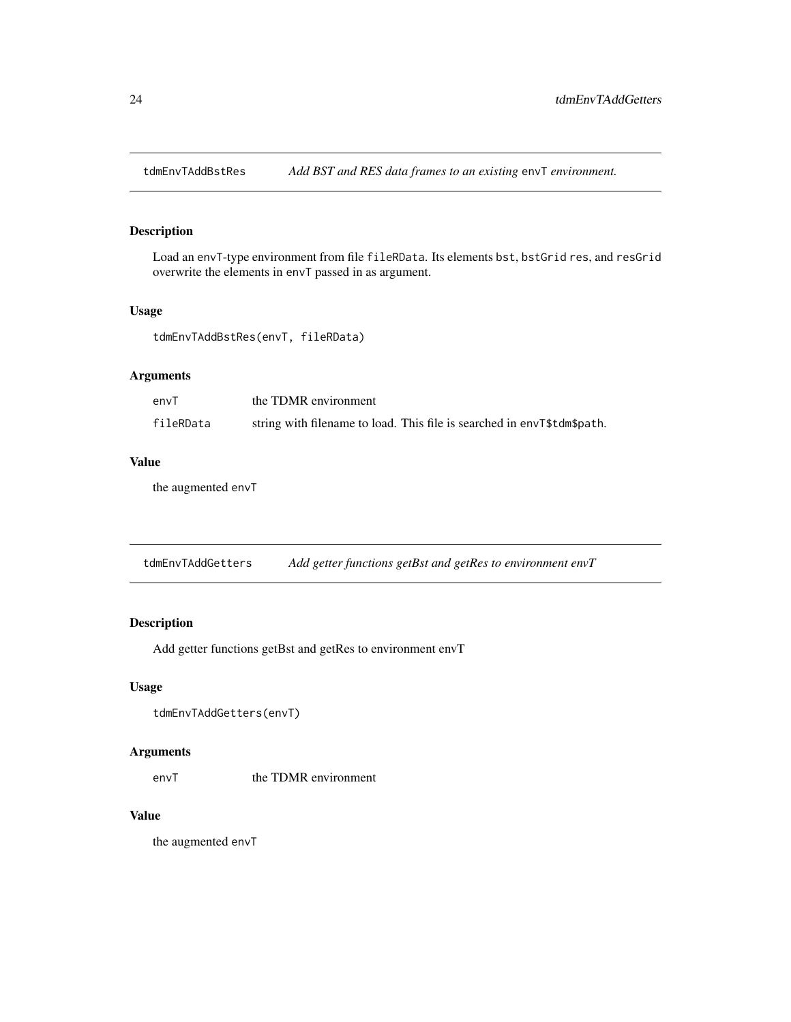<span id="page-23-0"></span>

Load an envT-type environment from file fileRData. Its elements bst, bstGrid res, and resGrid overwrite the elements in envT passed in as argument.

## Usage

tdmEnvTAddBstRes(envT, fileRData)

## Arguments

| envT      | the TDMR environment                                                    |
|-----------|-------------------------------------------------------------------------|
| fileRData | string with filename to load. This file is searched in envT\$tdm\$path. |

## Value

the augmented envT

<span id="page-23-1"></span>tdmEnvTAddGetters *Add getter functions getBst and getRes to environment envT*

#### Description

Add getter functions getBst and getRes to environment envT

#### Usage

```
tdmEnvTAddGetters(envT)
```
#### Arguments

env<sub>T</sub> the TDMR environment

## Value

the augmented envT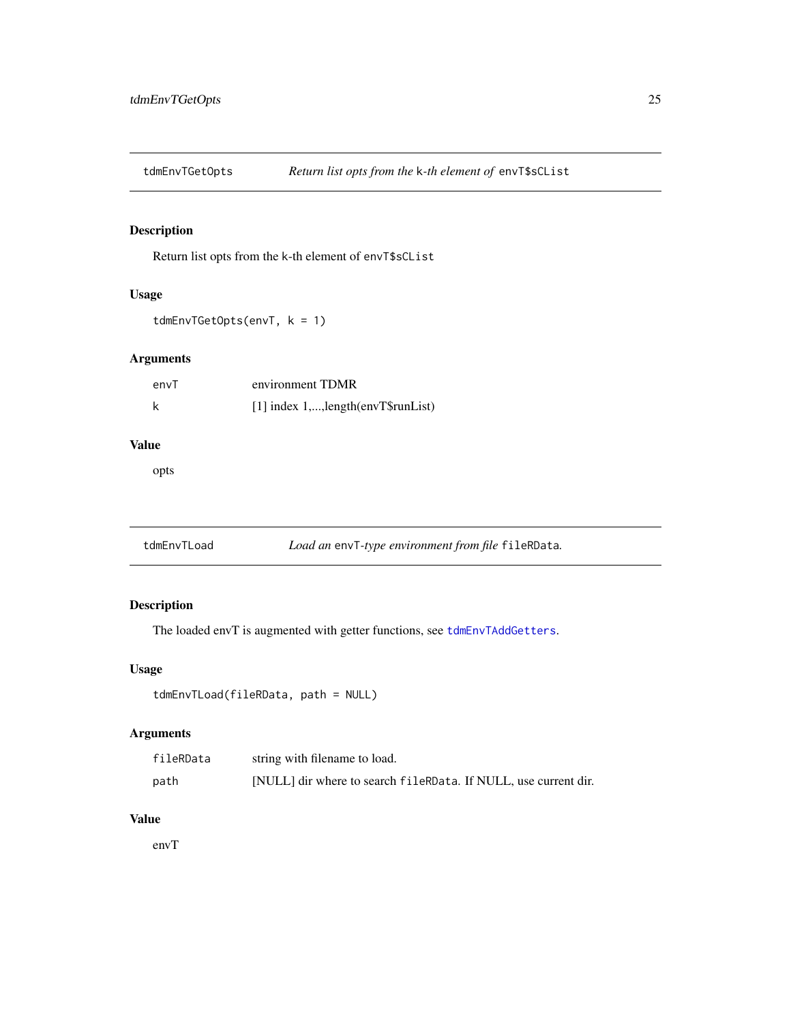<span id="page-24-0"></span>

Return list opts from the k-th element of envT\$sCList

## Usage

```
tdmEnvTGetOpts(envT, k = 1)
```
## Arguments

| envT | environment TDMR                     |
|------|--------------------------------------|
|      | [1] index 1,, length (envT\$runList) |

## Value

opts

tdmEnvTLoad *Load an* envT*-type environment from file* fileRData*.*

## Description

The loaded envT is augmented with getter functions, see [tdmEnvTAddGetters](#page-23-1).

#### Usage

```
tdmEnvTLoad(fileRData, path = NULL)
```
## Arguments

| fileRData | string with filename to load.                                   |
|-----------|-----------------------------------------------------------------|
| path      | [NULL] dir where to search fileRData. If NULL, use current dir. |

## Value

envT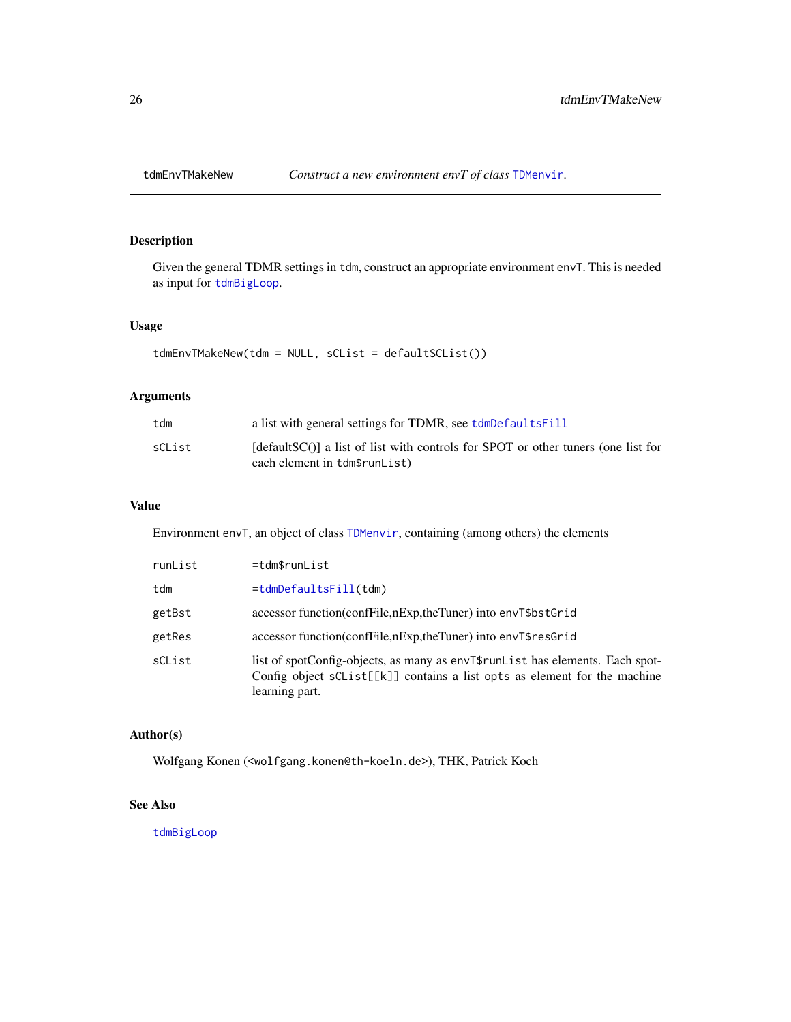<span id="page-25-1"></span><span id="page-25-0"></span>

Given the general TDMR settings in tdm, construct an appropriate environment envT. This is needed as input for [tdmBigLoop](#page-11-1).

## Usage

tdmEnvTMakeNew(tdm = NULL, sCList = defaultSCList())

## Arguments

| tdm    | a list with general settings for TDMR, see tdmDefaultsFill                                                                     |
|--------|--------------------------------------------------------------------------------------------------------------------------------|
| sCList | $\lceil detaultSC \rceil$ a list of list with controls for SPOT or other tuners (one list for<br>each element in tdm\$runList) |

## Value

Environment envT, an object of class [TDMenvir](#page-25-1), containing (among others) the elements

| runList | $=$ tdm\$runList                                                                                                                                                             |
|---------|------------------------------------------------------------------------------------------------------------------------------------------------------------------------------|
| tdm     | $= tdmDefaultsfill(tdm)$                                                                                                                                                     |
| getBst  | accessor function(confFile,nExp,theTuner) into envT\$bstGrid                                                                                                                 |
| getRes  | accessor function(confFile,nExp,theTuner) into envT\$resGrid                                                                                                                 |
| sCList  | list of spotConfig-objects, as many as envT\$runList has elements. Each spot-<br>Config object sCList[[k]] contains a list opts as element for the machine<br>learning part. |

#### Author(s)

Wolfgang Konen (<wolfgang.konen@th-koeln.de>), THK, Patrick Koch

#### See Also

[tdmBigLoop](#page-11-1)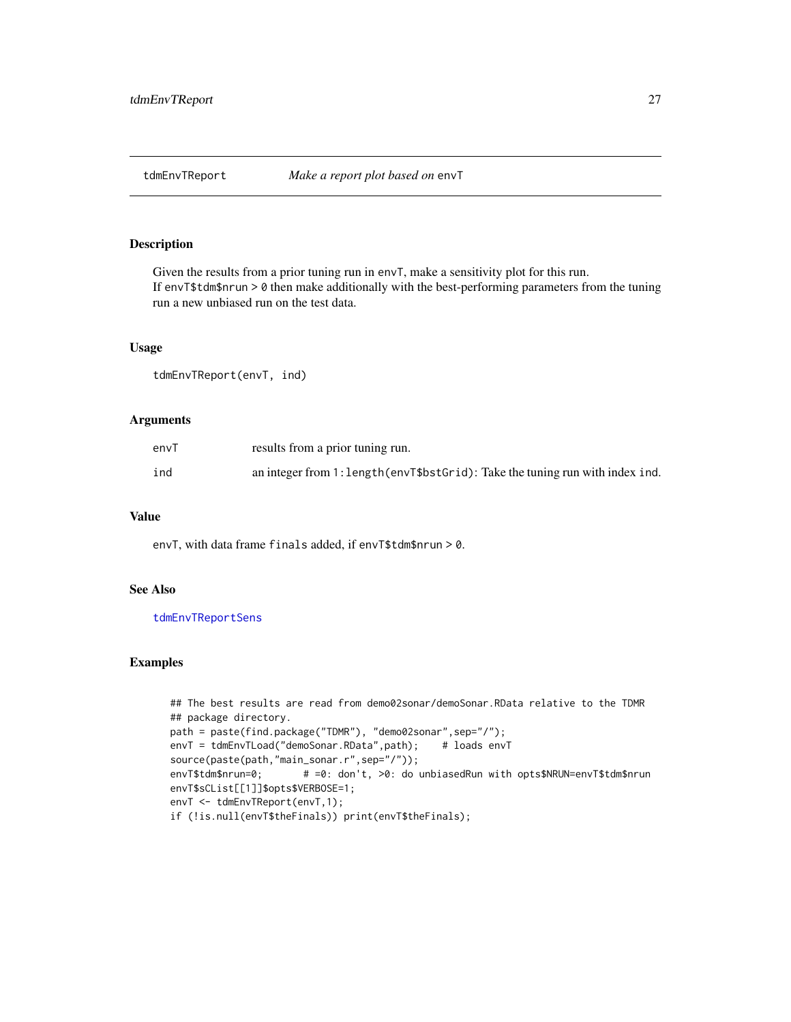<span id="page-26-1"></span><span id="page-26-0"></span>

Given the results from a prior tuning run in envT, make a sensitivity plot for this run. If envT\$tdm\$nrun > 0 then make additionally with the best-performing parameters from the tuning run a new unbiased run on the test data.

## Usage

tdmEnvTReport(envT, ind)

## Arguments

| envT | results from a prior tuning run.                                               |
|------|--------------------------------------------------------------------------------|
| ind  | an integer from 1: length (envT\$bstGrid): Take the tuning run with index ind. |

#### Value

envT, with data frame finals added, if envT\$tdm\$nrun > 0.

### See Also

[tdmEnvTReportSens](#page-27-1)

#### Examples

```
## The best results are read from demo02sonar/demoSonar.RData relative to the TDMR
## package directory.
path = paste(find.package("TDMR"), "demo02sonar",sep="/");
envT = tdmEnvTLoad("demoSonar.RData",path); # loads envT
source(paste(path,"main_sonar.r",sep="/"));
envT$tdm$nrun=0; \# =0: don't, >0: do unbiasedRun with opts$NRUN=envT$tdm$nrun
envT$sCList[[1]]$opts$VERBOSE=1;
envT <- tdmEnvTReport(envT,1);
if (!is.null(envT$theFinals)) print(envT$theFinals);
```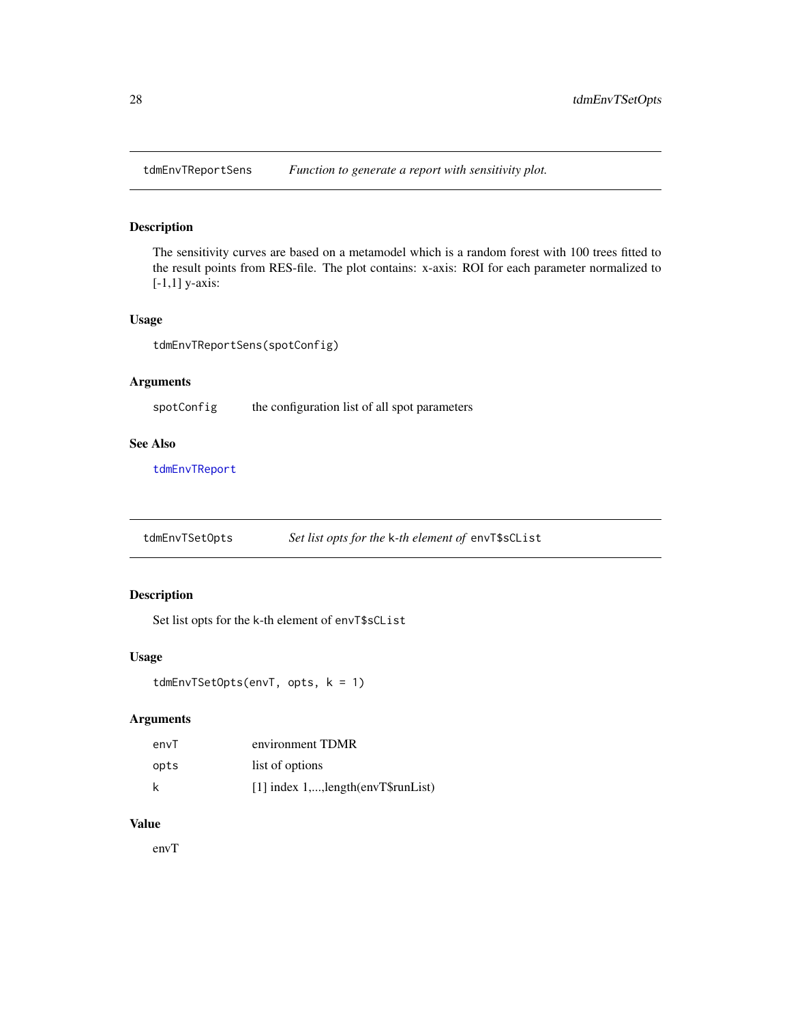<span id="page-27-1"></span><span id="page-27-0"></span>

The sensitivity curves are based on a metamodel which is a random forest with 100 trees fitted to the result points from RES-file. The plot contains: x-axis: ROI for each parameter normalized to [-1,1] y-axis:

#### Usage

tdmEnvTReportSens(spotConfig)

## Arguments

spotConfig the configuration list of all spot parameters

#### See Also

[tdmEnvTReport](#page-26-1)

tdmEnvTSetOpts *Set list opts for the* k*-th element of* envT\$sCList

## Description

Set list opts for the k-th element of envT\$sCList

#### Usage

```
tdmEnvTSetOpts(envT, opts, k = 1)
```
## Arguments

| envT | environment TDMR                     |
|------|--------------------------------------|
| opts | list of options                      |
| k    | [1] index 1,, length (envT\$runList) |

## Value

envT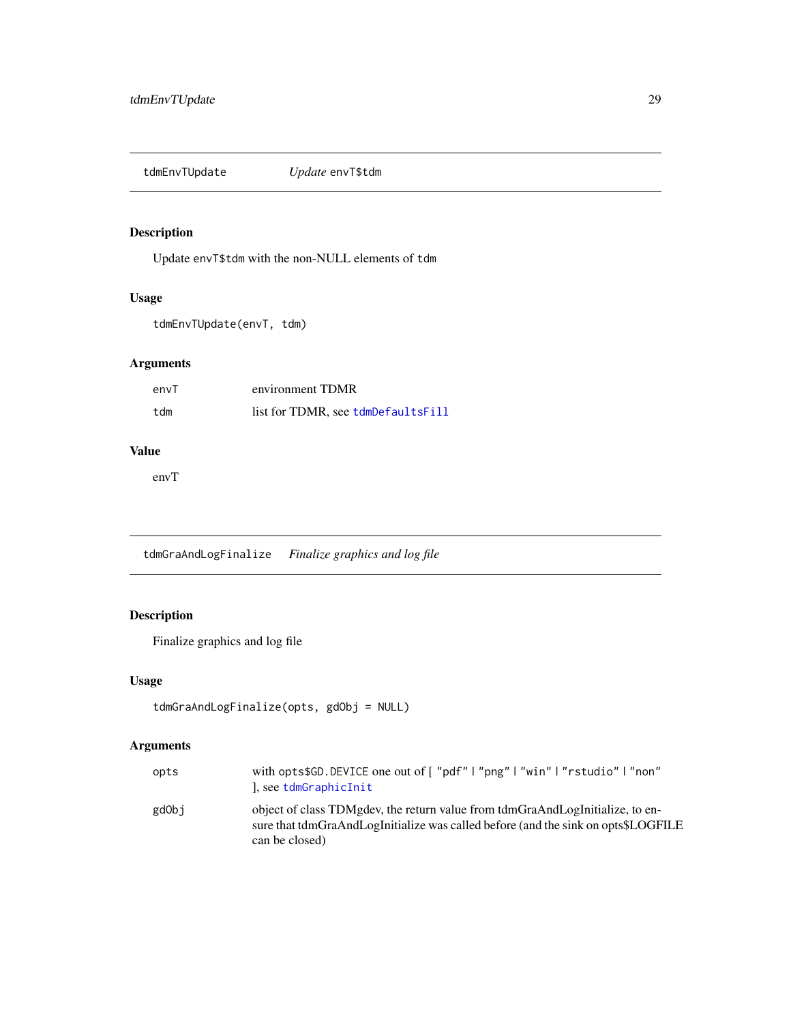<span id="page-28-0"></span>tdmEnvTUpdate *Update* envT\$tdm

## Description

Update envT\$tdm with the non-NULL elements of tdm

## Usage

tdmEnvTUpdate(envT, tdm)

## Arguments

| envT | environment TDMR                   |
|------|------------------------------------|
| tdm  | list for TDMR, see tdmDefaultsFill |

## Value

envT

tdmGraAndLogFinalize *Finalize graphics and log file*

## Description

Finalize graphics and log file

## Usage

```
tdmGraAndLogFinalize(opts, gdObj = NULL)
```

| opts  | with opts\$GD.DEVICE one out of ["pdf"   "png"   "win"   "rstudio"   "non"<br>), see tdmGraphicInit                                                                                  |
|-------|--------------------------------------------------------------------------------------------------------------------------------------------------------------------------------------|
| gdObj | object of class TDMgdey, the return value from tdmGraAndLogInitialize, to en-<br>sure that tdmGraAndLogInitialize was called before (and the sink on opts\$LOGFILE<br>can be closed) |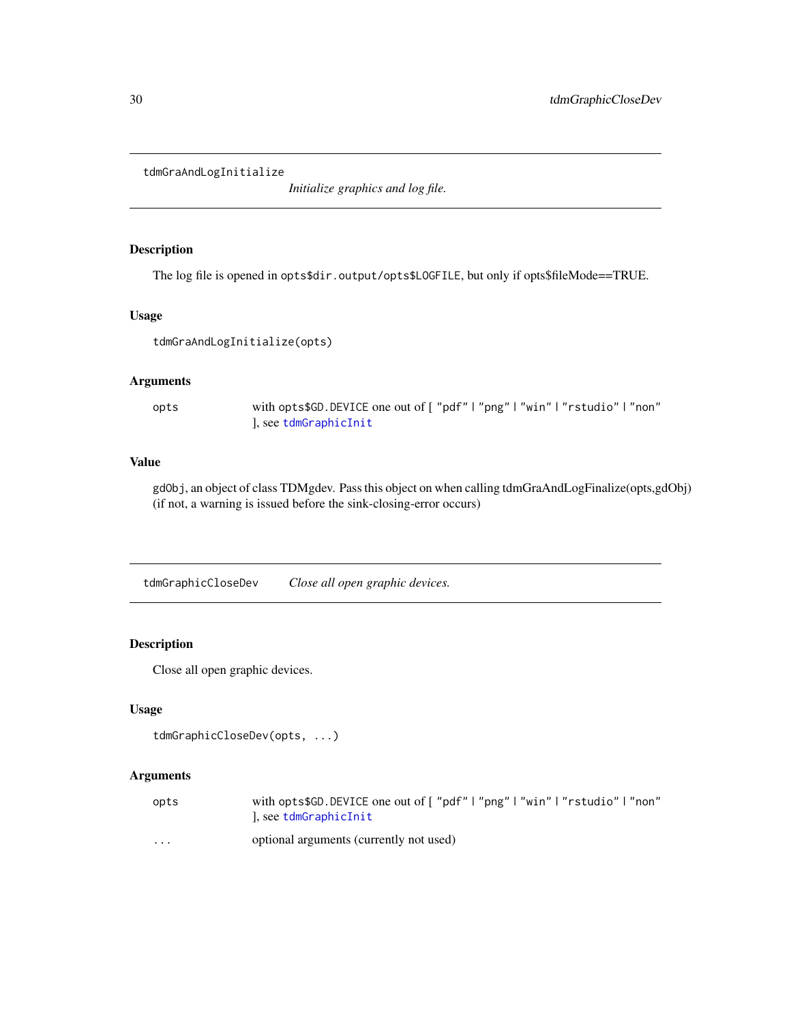<span id="page-29-0"></span>tdmGraAndLogInitialize

*Initialize graphics and log file.*

## Description

The log file is opened in opts\$dir.output/opts\$LOGFILE, but only if opts\$fileMode==TRUE.

## Usage

```
tdmGraAndLogInitialize(opts)
```
#### Arguments

opts with opts\$GD.DEVICE one out of [ "pdf" | "png" | "win" | "rstudio" | "non" ], see [tdmGraphicInit](#page-30-1)

#### Value

gdObj, an object of class TDMgdev. Pass this object on when calling tdmGraAndLogFinalize(opts,gdObj) (if not, a warning is issued before the sink-closing-error occurs)

tdmGraphicCloseDev *Close all open graphic devices.*

#### Description

Close all open graphic devices.

## Usage

```
tdmGraphicCloseDev(opts, ...)
```

| opts                    | with opts\$GD.DEVICE one out of ["pdf" "png" "win" "rstudio" "non" |
|-------------------------|--------------------------------------------------------------------|
|                         | , see tdmGraphicInit                                               |
| $\cdot$ $\cdot$ $\cdot$ | optional arguments (currently not used)                            |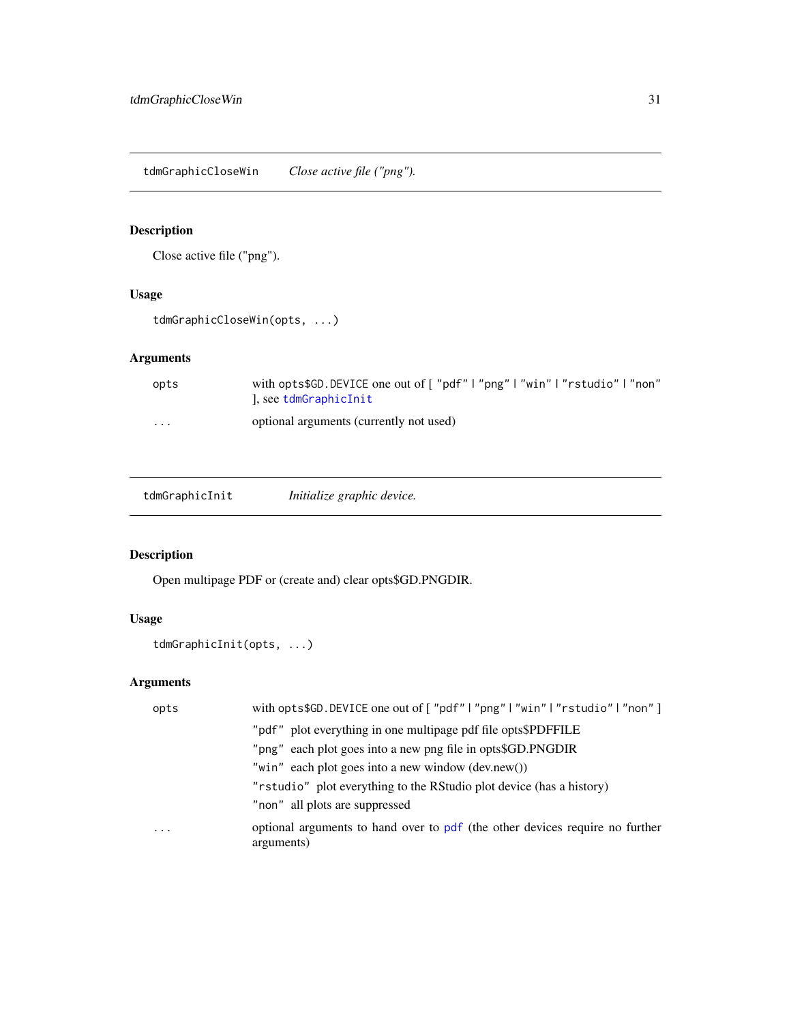<span id="page-30-0"></span>tdmGraphicCloseWin *Close active file ("png").*

## Description

Close active file ("png").

## Usage

tdmGraphicCloseWin(opts, ...)

## Arguments

| opts     | with opts\$GD.DEVICE one out of ["pdf" "png" "win" "rstudio" "non"<br>), see tdmGraphicInit |
|----------|---------------------------------------------------------------------------------------------|
| $\cdots$ | optional arguments (currently not used)                                                     |

<span id="page-30-1"></span>

| Initialize graphic device. |
|----------------------------|
|                            |

## Description

Open multipage PDF or (create and) clear opts\$GD.PNGDIR.

## Usage

tdmGraphicInit(opts, ...)

| opts     | with opts\$GD.DEVICE one out of ["pdf"   "png"   "win"   "rstudio"   "non"]                |
|----------|--------------------------------------------------------------------------------------------|
|          | "pdf" plot everything in one multipage pdf file opts\$PDFFILE                              |
|          | "png" each plot goes into a new png file in opts\$GD.PNGDIR                                |
|          | "win" each plot goes into a new window $(dev.new))$                                        |
|          | "rstudio" plot everything to the RStudio plot device (has a history)                       |
|          | "non" all plots are suppressed                                                             |
| $\cdots$ | optional arguments to hand over to pdf (the other devices require no further<br>arguments) |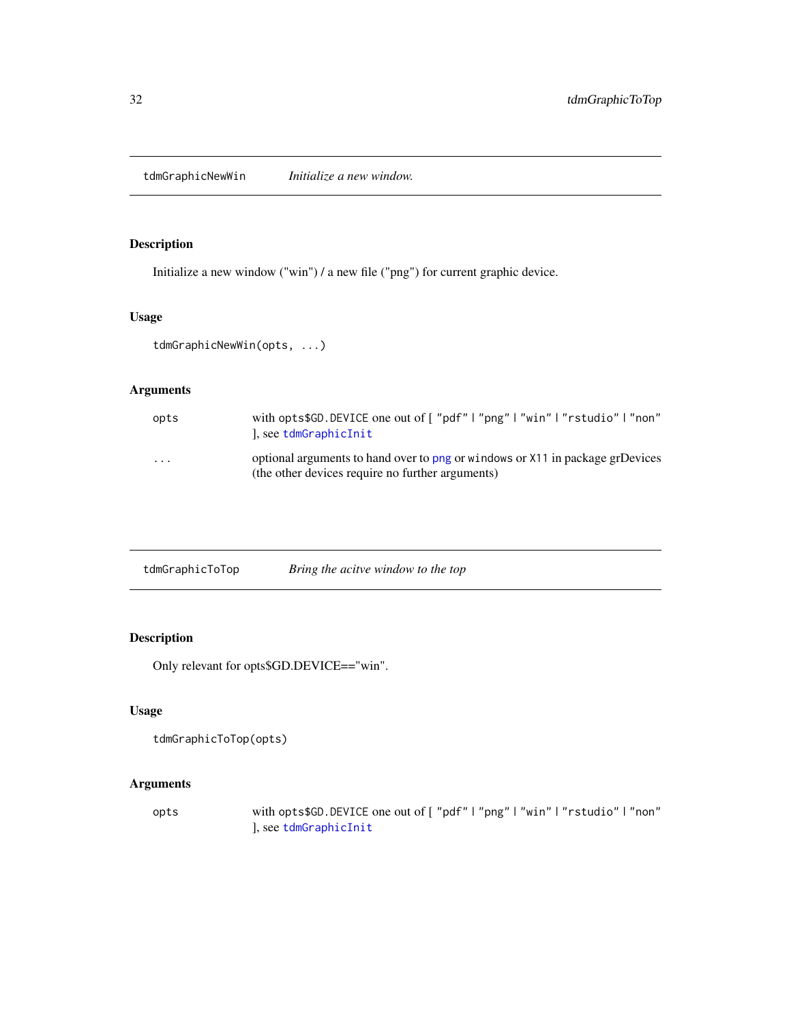<span id="page-31-0"></span>tdmGraphicNewWin *Initialize a new window.*

## Description

Initialize a new window ("win") / a new file ("png") for current graphic device.

## Usage

tdmGraphicNewWin(opts, ...)

## Arguments

| opts     | with opts\$GD.DEVICE one out of ["pdf" "png" "win" "rstudio" "non"<br>), see tdmGraphicInit                                       |
|----------|-----------------------------------------------------------------------------------------------------------------------------------|
| $\cdots$ | optional arguments to hand over to png or windows or X11 in package grDevices<br>(the other devices require no further arguments) |

| tdmGraphicToTop | Bring the acitve window to the top |
|-----------------|------------------------------------|
|                 |                                    |

## Description

Only relevant for opts\$GD.DEVICE=="win".

## Usage

```
tdmGraphicToTop(opts)
```
## Arguments

opts with opts\$GD.DEVICE one out of [ "pdf" | "png" | "win" | "rstudio" | "non" ], see [tdmGraphicInit](#page-30-1)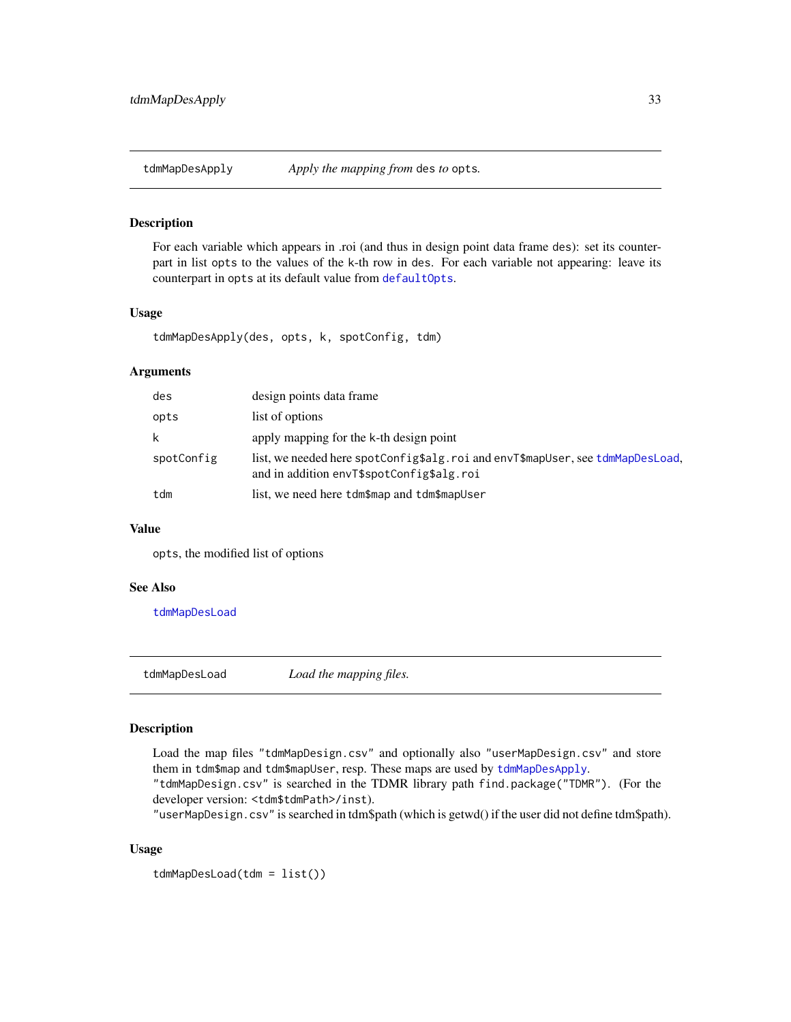<span id="page-32-2"></span><span id="page-32-0"></span>

For each variable which appears in .roi (and thus in design point data frame des): set its counterpart in list opts to the values of the k-th row in des. For each variable not appearing: leave its counterpart in opts at its default value from [defaultOpts](#page-3-1).

## Usage

```
tdmMapDesApply(des, opts, k, spotConfig, tdm)
```
#### Arguments

| des        | design points data frame                                                                                                    |
|------------|-----------------------------------------------------------------------------------------------------------------------------|
| opts       | list of options                                                                                                             |
| k          | apply mapping for the k-th design point                                                                                     |
| spotConfig | list, we needed here spotConfig\$alg.roi and envT\$mapUser, see tdmMapDesLoad,<br>and in addition envT\$spotConfig\$alg.roi |
| tdm        | list, we need here tdm\$map and tdm\$mapUser                                                                                |

## Value

opts, the modified list of options

#### See Also

[tdmMapDesLoad](#page-32-1)

<span id="page-32-1"></span>tdmMapDesLoad *Load the mapping files.*

#### Description

Load the map files "tdmMapDesign.csv" and optionally also "userMapDesign.csv" and store them in tdm\$map and tdm\$mapUser, resp. These maps are used by [tdmMapDesApply](#page-32-2).

"tdmMapDesign.csv" is searched in the TDMR library path find.package("TDMR"). (For the developer version: <tdm\$tdmPath>/inst).

"userMapDesign.csv" is searched in tdm\$path (which is getwd() if the user did not define tdm\$path).

#### Usage

tdmMapDesLoad(tdm = list())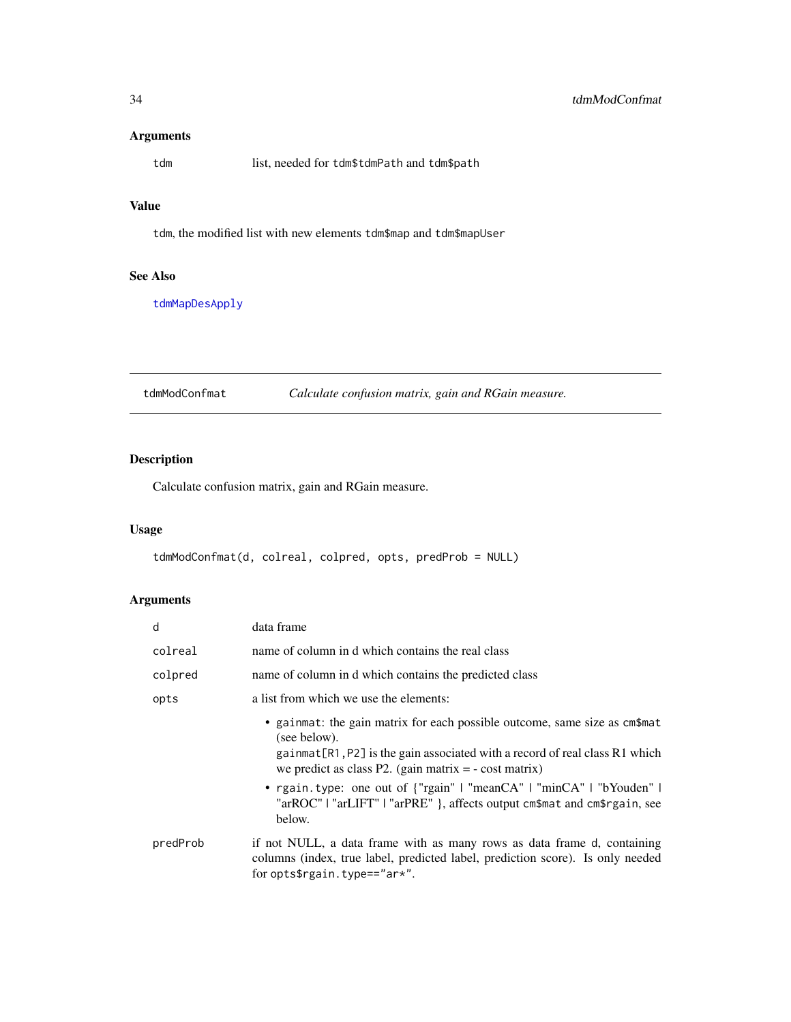#### <span id="page-33-0"></span>Arguments

tdm list, needed for tdm\$tdmPath and tdm\$path

## Value

tdm, the modified list with new elements tdm\$map and tdm\$mapUser

## See Also

[tdmMapDesApply](#page-32-2)

<span id="page-33-1"></span>tdmModConfmat *Calculate confusion matrix, gain and RGain measure.*

## Description

Calculate confusion matrix, gain and RGain measure.

## Usage

tdmModConfmat(d, colreal, colpred, opts, predProb = NULL)

| d        | data frame                                                                                                                                                                                                                             |
|----------|----------------------------------------------------------------------------------------------------------------------------------------------------------------------------------------------------------------------------------------|
| colreal  | name of column in d which contains the real class                                                                                                                                                                                      |
| colpred  | name of column in d which contains the predicted class                                                                                                                                                                                 |
| opts     | a list from which we use the elements:                                                                                                                                                                                                 |
|          | • gainmat: the gain matrix for each possible outcome, same size as cm\$mat<br>(see below).<br>gainmat [R1, P2] is the gain associated with a record of real class R1 which<br>we predict as class P2. (gain matrix $= -\cos t$ matrix) |
|          | • rgain.type: one out of {"rgain"   "meanCA"   "minCA"   "bYouden"  <br>"arROC"   "arLIFT"   "arPRE" }, affects output cm\$mat and cm\$rgain, see<br>below.                                                                            |
| predProb | if not NULL, a data frame with as many rows as data frame d, containing<br>columns (index, true label, predicted label, prediction score). Is only needed<br>for opts\$rgain.type== $"ar*".$                                           |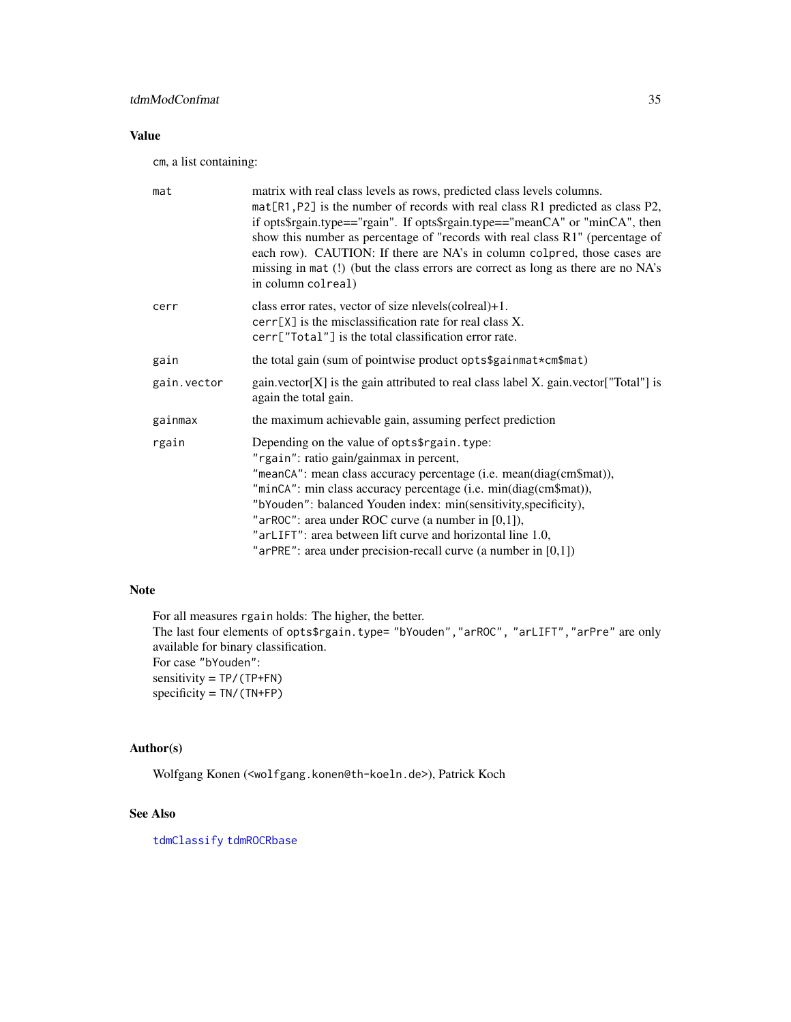## <span id="page-34-0"></span>Value

cm, a list containing:

| mat         | matrix with real class levels as rows, predicted class levels columns.<br>mat [R1, P2] is the number of records with real class R1 predicted as class P2,<br>if opts\$rgain.type=="rgain". If opts\$rgain.type=="meanCA" or "minCA", then<br>show this number as percentage of "records with real class R1" (percentage of<br>each row). CAUTION: If there are NA's in column colpred, those cases are<br>missing in mat (!) (but the class errors are correct as long as there are no NA's<br>in column colreal) |
|-------------|-------------------------------------------------------------------------------------------------------------------------------------------------------------------------------------------------------------------------------------------------------------------------------------------------------------------------------------------------------------------------------------------------------------------------------------------------------------------------------------------------------------------|
| cerr        | class error rates, vector of size nlevels(colreal)+1.<br>$cerr[X]$ is the misclassification rate for real class X.<br>cerr["Total"] is the total classification error rate.                                                                                                                                                                                                                                                                                                                                       |
| gain        | the total gain (sum of pointwise product opts\$gainmat*cm\$mat)                                                                                                                                                                                                                                                                                                                                                                                                                                                   |
| gain.vector | gain.vector[X] is the gain attributed to real class label X. gain.vector["Total"] is<br>again the total gain.                                                                                                                                                                                                                                                                                                                                                                                                     |
| gainmax     | the maximum achievable gain, assuming perfect prediction                                                                                                                                                                                                                                                                                                                                                                                                                                                          |
| rgain       | Depending on the value of opts\$rgain.type:<br>"rgain": ratio gain/gainmax in percent,<br>"meanCA": mean class accuracy percentage (i.e. mean(diag(cm\$mat)),<br>"minCA": min class accuracy percentage (i.e. min(diag(cm\$mat)),<br>"bYouden": balanced Youden index: min(sensitivity,specificity),<br>"arROC": area under ROC curve (a number in $[0,1]$ ),<br>"arLIFT": area between lift curve and horizontal line 1.0,<br>"arPRE": area under precision-recall curve (a number in $[0,1]$ )                  |

### Note

For all measures rgain holds: The higher, the better. The last four elements of opts\$rgain.type= "bYouden","arROC", "arLIFT","arPre" are only available for binary classification. For case "bYouden": sensitivity = TP/(TP+FN) specificity = TN/(TN+FP)

## Author(s)

Wolfgang Konen (<wolfgang.konen@th-koeln.de>), Patrick Koch

#### See Also

[tdmClassify](#page-15-1) [tdmROCRbase](#page-61-1)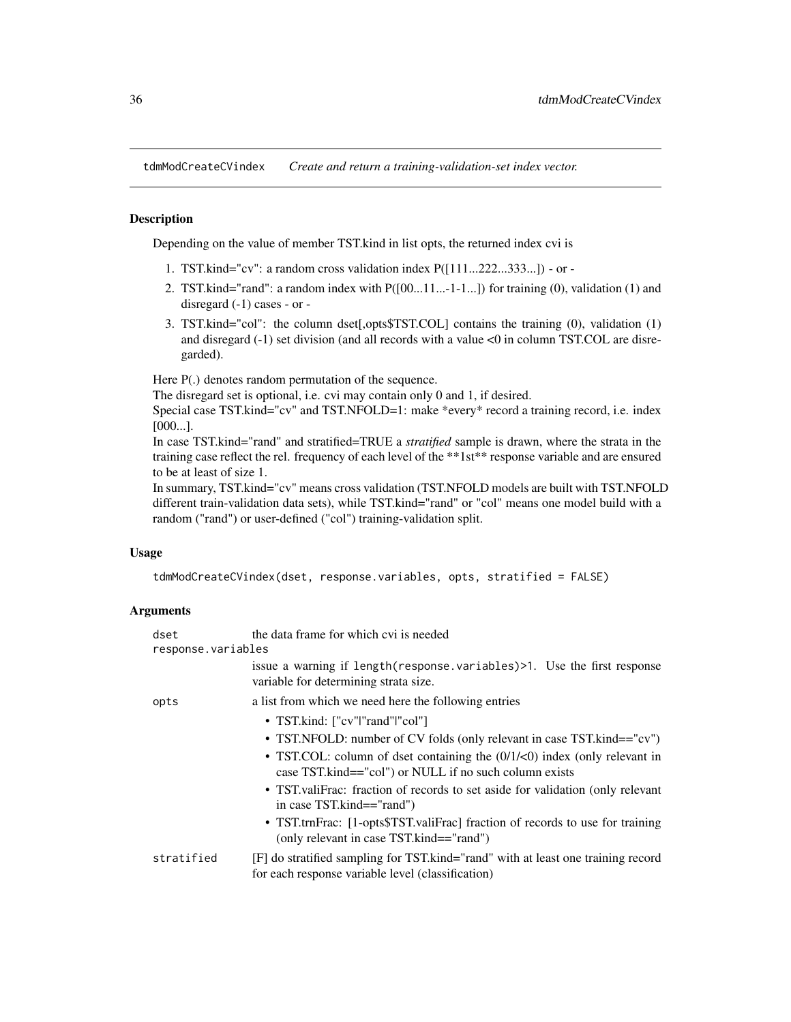<span id="page-35-1"></span><span id="page-35-0"></span>tdmModCreateCVindex *Create and return a training-validation-set index vector.*

## **Description**

Depending on the value of member TST.kind in list opts, the returned index cvi is

- 1. TST.kind="cv": a random cross validation index P([111...222...333...]) or -
- 2. TST.kind="rand": a random index with  $P([00...11...-1-1...])$  for training (0), validation (1) and disregard (-1) cases - or -
- 3. TST.kind="col": the column dset[,opts\$TST.COL] contains the training (0), validation (1) and disregard (-1) set division (and all records with a value <0 in column TST.COL are disregarded).

Here  $P(.)$  denotes random permutation of the sequence.

The disregard set is optional, i.e. cvi may contain only 0 and 1, if desired.

Special case TST.kind="cv" and TST.NFOLD=1: make \*every\* record a training record, i.e. index [000...].

In case TST.kind="rand" and stratified=TRUE a *stratified* sample is drawn, where the strata in the training case reflect the rel. frequency of each level of the \*\*1st\*\* response variable and are ensured to be at least of size 1.

In summary, TST.kind="cv" means cross validation (TST.NFOLD models are built with TST.NFOLD different train-validation data sets), while TST.kind="rand" or "col" means one model build with a random ("rand") or user-defined ("col") training-validation split.

#### Usage

```
tdmModCreateCVindex(dset, response.variables, opts, stratified = FALSE)
```

| dset               | the data frame for which cvi is needed                                                                                                               |  |
|--------------------|------------------------------------------------------------------------------------------------------------------------------------------------------|--|
| response.variables |                                                                                                                                                      |  |
|                    | issue a warning if length (response variables) >1. Use the first response<br>variable for determining strata size.                                   |  |
| opts               | a list from which we need here the following entries                                                                                                 |  |
|                    | • TST.kind: ["cv" "rand" "col"]                                                                                                                      |  |
|                    | • TST.NFOLD: number of CV folds (only relevant in case TST.kind=="cv")                                                                               |  |
|                    | • TST.COL: column of dset containing the $(0/1/\langle 0 \rangle)$ index (only relevant in<br>case TST.kind=="col") or NULL if no such column exists |  |
|                    | • TST valify race: fraction of records to set aside for validation (only relevant<br>in case TST.kind=="rand")                                       |  |
|                    | • TST.trnFrac: [1-opts\$TST.valiFrac] fraction of records to use for training<br>(only relevant in case TST.kind=="rand")                            |  |
| stratified         | [F] do stratified sampling for TST.kind="rand" with at least one training record<br>for each response variable level (classification)                |  |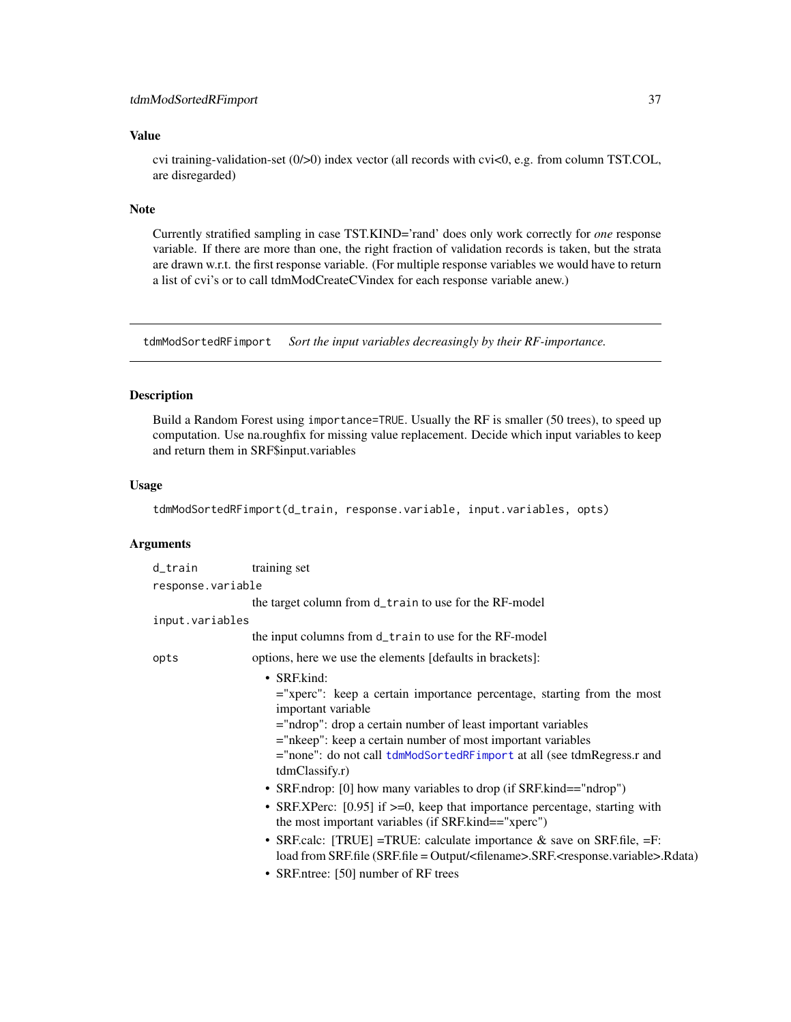#### <span id="page-36-0"></span>tdmModSortedRFimport 37

#### Value

cvi training-validation-set (0/>0) index vector (all records with cvi<0, e.g. from column TST.COL, are disregarded)

#### Note

Currently stratified sampling in case TST.KIND='rand' does only work correctly for *one* response variable. If there are more than one, the right fraction of validation records is taken, but the strata are drawn w.r.t. the first response variable. (For multiple response variables we would have to return a list of cvi's or to call tdmModCreateCVindex for each response variable anew.)

<span id="page-36-1"></span>tdmModSortedRFimport *Sort the input variables decreasingly by their RF-importance.*

#### Description

Build a Random Forest using importance=TRUE. Usually the RF is smaller (50 trees), to speed up computation. Use na.roughfix for missing value replacement. Decide which input variables to keep and return them in SRF\$input.variables

#### Usage

tdmModSortedRFimport(d\_train, response.variable, input.variables, opts)

| d_train           | training set                                                                                                                                                                                                                                                                                                                                                                                                                                                                                                                                                                                                                                                                                                                                                                                                  |
|-------------------|---------------------------------------------------------------------------------------------------------------------------------------------------------------------------------------------------------------------------------------------------------------------------------------------------------------------------------------------------------------------------------------------------------------------------------------------------------------------------------------------------------------------------------------------------------------------------------------------------------------------------------------------------------------------------------------------------------------------------------------------------------------------------------------------------------------|
| response.variable |                                                                                                                                                                                                                                                                                                                                                                                                                                                                                                                                                                                                                                                                                                                                                                                                               |
|                   | the target column from d_train to use for the RF-model                                                                                                                                                                                                                                                                                                                                                                                                                                                                                                                                                                                                                                                                                                                                                        |
| input.variables   |                                                                                                                                                                                                                                                                                                                                                                                                                                                                                                                                                                                                                                                                                                                                                                                                               |
|                   | the input columns from d_train to use for the RF-model                                                                                                                                                                                                                                                                                                                                                                                                                                                                                                                                                                                                                                                                                                                                                        |
| opts              | options, here we use the elements [defaults in brackets]:                                                                                                                                                                                                                                                                                                                                                                                                                                                                                                                                                                                                                                                                                                                                                     |
|                   | $\bullet$ SRF.kind:<br>$=$ "xperc": keep a certain importance percentage, starting from the most<br>important variable<br>$=$ "ndrop": drop a certain number of least important variables<br>$=$ "nkeep": keep a certain number of most important variables<br>="none": do not call tdmModSortedRFimport at all (see tdmRegress.r and<br>tdmClassify.r)<br>• SRF.ndrop: [0] how many variables to drop (if SRF.kind=="ndrop")<br>• SRF.XPerc: [0.95] if >=0, keep that importance percentage, starting with<br>the most important variables (if SRF.kind=="xperc")<br>• SRF.calc: [TRUE] = TRUE: calculate importance $\&$ save on SRF.file, = F:<br>load from SRF.file (SRF.file = Output/ <filename>.SRF.<response.variable>.Rdata)<br/>• SRF.ntree: [50] number of RF trees</response.variable></filename> |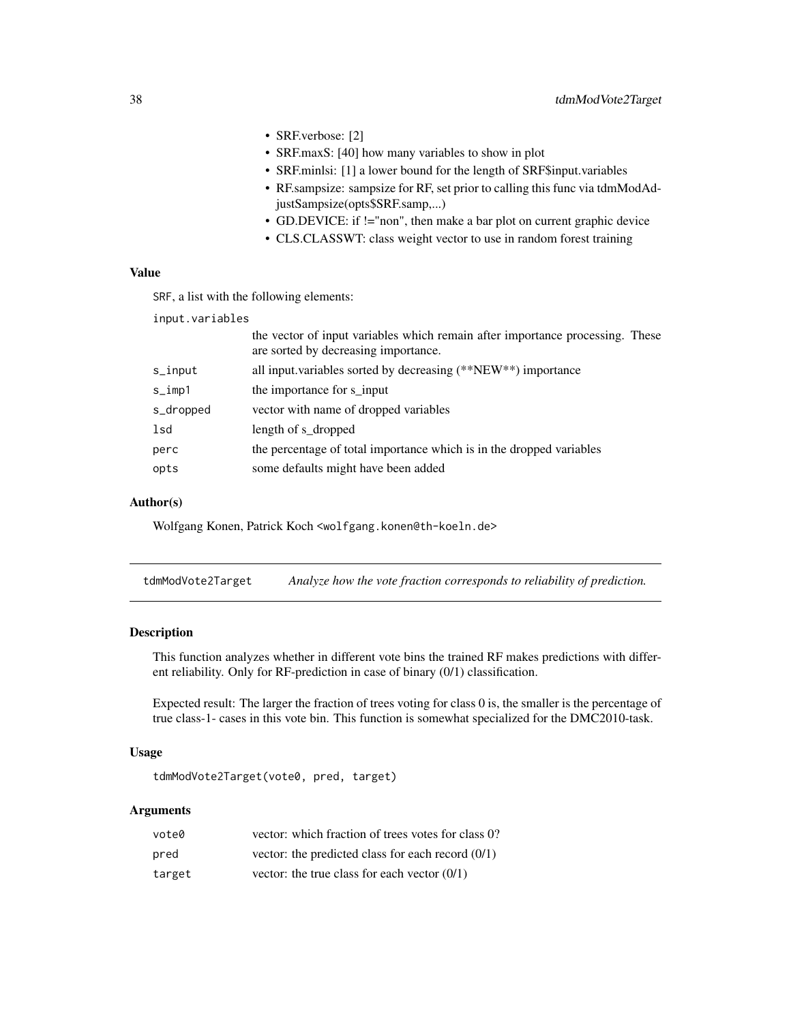- <span id="page-37-0"></span>• SRF.verbose: [2]
- SRF.maxS: [40] how many variables to show in plot
- SRF.minlsi: [1] a lower bound for the length of SRF\$input.variables
- RF.sampsize: sampsize for RF, set prior to calling this func via tdmModAdjustSampsize(opts\$SRF.samp,...)
- GD.DEVICE: if !="non", then make a bar plot on current graphic device
- CLS.CLASSWT: class weight vector to use in random forest training

#### Value

SRF, a list with the following elements:

input.variables

|           | the vector of input variables which remain after importance processing. These<br>are sorted by decreasing importance. |
|-----------|-----------------------------------------------------------------------------------------------------------------------|
| s_input   | all input variables sorted by decreasing (**NEW**) importance                                                         |
| $s_imp1$  | the importance for s input                                                                                            |
| s_dropped | vector with name of dropped variables                                                                                 |
| lsd       | length of s_dropped                                                                                                   |
| perc      | the percentage of total importance which is in the dropped variables                                                  |
| opts      | some defaults might have been added                                                                                   |
|           |                                                                                                                       |

#### Author(s)

Wolfgang Konen, Patrick Koch <wolfgang.konen@th-koeln.de>

tdmModVote2Target *Analyze how the vote fraction corresponds to reliability of prediction.*

## Description

This function analyzes whether in different vote bins the trained RF makes predictions with different reliability. Only for RF-prediction in case of binary (0/1) classification.

Expected result: The larger the fraction of trees voting for class 0 is, the smaller is the percentage of true class-1- cases in this vote bin. This function is somewhat specialized for the DMC2010-task.

#### Usage

tdmModVote2Target(vote0, pred, target)

| vote0  | vector: which fraction of trees votes for class 0?  |
|--------|-----------------------------------------------------|
| pred   | vector: the predicted class for each record $(0/1)$ |
| target | vector: the true class for each vector $(0/1)$      |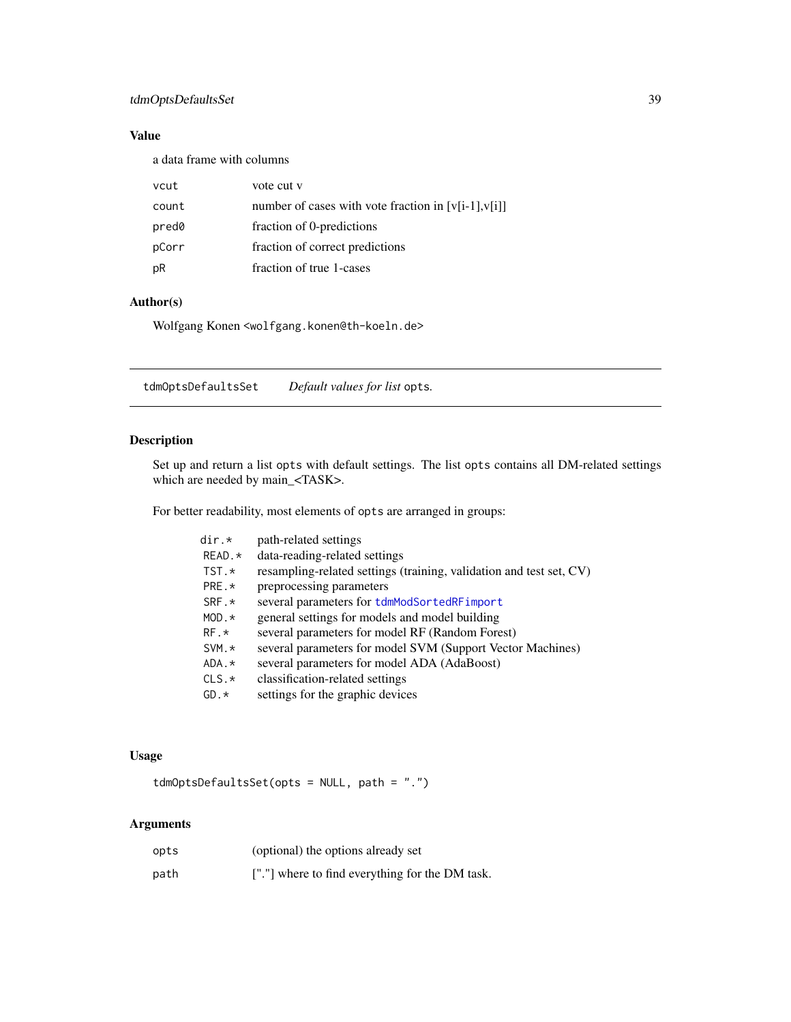## <span id="page-38-0"></span>tdmOptsDefaultsSet 39

## Value

a data frame with columns

| vcut  | vote cut v                                             |
|-------|--------------------------------------------------------|
| count | number of cases with vote fraction in $[v[i-1], v[i]]$ |
| pred0 | fraction of 0-predictions                              |
| pCorr | fraction of correct predictions                        |
| pR    | fraction of true 1-cases                               |

## Author(s)

Wolfgang Konen <wolfgang.konen@th-koeln.de>

<span id="page-38-1"></span>tdmOptsDefaultsSet *Default values for list* opts*.*

## Description

Set up and return a list opts with default settings. The list opts contains all DM-related settings which are needed by main\_<TASK>.

For better readability, most elements of opts are arranged in groups:

| dir.*          | path-related settings                                               |
|----------------|---------------------------------------------------------------------|
| $READ.*$       | data-reading-related settings                                       |
| TST.*          | resampling-related settings (training, validation and test set, CV) |
| PRE.*          | preprocessing parameters                                            |
| SRF.*          | several parameters for tdmModSortedRFimport                         |
| $MOD.*$        | general settings for models and model building                      |
| $RF.*$         | several parameters for model RF (Random Forest)                     |
| $SVM.*$        | several parameters for model SVM (Support Vector Machines)          |
| $ADA.$ $\star$ | several parameters for model ADA (AdaBoost)                         |
| $CLS.*$        | classification-related settings                                     |
| $GD.*$         | settings for the graphic devices                                    |

#### Usage

tdmOptsDefaultsSet(opts = NULL, path = ".")

| opts | (optional) the options already set              |
|------|-------------------------------------------------|
| path | ["."] where to find everything for the DM task. |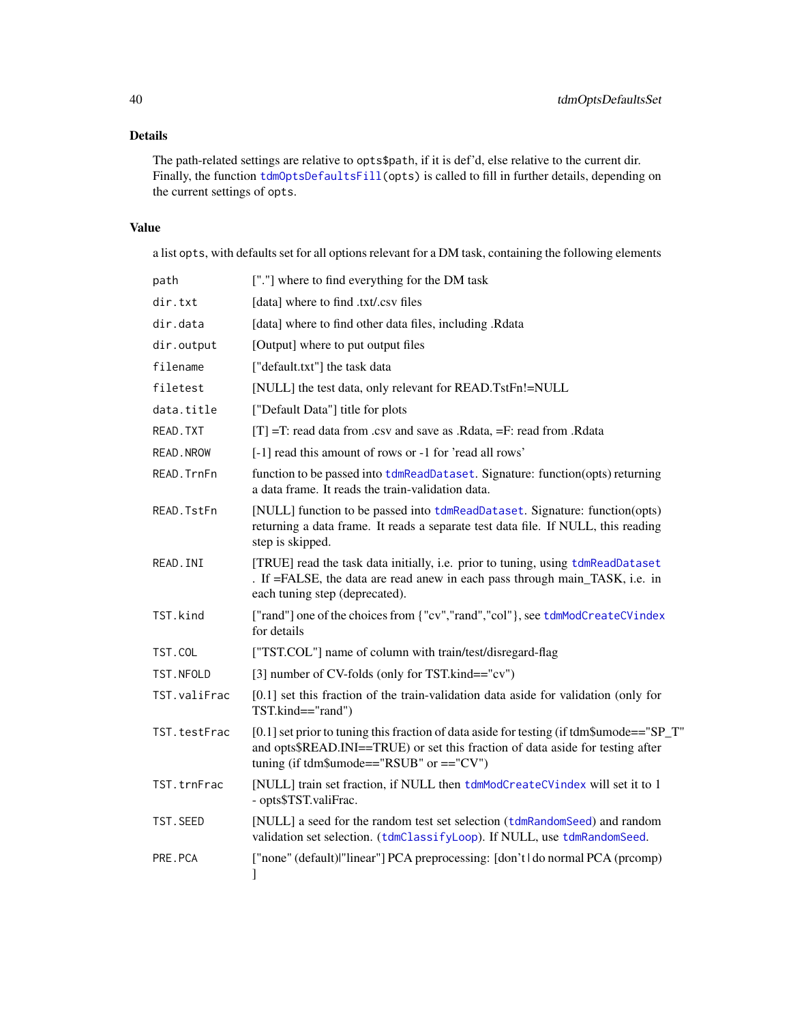## <span id="page-39-0"></span>Details

The path-related settings are relative to opts\$path, if it is def'd, else relative to the current dir. Finally, the function  $tdmOptsDefaultsfill(opts)$  is called to fill in further details, depending on the current settings of opts.

## Value

a list opts, with defaults set for all options relevant for a DM task, containing the following elements

| path             | ["."] where to find everything for the DM task                                                                                                                                                                              |  |  |
|------------------|-----------------------------------------------------------------------------------------------------------------------------------------------------------------------------------------------------------------------------|--|--|
| dir.txt          | [data] where to find .txt/.csv files                                                                                                                                                                                        |  |  |
| dir.data         | [data] where to find other data files, including .Rdata                                                                                                                                                                     |  |  |
| dir.output       | [Output] where to put output files                                                                                                                                                                                          |  |  |
| filename         | ["default.txt"] the task data                                                                                                                                                                                               |  |  |
| filetest         | [NULL] the test data, only relevant for READ.TstFn!=NULL                                                                                                                                                                    |  |  |
| data.title       | ["Default Data"] title for plots                                                                                                                                                                                            |  |  |
| READ. TXT        | $[T] = T$ : read data from .csv and save as .Rdata, $=F$ : read from .Rdata                                                                                                                                                 |  |  |
| <b>READ.NROW</b> | [-1] read this amount of rows or -1 for 'read all rows'                                                                                                                                                                     |  |  |
| READ. TrnFn      | function to be passed into tdmReadDataset. Signature: function(opts) returning<br>a data frame. It reads the train-validation data.                                                                                         |  |  |
| READ. TstFn      | [NULL] function to be passed into tdmReadDataset. Signature: function(opts)<br>returning a data frame. It reads a separate test data file. If NULL, this reading<br>step is skipped.                                        |  |  |
| READ. INI        | [TRUE] read the task data initially, i.e. prior to tuning, using tdmReadDataset<br>. If =FALSE, the data are read anew in each pass through main_TASK, i.e. in<br>each tuning step (deprecated).                            |  |  |
| TST.kind         | ["rand"] one of the choices from {"cv","rand","col"}, see tdmModCreateCVindex<br>for details                                                                                                                                |  |  |
| TST.COL          | ["TST.COL"] name of column with train/test/disregard-flag                                                                                                                                                                   |  |  |
| TST.NFOLD        | [3] number of CV-folds (only for TST.kind=="cv")                                                                                                                                                                            |  |  |
| TST.valiFrac     | $[0.1]$ set this fraction of the train-validation data aside for validation (only for<br>TST.kind=="rand")                                                                                                                  |  |  |
| TST.testFrac     | [0.1] set prior to tuning this fraction of data aside for testing (if tdm\$umode=="SP_T"<br>and opts\$READ.INI==TRUE) or set this fraction of data aside for testing after<br>tuning (if $tdm\$ $u$ mode=="RSUB" or =="CV") |  |  |
| TST.trnFrac      | [NULL] train set fraction, if NULL then tdmModCreateCVindex will set it to 1<br>- opts\$TST.valiFrac.                                                                                                                       |  |  |
| TST. SEED        | [NULL] a seed for the random test set selection (tdmRandomSeed) and random<br>validation set selection. (tdmClassifyLoop). If NULL, use tdmRandomSeed.                                                                      |  |  |
| PRE.PCA          | ["none" (default) "linear"] PCA preprocessing: [don't   do normal PCA (prcomp)<br>1                                                                                                                                         |  |  |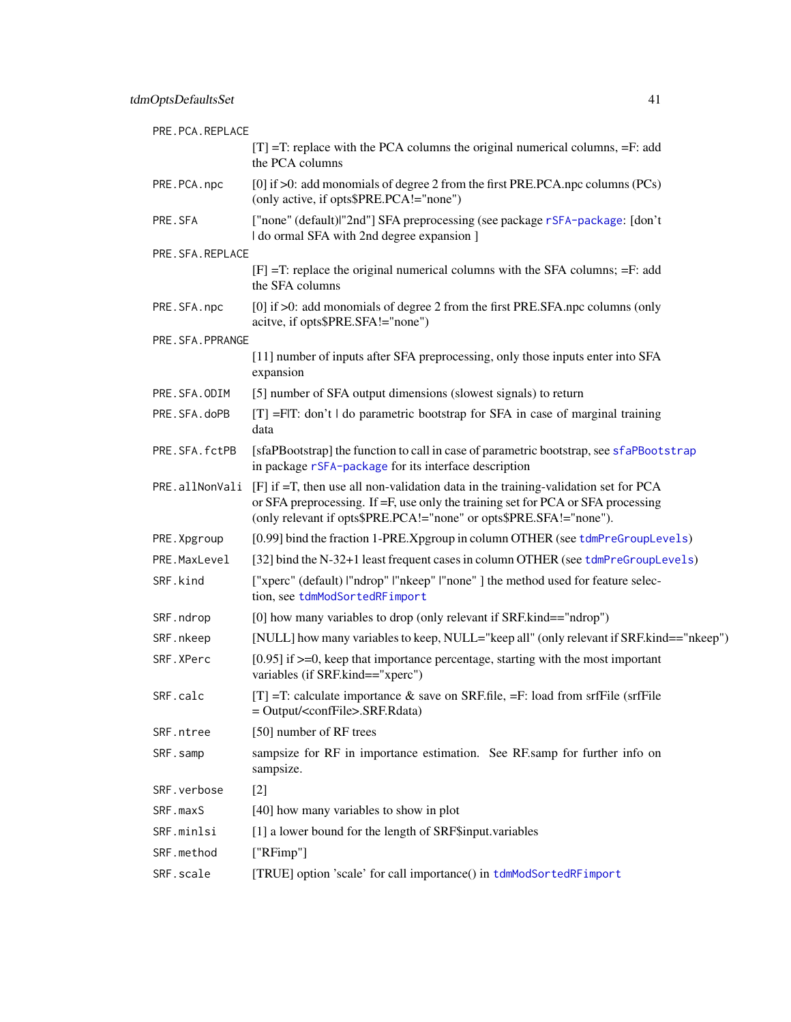<span id="page-40-0"></span>

| PRE.PCA.REPLACE |                                                                                                                                                                                                                                              |
|-----------------|----------------------------------------------------------------------------------------------------------------------------------------------------------------------------------------------------------------------------------------------|
|                 | $[T] = T$ : replace with the PCA columns the original numerical columns, $=F$ : add<br>the PCA columns                                                                                                                                       |
| PRE.PCA.npc     | [0] if $>0$ : add monomials of degree 2 from the first PRE.PCA.npc columns (PCs)<br>(only active, if opts\$PRE.PCA!="none")                                                                                                                  |
| PRE.SFA         | ["none" (default) "2nd"] SFA preprocessing (see package rSFA-package: [don't]<br>I do ormal SFA with 2nd degree expansion ]                                                                                                                  |
| PRE.SFA.REPLACE |                                                                                                                                                                                                                                              |
|                 | $[F] = T$ : replace the original numerical columns with the SFA columns; $=F$ : add<br>the SFA columns                                                                                                                                       |
| PRE.SFA.npc     | [0] if $>0$ : add monomials of degree 2 from the first PRE.SFA.npc columns (only<br>acitve, if opts\$PRE.SFA!="none")                                                                                                                        |
| PRE.SFA.PPRANGE |                                                                                                                                                                                                                                              |
|                 | [11] number of inputs after SFA preprocessing, only those inputs enter into SFA<br>expansion                                                                                                                                                 |
| PRE.SFA.ODIM    | [5] number of SFA output dimensions (slowest signals) to return                                                                                                                                                                              |
| PRE.SFA.doPB    | $[T] = F T$ : don't do parametric bootstrap for SFA in case of marginal training<br>data                                                                                                                                                     |
| PRE.SFA.fctPB   | [sfaPBootstrap] the function to call in case of parametric bootstrap, see sfaPBootstrap<br>in package rSFA-package for its interface description                                                                                             |
| PRE.allNonVali  | [F] if =T, then use all non-validation data in the training-validation set for PCA<br>or SFA preprocessing. If =F, use only the training set for PCA or SFA processing<br>(only relevant if opts\$PRE.PCA!="none" or opts\$PRE.SFA!="none"). |
| PRE. Xpgroup    | [0.99] bind the fraction 1-PRE. Xpgroup in column OTHER (see tdmPreGroupLevels)                                                                                                                                                              |
| PRE.MaxLevel    | [32] bind the N-32+1 least frequent cases in column OTHER (see tdmPreGroupLevels)                                                                                                                                                            |
| SRF.kind        | ["xperc" (default)  "ndrop"  "nkeep"  "none" ] the method used for feature selec-<br>tion, see tdmModSortedRFimport                                                                                                                          |
| SRF.ndrop       | [0] how many variables to drop (only relevant if SRF.kind=="ndrop")                                                                                                                                                                          |
| SRF.nkeep       | [NULL] how many variables to keep, NULL="keep all" (only relevant if SRF.kind=="nkeep")                                                                                                                                                      |
| SRF.XPerc       | $[0.95]$ if $>=0$ , keep that importance percentage, starting with the most important<br>variables (if SRF.kind=="xperc")                                                                                                                    |
| SRF.calc        | $[T] = T$ : calculate importance & save on SRF.file, $=F$ : load from srfFile (srfFile<br>$=$ Output/ <conffile>.SRF.Rdata)</conffile>                                                                                                       |
| SRF.ntree       | [50] number of RF trees                                                                                                                                                                                                                      |
| SRF.samp        | sampsize for RF in importance estimation. See RF.samp for further info on<br>sampsize.                                                                                                                                                       |
| SRF.verbose     | $[2]$                                                                                                                                                                                                                                        |
| SRF.maxS        | [40] how many variables to show in plot                                                                                                                                                                                                      |
| SRF.minlsi      | [1] a lower bound for the length of SRF\$input.variables                                                                                                                                                                                     |
| SRF.method      | ["RFimp"]                                                                                                                                                                                                                                    |
| SRF.scale       | [TRUE] option 'scale' for call importance() in tdmModSortedRFimport                                                                                                                                                                          |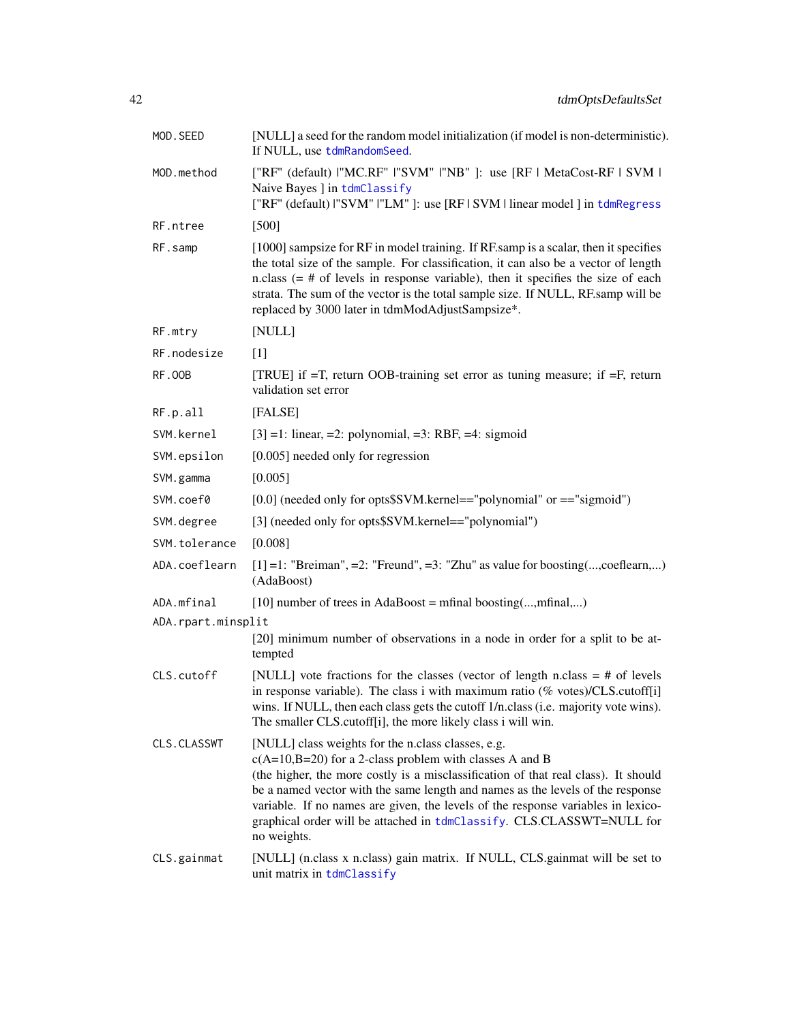<span id="page-41-0"></span>

| MOD.SEED           | [NULL] a seed for the random model initialization (if model is non-deterministic).<br>If NULL, use tdmRandomSeed.                                                                                                                                                                                                                                                                                                                                                   |  |  |
|--------------------|---------------------------------------------------------------------------------------------------------------------------------------------------------------------------------------------------------------------------------------------------------------------------------------------------------------------------------------------------------------------------------------------------------------------------------------------------------------------|--|--|
| MOD.method         | ["RF" (default) I"MC.RF" I"SVM" I"NB" ]: use [RF   MetaCost-RF   SVM  <br>Naive Bayes ] in tdmClassify<br>["RF" (default)  "SVM"  "LM" ]: use [RF   SVM   linear model ] in tdmRegress                                                                                                                                                                                                                                                                              |  |  |
| RF.ntree           | $[500]$                                                                                                                                                                                                                                                                                                                                                                                                                                                             |  |  |
| RF.samp            | [1000] sampsize for RF in model training. If RF samp is a scalar, then it specifies<br>the total size of the sample. For classification, it can also be a vector of length<br>n.class $(=$ # of levels in response variable), then it specifies the size of each<br>strata. The sum of the vector is the total sample size. If NULL, RF.samp will be<br>replaced by 3000 later in tdmModAdjustSampsize*.                                                            |  |  |
| RF.mtry            | [NULL]                                                                                                                                                                                                                                                                                                                                                                                                                                                              |  |  |
| RF.nodesize        | $[1]$                                                                                                                                                                                                                                                                                                                                                                                                                                                               |  |  |
| <b>RF.00B</b>      | [TRUE] if $=T$ , return OOB-training set error as tuning measure; if $=F$ , return<br>validation set error                                                                                                                                                                                                                                                                                                                                                          |  |  |
| RF.p.all           | [FALSE]                                                                                                                                                                                                                                                                                                                                                                                                                                                             |  |  |
| SVM.kernel         | $[3] = 1$ : linear, =2: polynomial, =3: RBF, =4: sigmoid                                                                                                                                                                                                                                                                                                                                                                                                            |  |  |
| SVM.epsilon        | [0.005] needed only for regression                                                                                                                                                                                                                                                                                                                                                                                                                                  |  |  |
| SVM.gamma          | [0.005]                                                                                                                                                                                                                                                                                                                                                                                                                                                             |  |  |
| SVM.coef0          | $[0.0]$ (needed only for opts\$SVM.kernel=="polynomial" or =="sigmoid")                                                                                                                                                                                                                                                                                                                                                                                             |  |  |
| SVM.degree         | [3] (needed only for opts\$SVM.kernel=="polynomial")                                                                                                                                                                                                                                                                                                                                                                                                                |  |  |
| SVM.tolerance      | [0.008]                                                                                                                                                                                                                                                                                                                                                                                                                                                             |  |  |
| ADA.coeflearn      | $[1] = 1$ : "Breiman", = 2: "Freund", = 3: "Zhu" as value for boosting(,coeflearn,)<br>(AdaBoost)                                                                                                                                                                                                                                                                                                                                                                   |  |  |
| ADA.mfinal         | [10] number of trees in AdaBoost = mfinal boosting(,mfinal,)                                                                                                                                                                                                                                                                                                                                                                                                        |  |  |
| ADA.rpart.minsplit | [20] minimum number of observations in a node in order for a split to be at-<br>tempted                                                                                                                                                                                                                                                                                                                                                                             |  |  |
| CLS.cutoff         | [NULL] vote fractions for the classes (vector of length n.class $=$ # of levels<br>in response variable). The class i with maximum ratio ( $%$ votes)/CLS.cutoff[i]<br>wins. If NULL, then each class gets the cutoff 1/n.class (i.e. majority vote wins).<br>The smaller CLS.cutoff[i], the more likely class i will win.                                                                                                                                          |  |  |
| CLS.CLASSWT        | [NULL] class weights for the n.class classes, e.g.<br>$c(A=10,B=20)$ for a 2-class problem with classes A and B<br>(the higher, the more costly is a misclassification of that real class). It should<br>be a named vector with the same length and names as the levels of the response<br>variable. If no names are given, the levels of the response variables in lexico-<br>graphical order will be attached in tdmClassify. CLS.CLASSWT=NULL for<br>no weights. |  |  |
| CLS.gainmat        | [NULL] (n.class x n.class) gain matrix. If NULL, CLS gainmat will be set to<br>unit matrix in tdmClassify                                                                                                                                                                                                                                                                                                                                                           |  |  |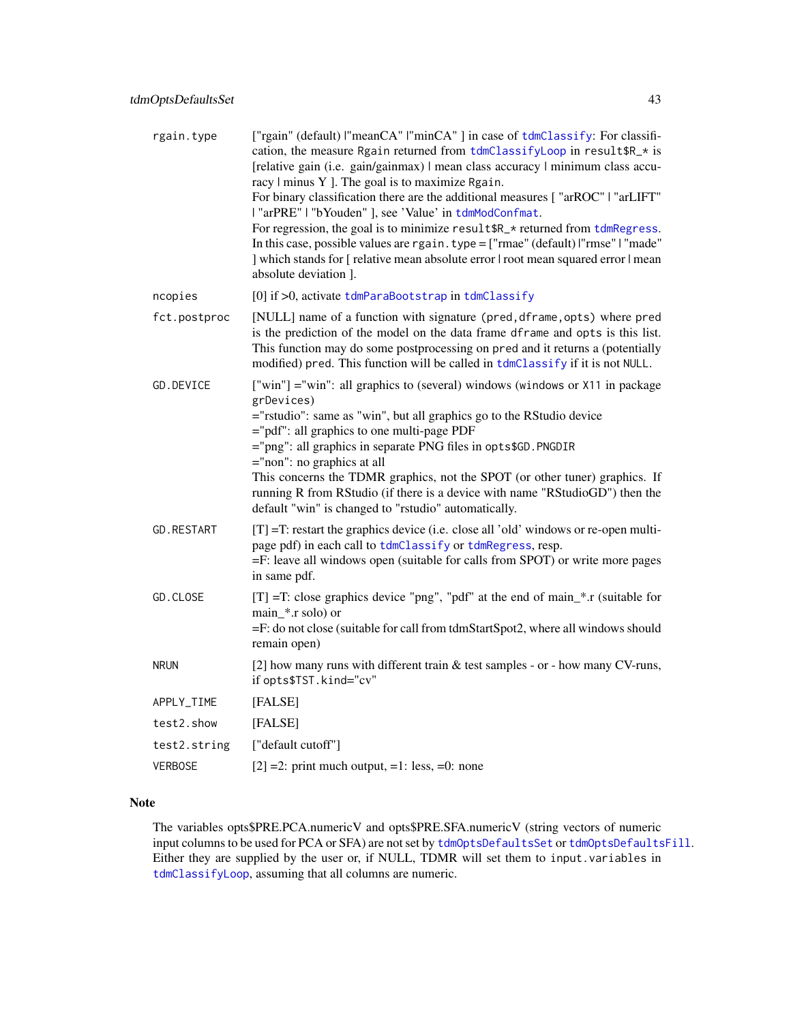<span id="page-42-0"></span>

| rgain.type        | ["rgain" (default)  "meanCA"  "minCA"] in case of tdmClassify: For classifi-<br>cation, the measure Rgain returned from tdmClassifyLoop in result \$R_* is<br>[relative gain (i.e. gain/gainmax)   mean class accuracy   minimum class accu-<br>racy   minus Y ]. The goal is to maximize Rgain.<br>For binary classification there are the additional measures ["arROC"   "arLIFT"<br>l "arPRE"   "bYouden" ], see 'Value' in tdmModConfmat.<br>For regression, the goal is to minimize result \$R_* returned from tdmRegress.<br>In this case, possible values are rgain. type = ["rmae" (default)  "rmse"   "made"<br>] which stands for [ relative mean absolute error   root mean squared error   mean<br>absolute deviation ]. |
|-------------------|--------------------------------------------------------------------------------------------------------------------------------------------------------------------------------------------------------------------------------------------------------------------------------------------------------------------------------------------------------------------------------------------------------------------------------------------------------------------------------------------------------------------------------------------------------------------------------------------------------------------------------------------------------------------------------------------------------------------------------------|
| ncopies           | $[0]$ if $>0$ , activate tdmParaBootstrap in tdmClassify                                                                                                                                                                                                                                                                                                                                                                                                                                                                                                                                                                                                                                                                             |
| fct.postproc      | [NULL] name of a function with signature (pred, dframe, opts) where pred<br>is the prediction of the model on the data frame dframe and opts is this list.<br>This function may do some postprocessing on pred and it returns a (potentially<br>modified) pred. This function will be called in tdmClassify if it is not NULL.                                                                                                                                                                                                                                                                                                                                                                                                       |
| GD.DEVICE         | ["win"] = "win": all graphics to (several) windows (windows or X11 in package<br>grDevices)<br>="rstudio": same as "win", but all graphics go to the RStudio device<br>="pdf": all graphics to one multi-page PDF<br>="png": all graphics in separate PNG files in opts\$GD. PNGDIR<br>$=$ "non": no graphics at all<br>This concerns the TDMR graphics, not the SPOT (or other tuner) graphics. If<br>running R from RStudio (if there is a device with name "RStudioGD") then the<br>default "win" is changed to "rstudio" automatically.                                                                                                                                                                                          |
| <b>GD.RESTART</b> | $[T] = T$ : restart the graphics device (i.e. close all 'old' windows or re-open multi-<br>page pdf) in each call to tdmClassify or tdmRegress, resp.<br>=F: leave all windows open (suitable for calls from SPOT) or write more pages<br>in same pdf.                                                                                                                                                                                                                                                                                                                                                                                                                                                                               |
| GD.CLOSE          | $[T]$ =T: close graphics device "png", "pdf" at the end of main_*.r (suitable for<br>$main$ *.r solo) or<br>=F: do not close (suitable for call from tdmStartSpot2, where all windows should<br>remain open)                                                                                                                                                                                                                                                                                                                                                                                                                                                                                                                         |
| <b>NRUN</b>       | [2] how many runs with different train $\&$ test samples - or - how many CV-runs,<br>if opts\$TST.kind="cv"                                                                                                                                                                                                                                                                                                                                                                                                                                                                                                                                                                                                                          |
| APPLY_TIME        | [FALSE]                                                                                                                                                                                                                                                                                                                                                                                                                                                                                                                                                                                                                                                                                                                              |
| test2.show        | [FALSE]                                                                                                                                                                                                                                                                                                                                                                                                                                                                                                                                                                                                                                                                                                                              |
| test2.string      | ["default cutoff"]                                                                                                                                                                                                                                                                                                                                                                                                                                                                                                                                                                                                                                                                                                                   |
| <b>VERBOSE</b>    | $[2] = 2$ : print much output, =1: less, =0: none                                                                                                                                                                                                                                                                                                                                                                                                                                                                                                                                                                                                                                                                                    |

## Note

The variables opts\$PRE.PCA.numericV and opts\$PRE.SFA.numericV (string vectors of numeric input columns to be used for PCA or SFA) are not set by [tdmOptsDefaultsSet](#page-38-1) or [tdmOptsDefaultsFill](#page-0-0). Either they are supplied by the user or, if NULL, TDMR will set them to input.variables in [tdmClassifyLoop](#page-18-1), assuming that all columns are numeric.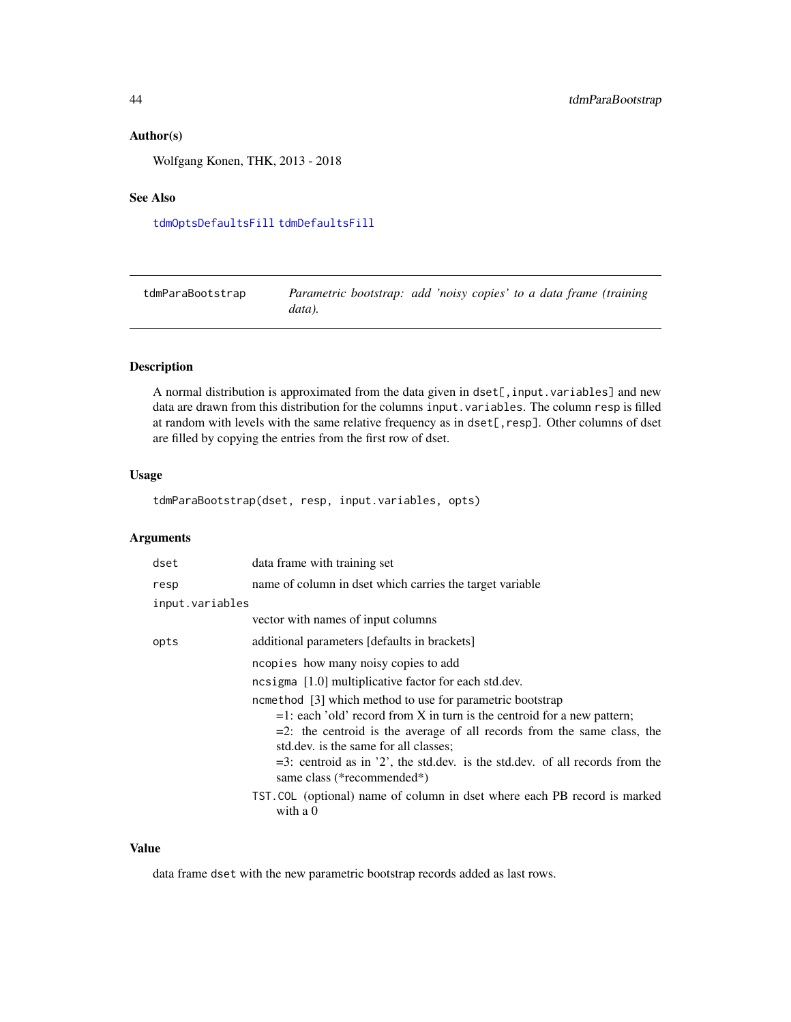## <span id="page-43-0"></span>Author(s)

Wolfgang Konen, THK, 2013 - 2018

## See Also

[tdmOptsDefaultsFill](#page-0-0) [tdmDefaultsFill](#page-21-1)

<span id="page-43-1"></span>

| tdmParaBootstrap | Parametric bootstrap: add 'noisy copies' to a data frame (training |  |  |  |
|------------------|--------------------------------------------------------------------|--|--|--|
|                  | data).                                                             |  |  |  |

## Description

A normal distribution is approximated from the data given in dset[, input.variables] and new data are drawn from this distribution for the columns input.variables. The column resp is filled at random with levels with the same relative frequency as in dset[, resp]. Other columns of dset are filled by copying the entries from the first row of dset.

## Usage

tdmParaBootstrap(dset, resp, input.variables, opts)

#### Arguments

| dset            | data frame with training set                                                                                                                                                                                                                                                                                                                                                    |  |
|-----------------|---------------------------------------------------------------------------------------------------------------------------------------------------------------------------------------------------------------------------------------------------------------------------------------------------------------------------------------------------------------------------------|--|
| resp            | name of column in dset which carries the target variable                                                                                                                                                                                                                                                                                                                        |  |
| input.variables |                                                                                                                                                                                                                                                                                                                                                                                 |  |
|                 | vector with names of input columns                                                                                                                                                                                                                                                                                                                                              |  |
| opts            | additional parameters [defaults in brackets]                                                                                                                                                                                                                                                                                                                                    |  |
|                 | ncopies how many noisy copies to add                                                                                                                                                                                                                                                                                                                                            |  |
|                 | ncsigma $[1.0]$ multiplicative factor for each std.dev.                                                                                                                                                                                                                                                                                                                         |  |
|                 | ncmethod [3] which method to use for parametric bootstrap<br>$=1$ : each 'old' record from X in turn is the centroid for a new pattern;<br>$=2$ : the centroid is the average of all records from the same class, the<br>std.dev. is the same for all classes;<br>$=$ 3: centroid as in '2', the std.dev. is the std.dev. of all records from the<br>same class (*recommended*) |  |
|                 | TST. COL (optional) name of column in dset where each PB record is marked<br>with a $0$                                                                                                                                                                                                                                                                                         |  |

#### Value

data frame dset with the new parametric bootstrap records added as last rows.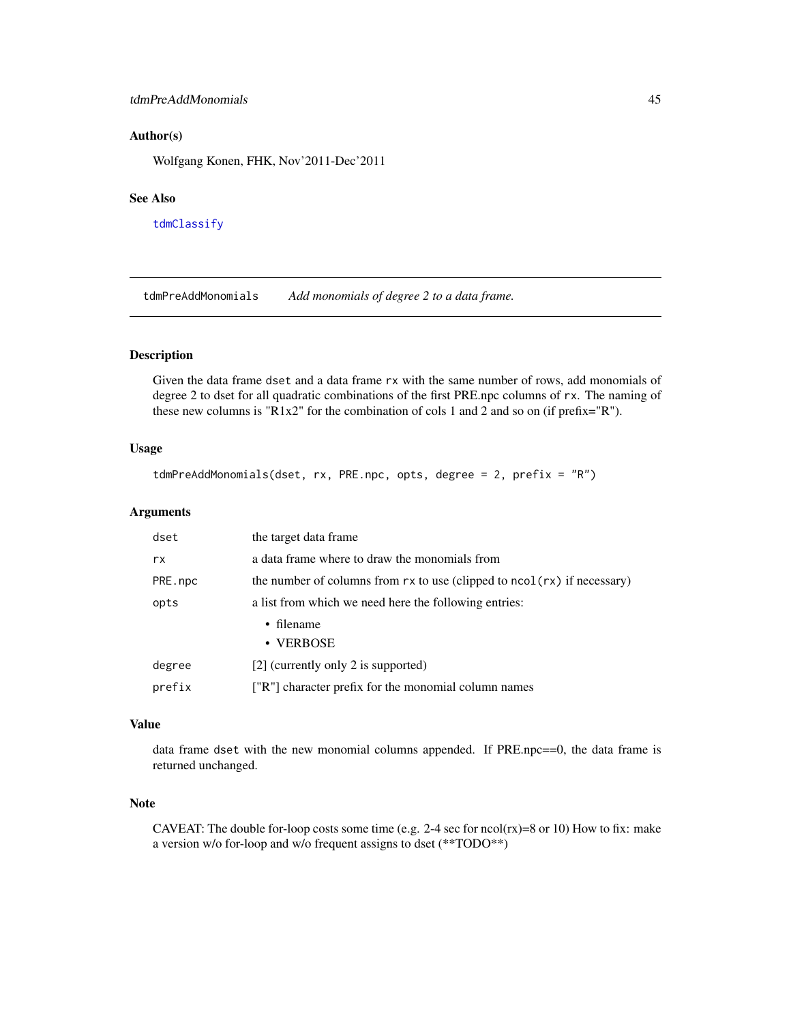#### <span id="page-44-0"></span>tdmPreAddMonomials 45

## Author(s)

Wolfgang Konen, FHK, Nov'2011-Dec'2011

#### See Also

[tdmClassify](#page-15-1)

tdmPreAddMonomials *Add monomials of degree 2 to a data frame.*

## Description

Given the data frame dset and a data frame rx with the same number of rows, add monomials of degree 2 to dset for all quadratic combinations of the first PRE.npc columns of rx. The naming of these new columns is "R1x2" for the combination of cols 1 and 2 and so on (if prefix="R").

## Usage

```
tdmPreAddMonomials(dset, rx, PRE.npc, opts, degree = 2, prefix = "R")
```
## Arguments

| dset                                                          | the target data frame                                                         |  |
|---------------------------------------------------------------|-------------------------------------------------------------------------------|--|
| rx                                                            | a data frame where to draw the monomials from                                 |  |
| PRE.npc                                                       | the number of columns from $rx$ to use (clipped to $ncol(rx)$ ) if necessary) |  |
| a list from which we need here the following entries:<br>opts |                                                                               |  |
|                                                               | $\cdot$ filename                                                              |  |
|                                                               | • VERBOSE                                                                     |  |
| degree                                                        | [2] (currently only 2 is supported)                                           |  |
| prefix                                                        | ["R"] character prefix for the monomial column names                          |  |

#### Value

data frame dset with the new monomial columns appended. If PRE.npc==0, the data frame is returned unchanged.

#### Note

CAVEAT: The double for-loop costs some time (e.g.  $2-4$  sec for ncol(rx)=8 or 10) How to fix: make a version w/o for-loop and w/o frequent assigns to dset (\*\*TODO\*\*)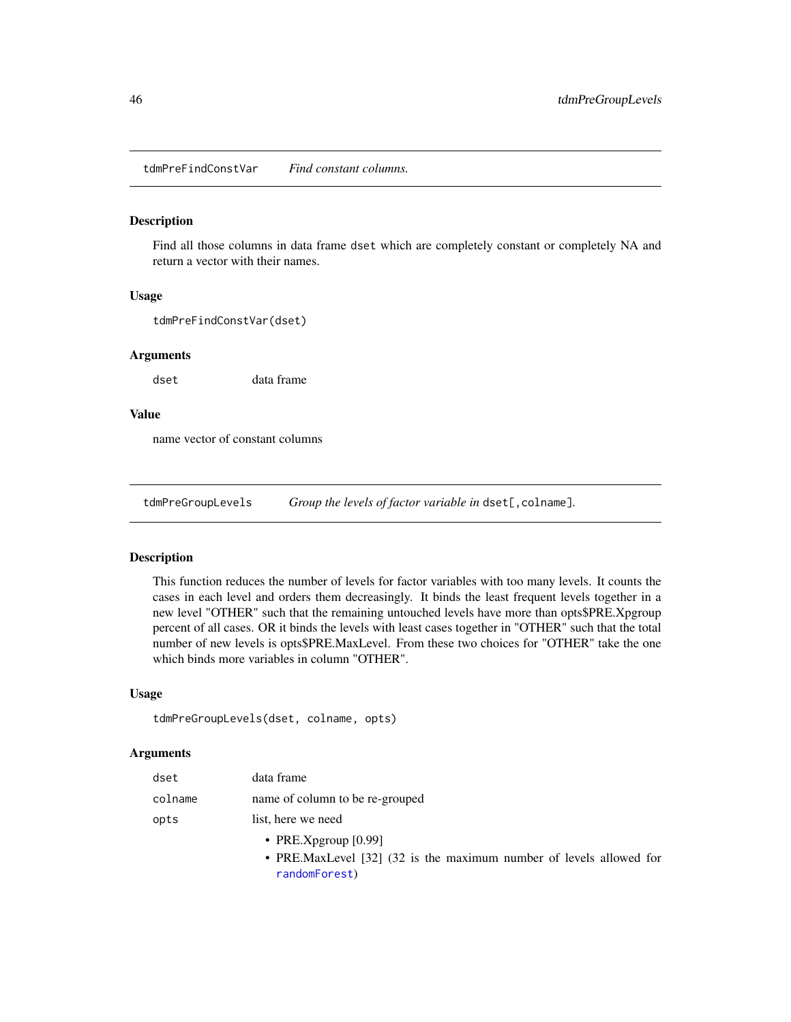<span id="page-45-0"></span>tdmPreFindConstVar *Find constant columns.*

#### Description

Find all those columns in data frame dset which are completely constant or completely NA and return a vector with their names.

#### Usage

tdmPreFindConstVar(dset)

#### Arguments

dset data frame

#### Value

name vector of constant columns

<span id="page-45-1"></span>tdmPreGroupLevels *Group the levels of factor variable in* dset[,colname]*.*

#### Description

This function reduces the number of levels for factor variables with too many levels. It counts the cases in each level and orders them decreasingly. It binds the least frequent levels together in a new level "OTHER" such that the remaining untouched levels have more than opts\$PRE.Xpgroup percent of all cases. OR it binds the levels with least cases together in "OTHER" such that the total number of new levels is opts\$PRE.MaxLevel. From these two choices for "OTHER" take the one which binds more variables in column "OTHER".

#### Usage

```
tdmPreGroupLevels(dset, colname, opts)
```
## **Arguments**

| dset    | data frame                      |
|---------|---------------------------------|
| colname | name of column to be re-grouped |
| opts    | list, here we need              |
|         | • PRE.Xpgroup $[0.99]$          |
|         |                                 |

• PRE.MaxLevel [32] (32 is the maximum number of levels allowed for [randomForest](#page-0-0))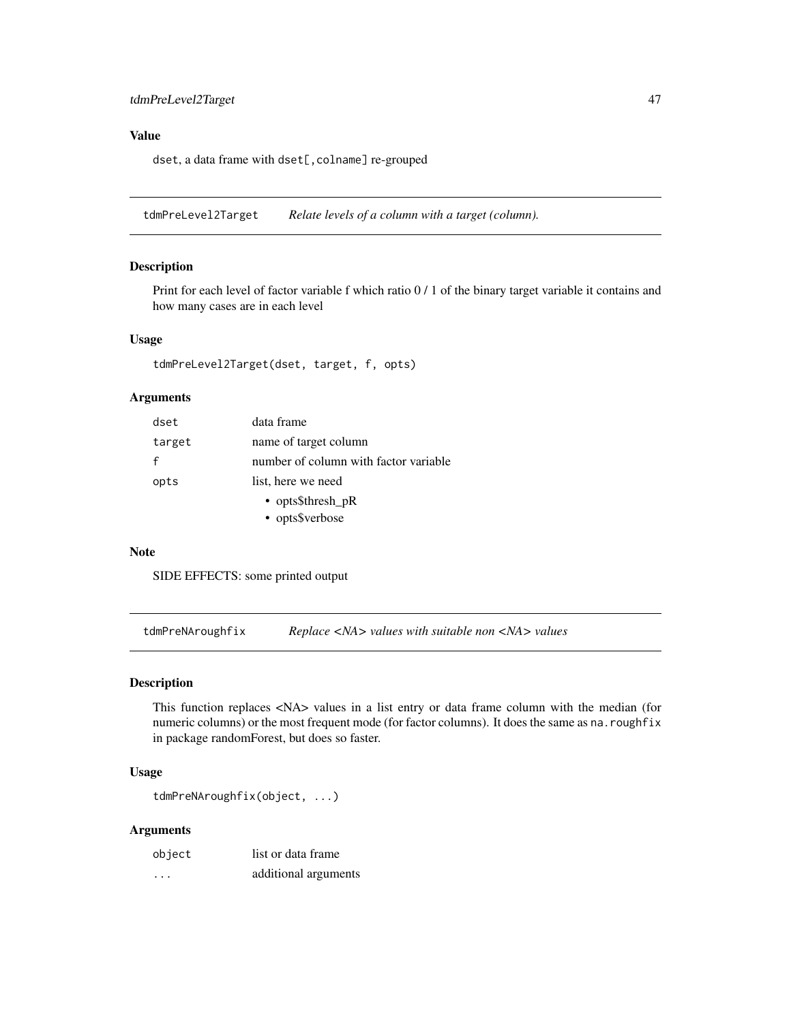## <span id="page-46-0"></span>Value

dset, a data frame with dset[, colname] re-grouped

tdmPreLevel2Target *Relate levels of a column with a target (column).*

## Description

Print for each level of factor variable f which ratio 0 / 1 of the binary target variable it contains and how many cases are in each level

#### Usage

tdmPreLevel2Target(dset, target, f, opts)

## Arguments

| dset   | data frame                            |
|--------|---------------------------------------|
| target | name of target column                 |
| f      | number of column with factor variable |
| opts   | list, here we need                    |
|        | • opts $$thresh_pR$                   |
|        | • opts\$verbose                       |

#### Note

SIDE EFFECTS: some printed output

tdmPreNAroughfix *Replace <NA> values with suitable non <NA> values*

#### Description

This function replaces <NA> values in a list entry or data frame column with the median (for numeric columns) or the most frequent mode (for factor columns). It does the same as na.roughfix in package randomForest, but does so faster.

#### Usage

```
tdmPreNAroughfix(object, ...)
```

| object                  | list or data frame   |
|-------------------------|----------------------|
| $\cdot$ $\cdot$ $\cdot$ | additional arguments |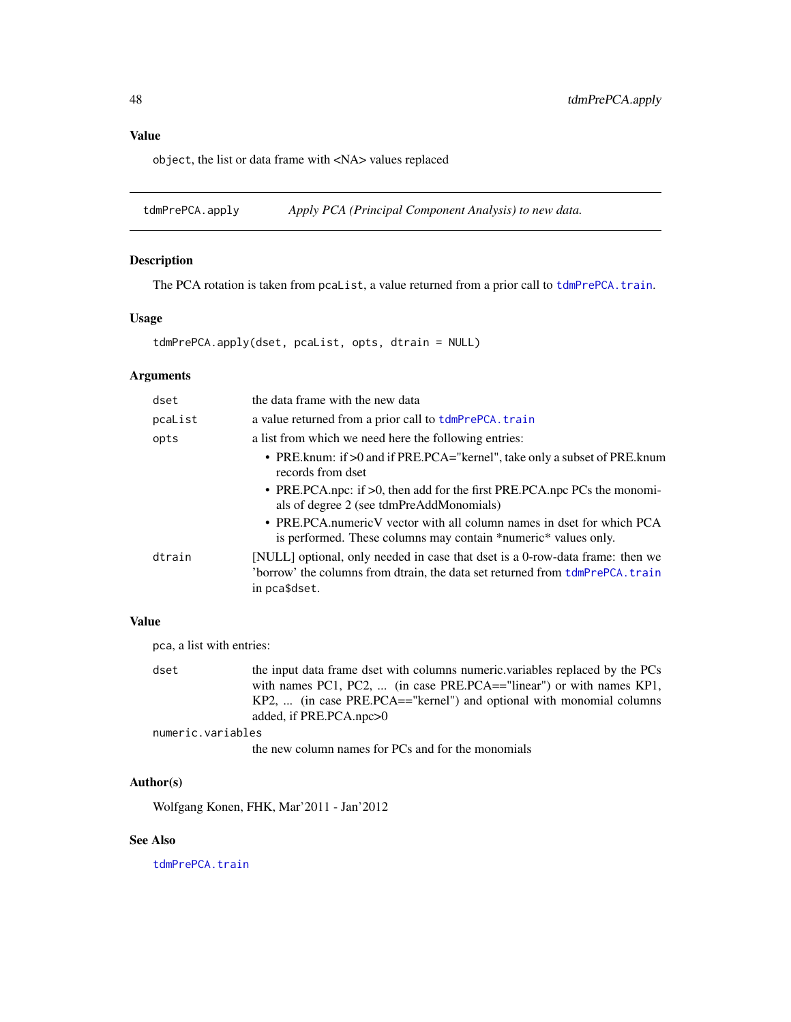## <span id="page-47-0"></span>Value

object, the list or data frame with <NA> values replaced

<span id="page-47-1"></span>tdmPrePCA.apply *Apply PCA (Principal Component Analysis) to new data.*

## Description

The PCA rotation is taken from pcaList, a value returned from a prior call to [tdmPrePCA.train](#page-48-1).

## Usage

```
tdmPrePCA.apply(dset, pcaList, opts, dtrain = NULL)
```
## Arguments

| dset    | the data frame with the new data                                                                                                                                                   |
|---------|------------------------------------------------------------------------------------------------------------------------------------------------------------------------------------|
| pcaList | a value returned from a prior call to tdmPrePCA. train                                                                                                                             |
| opts    | a list from which we need here the following entries:                                                                                                                              |
|         | • PRE. knum: if >0 and if PRE. PCA="kernel", take only a subset of PRE. knum<br>records from dset                                                                                  |
|         | • PRE.PCA.npc: if $>0$ , then add for the first PRE.PCA.npc PCs the monomi-<br>als of degree 2 (see tdmPreAddMonomials)                                                            |
|         | • PRE.PCA.numericV vector with all column names in dset for which PCA<br>is performed. These columns may contain *numeric* values only.                                            |
| dtrain  | [NULL] optional, only needed in case that dset is a 0-row-data frame: then we<br>'borrow' the columns from dtrain, the data set returned from $tdmPrePCA$ . train<br>in pca\$dset. |

## Value

pca, a list with entries:

| dset | the input data frame dset with columns numeric variables replaced by the PCs |
|------|------------------------------------------------------------------------------|
|      | with names PC1, PC2,  (in case PRE.PCA=="linear") or with names KP1,         |
|      | $KP2, \ldots$ (in case PRE.PCA=="kernel") and optional with monomial columns |
|      | added, if PRE.PCA.npc>0                                                      |

numeric.variables

the new column names for PCs and for the monomials

#### Author(s)

Wolfgang Konen, FHK, Mar'2011 - Jan'2012

#### See Also

[tdmPrePCA.train](#page-48-1)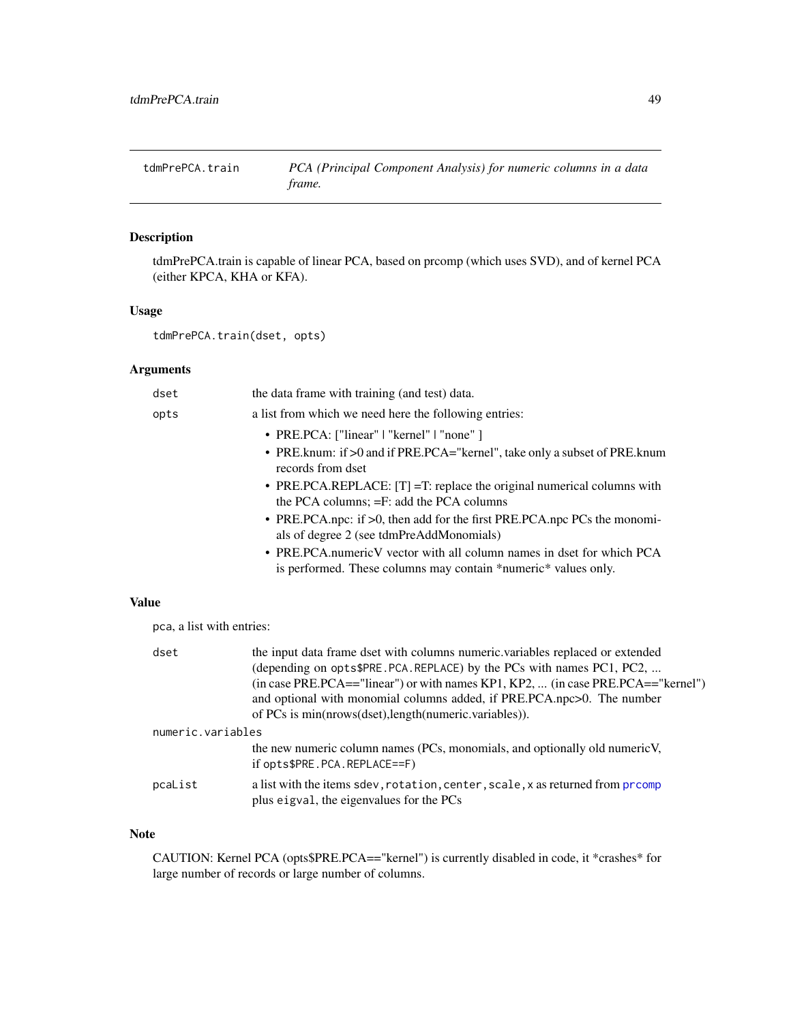<span id="page-48-1"></span><span id="page-48-0"></span>

tdmPrePCA.train is capable of linear PCA, based on prcomp (which uses SVD), and of kernel PCA (either KPCA, KHA or KFA).

## Usage

tdmPrePCA.train(dset, opts)

## Arguments

| dset | the data frame with training (and test) data.                                                                                                                                                                                                                                |
|------|------------------------------------------------------------------------------------------------------------------------------------------------------------------------------------------------------------------------------------------------------------------------------|
| opts | a list from which we need here the following entries:                                                                                                                                                                                                                        |
|      | • PRE.PCA: ["linear"   "kernel"   "none" ]<br>• PRE. knum: if >0 and if PRE. PCA="kernel", take only a subset of PRE. knum<br>records from dset<br>• PRE.PCA.REPLACE: $[T] = T$ : replace the original numerical columns with<br>the PCA columns; $=F$ : add the PCA columns |
|      | • PRE.PCA.npc: if $>0$ , then add for the first PRE.PCA.npc PCs the monomi-<br>als of degree 2 (see tdmPreAddMonomials)<br>• PRE.PCA.numericV vector with all column names in dset for which PCA                                                                             |
| ne   | is performed. These columns may contain *numeric* values only.                                                                                                                                                                                                               |

Valu

pca, a list with entries:

| dset              | the input data frame dset with columns numeric variables replaced or extended<br>(depending on opts\$PRE.PCA.REPLACE) by the PCs with names PC1, PC2,<br>(in case PRE.PCA=="linear") or with names KP1, KP2,  (in case PRE.PCA=="kernel")<br>and optional with monomial columns added, if PRE.PCA.npc>0. The number<br>of PCs is min(nrows(dset),length(numeric.variables)). |  |
|-------------------|------------------------------------------------------------------------------------------------------------------------------------------------------------------------------------------------------------------------------------------------------------------------------------------------------------------------------------------------------------------------------|--|
| numeric.variables |                                                                                                                                                                                                                                                                                                                                                                              |  |
|                   | the new numeric column names (PCs, monomials, and optionally old numeric V,<br>if $opts$PRE.PCA.PEPLACE==F)$                                                                                                                                                                                                                                                                 |  |
| pcaList           | a list with the items sdev, rotation, center, scale, x as returned from promp<br>plus eigval, the eigenvalues for the PCs                                                                                                                                                                                                                                                    |  |

#### Note

CAUTION: Kernel PCA (opts\$PRE.PCA=="kernel") is currently disabled in code, it \*crashes\* for large number of records or large number of columns.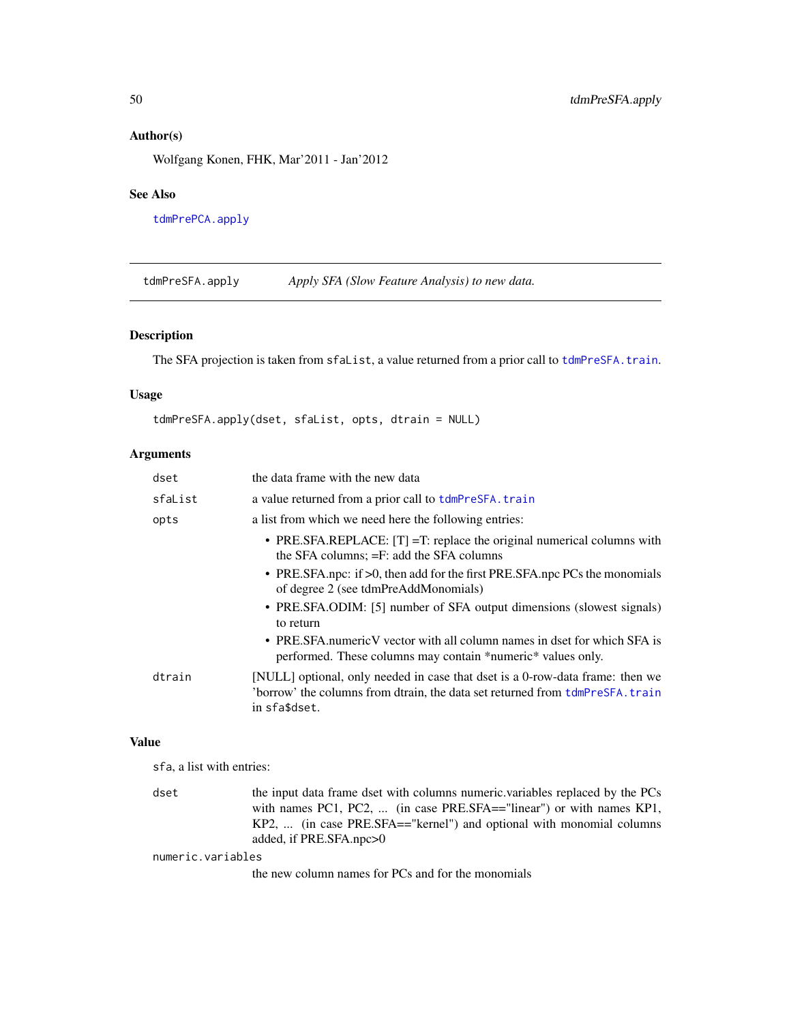#### Author(s)

Wolfgang Konen, FHK, Mar'2011 - Jan'2012

#### See Also

[tdmPrePCA.apply](#page-47-1)

<span id="page-49-1"></span>tdmPreSFA.apply *Apply SFA (Slow Feature Analysis) to new data.*

## Description

The SFA projection is taken from sfaList, a value returned from a prior call to [tdmPreSFA.train](#page-50-1).

#### Usage

```
tdmPreSFA.apply(dset, sfaList, opts, dtrain = NULL)
```
## Arguments

| dset    | the data frame with the new data                                                                                                                                                   |
|---------|------------------------------------------------------------------------------------------------------------------------------------------------------------------------------------|
| sfaList | a value returned from a prior call to tdmPreSFA.train                                                                                                                              |
| opts    | a list from which we need here the following entries:                                                                                                                              |
|         | • PRE.SFA.REPLACE: $[T] = T$ : replace the original numerical columns with<br>the SFA columns; = F: add the SFA columns                                                            |
|         | • PRE.SFA.npc: if >0, then add for the first PRE.SFA.npc PCs the monomials<br>of degree 2 (see tdmPreAddMonomials)                                                                 |
|         | • PRE.SFA.ODIM: [5] number of SFA output dimensions (slowest signals)<br>to return                                                                                                 |
|         | • PRE SFA numeric V vector with all column names in dset for which SFA is<br>performed. These columns may contain *numeric* values only.                                           |
| dtrain  | [NULL] optional, only needed in case that dset is a 0-row-data frame: then we<br>'borrow' the columns from dtrain, the data set returned from $tdmPresFA$ . train<br>in sfa\$dset. |

#### Value

sfa, a list with entries:

dset the input data frame dset with columns numeric.variables replaced by the PCs with names PC1, PC2, ... (in case PRE.SFA=="linear") or with names KP1, KP2, ... (in case PRE.SFA=="kernel") and optional with monomial columns added, if PRE.SFA.npc>0

numeric.variables

the new column names for PCs and for the monomials

<span id="page-49-0"></span>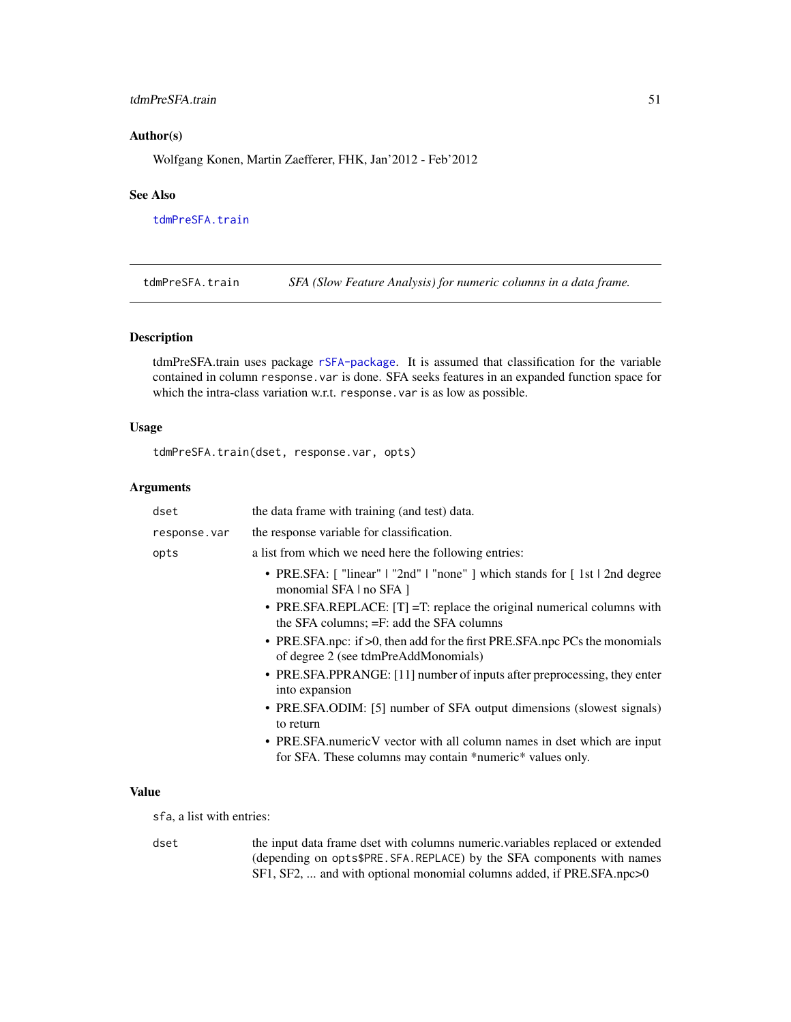## <span id="page-50-0"></span>tdmPreSFA.train 51

#### Author(s)

Wolfgang Konen, Martin Zaefferer, FHK, Jan'2012 - Feb'2012

#### See Also

[tdmPreSFA.train](#page-50-1)

<span id="page-50-1"></span>tdmPreSFA.train *SFA (Slow Feature Analysis) for numeric columns in a data frame.*

#### Description

tdmPreSFA.train uses package [rSFA-package](#page-0-0). It is assumed that classification for the variable contained in column response.var is done. SFA seeks features in an expanded function space for which the intra-class variation w.r.t. response.var is as low as possible.

## Usage

tdmPreSFA.train(dset, response.var, opts)

#### Arguments

| dset         | the data frame with training (and test) data.                                                                                        |
|--------------|--------------------------------------------------------------------------------------------------------------------------------------|
| response.var | the response variable for classification.                                                                                            |
| opts         | a list from which we need here the following entries:                                                                                |
|              | • PRE.SFA: ["linear"   "2nd"   "none"   which stands for [1st   2nd degree<br>monomial SFA   no SFA ]                                |
|              | • PRE.SFA.REPLACE: $[T] = T$ : replace the original numerical columns with<br>the SFA columns; = F: add the SFA columns              |
|              | • PRE.SFA.npc: if >0, then add for the first PRE.SFA.npc PCs the monomials<br>of degree 2 (see tdmPreAddMonomials)                   |
|              | • PRE.SFA.PPRANGE: [11] number of inputs after preprocessing, they enter<br>into expansion                                           |
|              | • PRE.SFA.ODIM: [5] number of SFA output dimensions (slowest signals)<br>to return                                                   |
|              | • PRE.SFA.numericV vector with all column names in dset which are input<br>for SFA. These columns may contain *numeric* values only. |
|              |                                                                                                                                      |

## Value

sfa, a list with entries:

dset the input data frame dset with columns numeric.variables replaced or extended (depending on opts\$PRE.SFA.REPLACE) by the SFA components with names SF1, SF2, ... and with optional monomial columns added, if PRE.SFA.npc>0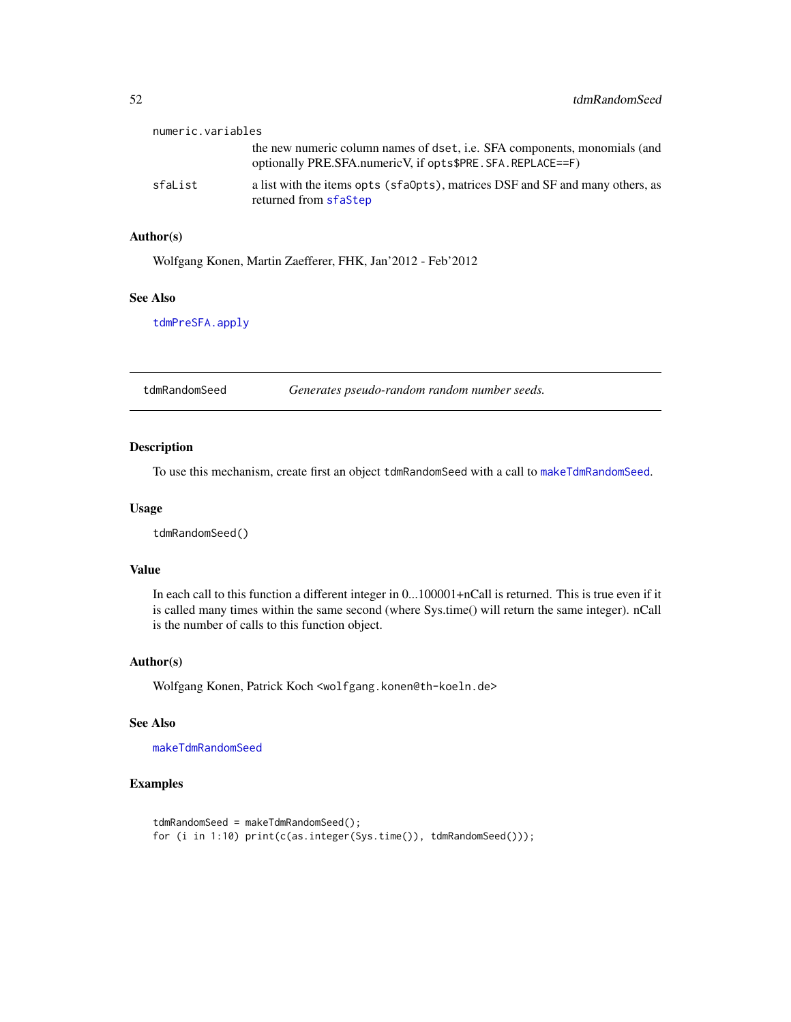<span id="page-51-0"></span>

| numeric.variables |                                                                                                                                                  |
|-------------------|--------------------------------------------------------------------------------------------------------------------------------------------------|
|                   | the new numeric column names of dset, <i>i.e.</i> SFA components, monomials (and<br>optionally PRE.SFA.numeric V, if opts\$PRE. SFA. REPLACE==F) |
| sfaList           | a list with the items opts (sfa0pts), matrices DSF and SF and many others, as<br>returned from sfaStep                                           |

## Author(s)

Wolfgang Konen, Martin Zaefferer, FHK, Jan'2012 - Feb'2012

#### See Also

[tdmPreSFA.apply](#page-49-1)

<span id="page-51-1"></span>tdmRandomSeed *Generates pseudo-random random number seeds.*

## Description

To use this mechanism, create first an object tdmRandomSeed with a call to [makeTdmRandomSeed](#page-0-0).

#### Usage

tdmRandomSeed()

#### Value

In each call to this function a different integer in 0...100001+nCall is returned. This is true even if it is called many times within the same second (where Sys.time() will return the same integer). nCall is the number of calls to this function object.

## Author(s)

Wolfgang Konen, Patrick Koch <wolfgang.konen@th-koeln.de>

#### See Also

[makeTdmRandomSeed](#page-0-0)

#### Examples

```
tdmRandomSeed = makeTdmRandomSeed();
for (i in 1:10) print(c(as.integer(Sys.time()), tdmRandomSeed()));
```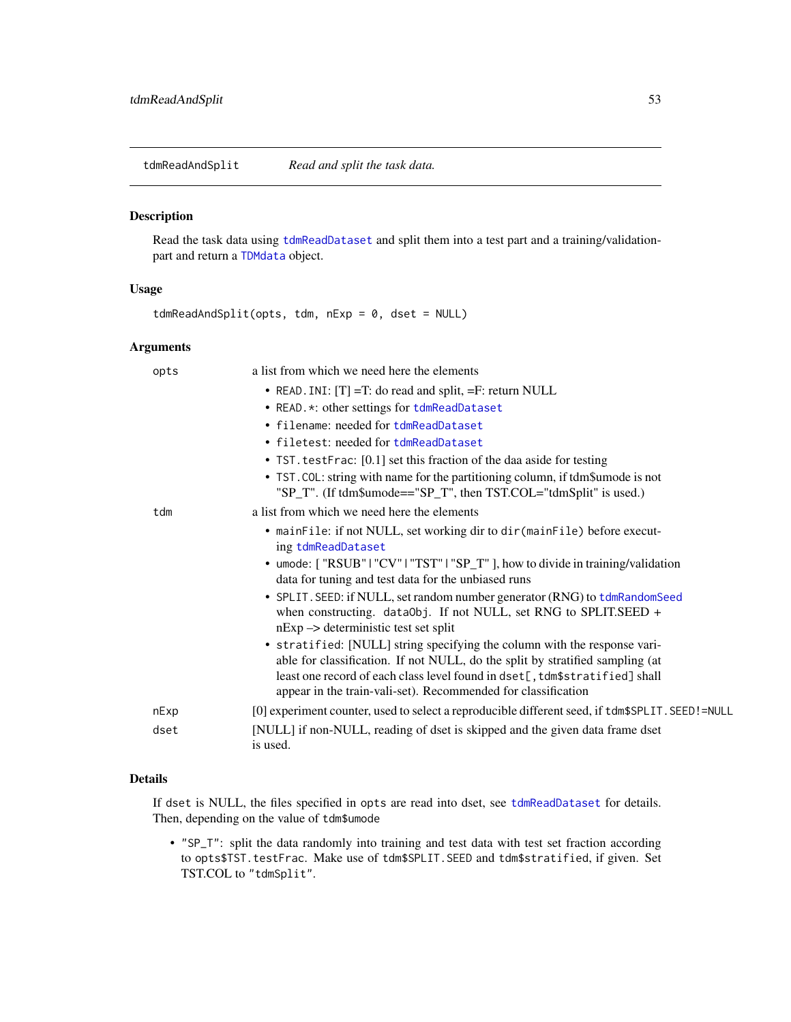<span id="page-52-2"></span><span id="page-52-0"></span>tdmReadAndSplit *Read and split the task data.*

#### <span id="page-52-1"></span>Description

Read the task data using [tdmReadDataset](#page-53-1) and split them into a test part and a training/validationpart and return a [TDMdata](#page-52-1) object.

#### Usage

tdmReadAndSplit(opts, tdm, nExp = 0, dset = NULL)

## Arguments

| opts | a list from which we need here the elements                                                                                                                                                                                                                                                                |
|------|------------------------------------------------------------------------------------------------------------------------------------------------------------------------------------------------------------------------------------------------------------------------------------------------------------|
|      | • READ. INI: $[T] = T$ : do read and split, $=F$ : return NULL                                                                                                                                                                                                                                             |
|      | • READ. *: other settings for tdmReadDataset                                                                                                                                                                                                                                                               |
|      | • filename: needed for tdmReadDataset                                                                                                                                                                                                                                                                      |
|      | • filetest: needed for tdmReadDataset                                                                                                                                                                                                                                                                      |
|      | • TST. testFrac: [0.1] set this fraction of the daa aside for testing                                                                                                                                                                                                                                      |
|      | • TST. COL: string with name for the partitioning column, if tdm\$umode is not<br>"SP_T". (If tdm\$umode=="SP_T", then TST.COL="tdmSplit" is used.)                                                                                                                                                        |
| tdm  | a list from which we need here the elements                                                                                                                                                                                                                                                                |
|      | • mainFile: if not NULL, set working dir to dir (mainFile) before execut-<br>ing tdmReadDataset                                                                                                                                                                                                            |
|      | • umode: ["RSUB"   "CV"   "TST"   "SP_T" ], how to divide in training/validation<br>data for tuning and test data for the unbiased runs                                                                                                                                                                    |
|      | • SPLIT. SEED: if NULL, set random number generator (RNG) to tdmRandomSeed<br>when constructing. dataObj. If not NULL, set RNG to SPLIT.SEED $+$<br>$nExp \rightarrow$ deterministic test set split                                                                                                        |
|      | • stratified: [NULL] string specifying the column with the response vari-<br>able for classification. If not NULL, do the split by stratified sampling (at<br>least one record of each class level found in dset[, tdm\$stratified] shall<br>appear in the train-vali-set). Recommended for classification |
| nExp | [0] experiment counter, used to select a reproducible different seed, if tdm\$SPLIT. SEED!=NULL                                                                                                                                                                                                            |
| dset | [NULL] if non-NULL, reading of dset is skipped and the given data frame dset<br>is used.                                                                                                                                                                                                                   |

## Details

If dset is NULL, the files specified in opts are read into dset, see [tdmReadDataset](#page-53-1) for details. Then, depending on the value of tdm\$umode

• "SP\_T": split the data randomly into training and test data with test set fraction according to opts\$TST.testFrac. Make use of tdm\$SPLIT.SEED and tdm\$stratified, if given. Set TST.COL to "tdmSplit".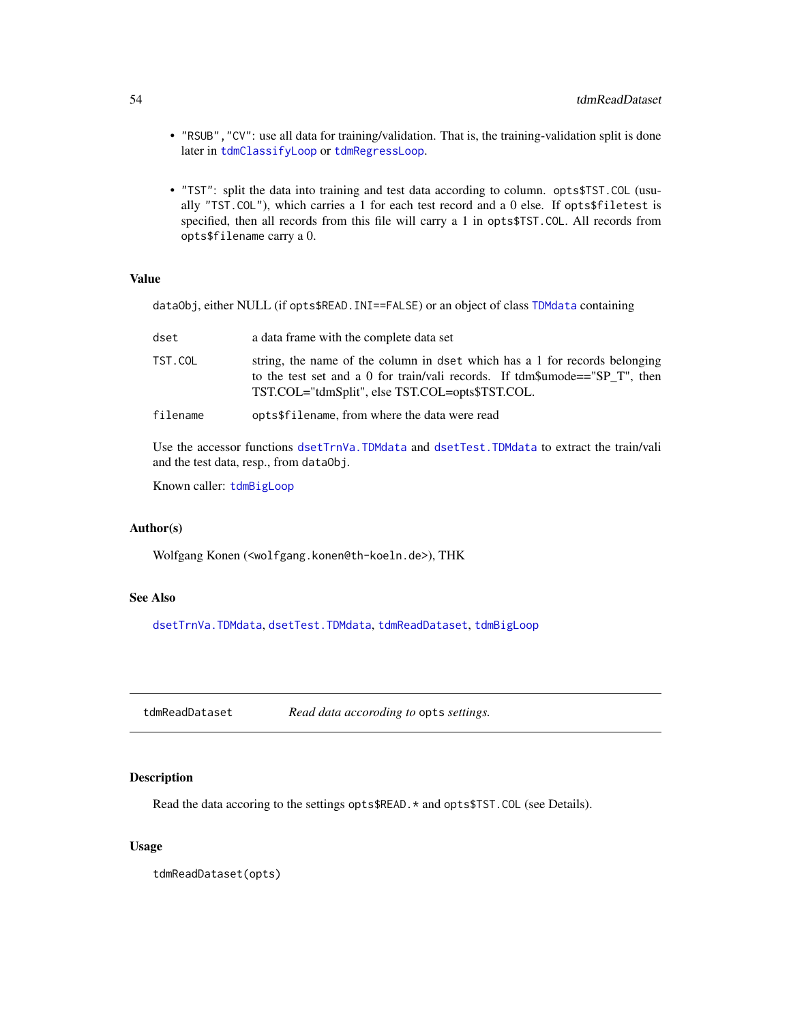- "RSUB","CV": use all data for training/validation. That is, the training-validation split is done later in [tdmClassifyLoop](#page-18-1) or [tdmRegressLoop](#page-57-1).
- "TST": split the data into training and test data according to column. opts\$TST.COL (usually "TST.COL"), which carries a 1 for each test record and a 0 else. If opts\$filetest is specified, then all records from this file will carry a 1 in opts\$TST.COL. All records from opts\$filename carry a 0.

#### Value

dataObj, either NULL (if opts\$READ.INI==FALSE) or an object of class [TDMdata](#page-52-1) containing

| dset     | a data frame with the complete data set                                                                                                                                                                      |
|----------|--------------------------------------------------------------------------------------------------------------------------------------------------------------------------------------------------------------|
| TST.COL  | string, the name of the column in dset which has a 1 for records belonging<br>to the test set and a 0 for train/vali records. If tdm\$umode=="SP T", then<br>TST.COL="tdmSplit", else TST.COL=opts\$TST.COL. |
| filename | opts\$filename, from where the data were read                                                                                                                                                                |

Use the accessor functions [dsetTrnVa.TDMdata](#page-6-1) and [dsetTest.TDMdata](#page-5-1) to extract the train/vali and the test data, resp., from dataObj.

Known caller: [tdmBigLoop](#page-11-1)

#### Author(s)

Wolfgang Konen (<wolfgang.konen@th-koeln.de>), THK

## See Also

[dsetTrnVa.TDMdata](#page-6-1), [dsetTest.TDMdata](#page-5-1), [tdmReadDataset](#page-53-1), [tdmBigLoop](#page-11-1)

<span id="page-53-1"></span>tdmReadDataset *Read data accoroding to* opts *settings.*

#### Description

Read the data accoring to the settings opts\$READ.\* and opts\$TST.COL (see Details).

#### Usage

tdmReadDataset(opts)

<span id="page-53-0"></span>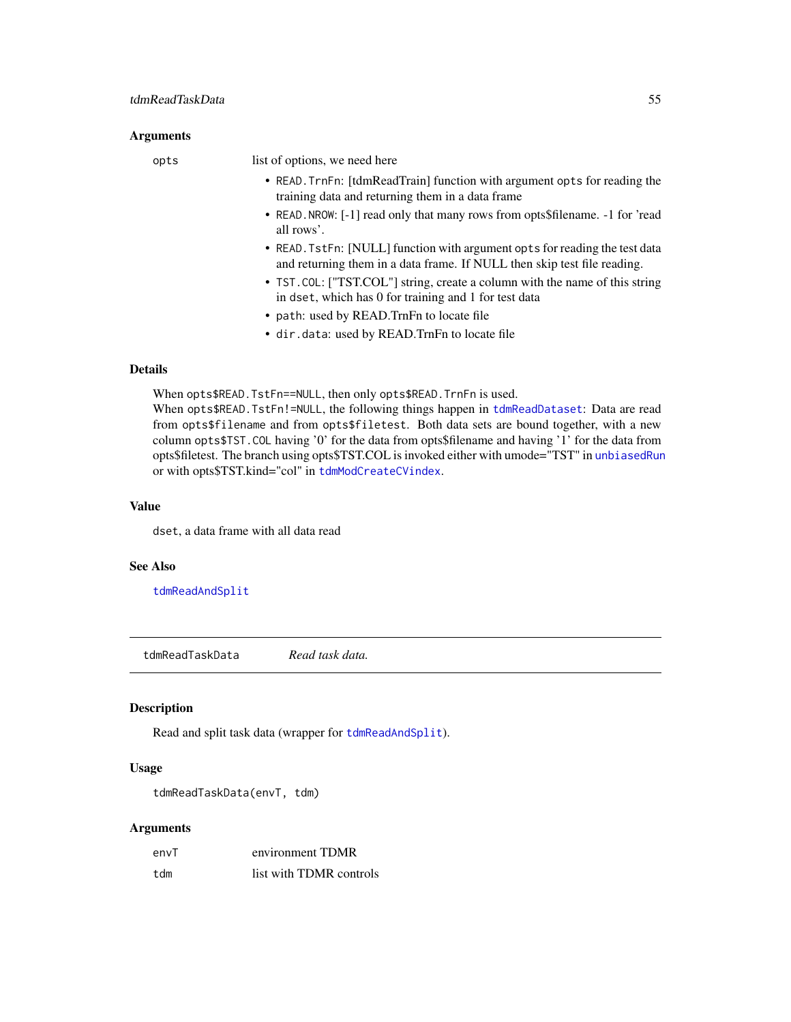#### <span id="page-54-0"></span>**Arguments**

opts list of options, we need here

- READ.TrnFn: [tdmReadTrain] function with argument opts for reading the training data and returning them in a data frame
- READ.NROW: [-1] read only that many rows from opts\$filename. -1 for 'read all rows'.
- READ.TstFn: [NULL] function with argument opts for reading the test data and returning them in a data frame. If NULL then skip test file reading.
- TST.COL: ["TST.COL"] string, create a column with the name of this string in dset, which has 0 for training and 1 for test data
- path: used by READ.TrnFn to locate file
- dir.data: used by READ.TrnFn to locate file

## Details

When opts\$READ.TstFn==NULL, then only opts\$READ.TrnFn is used.

When opts\$READ.TstFn!=NULL, the following things happen in [tdmReadDataset](#page-53-1): Data are read from opts\$filename and from opts\$filetest. Both data sets are bound together, with a new column opts\$TST.COL having '0' for the data from opts\$filename and having '1' for the data from opts\$filetest. The branch using opts\$TST.COL is invoked either with umode="TST" in [unbiasedRun](#page-65-1) or with opts\$TST.kind="col" in [tdmModCreateCVindex](#page-35-1).

#### Value

dset, a data frame with all data read

#### See Also

[tdmReadAndSplit](#page-52-2)

tdmReadTaskData *Read task data.*

#### Description

Read and split task data (wrapper for [tdmReadAndSplit](#page-52-2)).

#### Usage

```
tdmReadTaskData(envT, tdm)
```

| envT | environment TDMR        |
|------|-------------------------|
| tdm  | list with TDMR controls |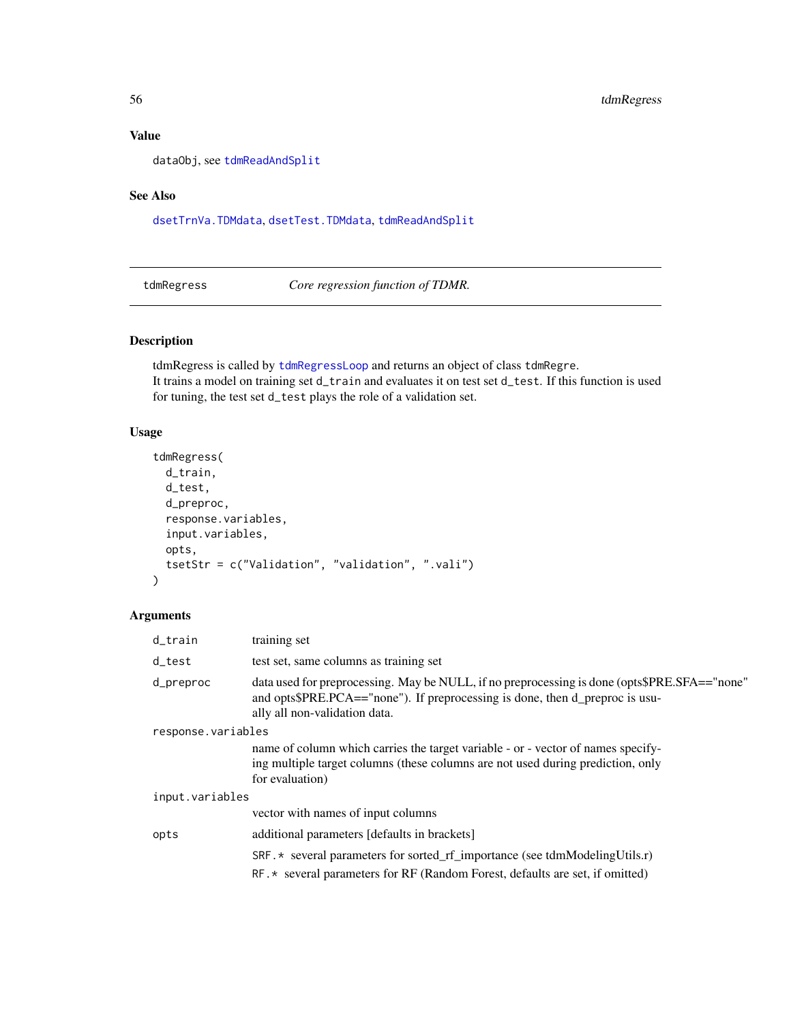## Value

dataObj, see [tdmReadAndSplit](#page-52-2)

## See Also

[dsetTrnVa.TDMdata](#page-6-1), [dsetTest.TDMdata](#page-5-1), [tdmReadAndSplit](#page-52-2)

<span id="page-55-1"></span>tdmRegress *Core regression function of TDMR.*

## Description

tdmRegress is called by [tdmRegressLoop](#page-57-1) and returns an object of class tdmRegre. It trains a model on training set d\_train and evaluates it on test set d\_test. If this function is used for tuning, the test set d\_test plays the role of a validation set.

## Usage

```
tdmRegress(
 d_train,
  d_test,
  d_preproc,
  response.variables,
  input.variables,
 opts,
  tsetStr = c("Validation", "validation", ".vali")
)
```

| d_train            | training set                                                                                                                                                                                                  |
|--------------------|---------------------------------------------------------------------------------------------------------------------------------------------------------------------------------------------------------------|
| d_test             | test set, same columns as training set                                                                                                                                                                        |
| d_preproc          | data used for preprocessing. May be NULL, if no preprocessing is done (opts\$PRE.SFA=="none"<br>and opts\$PRE.PCA=="none"). If preprocessing is done, then d_preproc is usu-<br>ally all non-validation data. |
| response.variables |                                                                                                                                                                                                               |
|                    | name of column which carries the target variable - or - vector of names specify-<br>ing multiple target columns (these columns are not used during prediction, only<br>for evaluation)                        |
| input.variables    |                                                                                                                                                                                                               |
|                    | vector with names of input columns                                                                                                                                                                            |
| opts               | additional parameters [defaults in brackets]                                                                                                                                                                  |
|                    | $SRF.*$ several parameters for sorted_rf_importance (see tdmModelingUtils.r)                                                                                                                                  |
|                    | RF. * several parameters for RF (Random Forest, defaults are set, if omitted)                                                                                                                                 |

<span id="page-55-0"></span>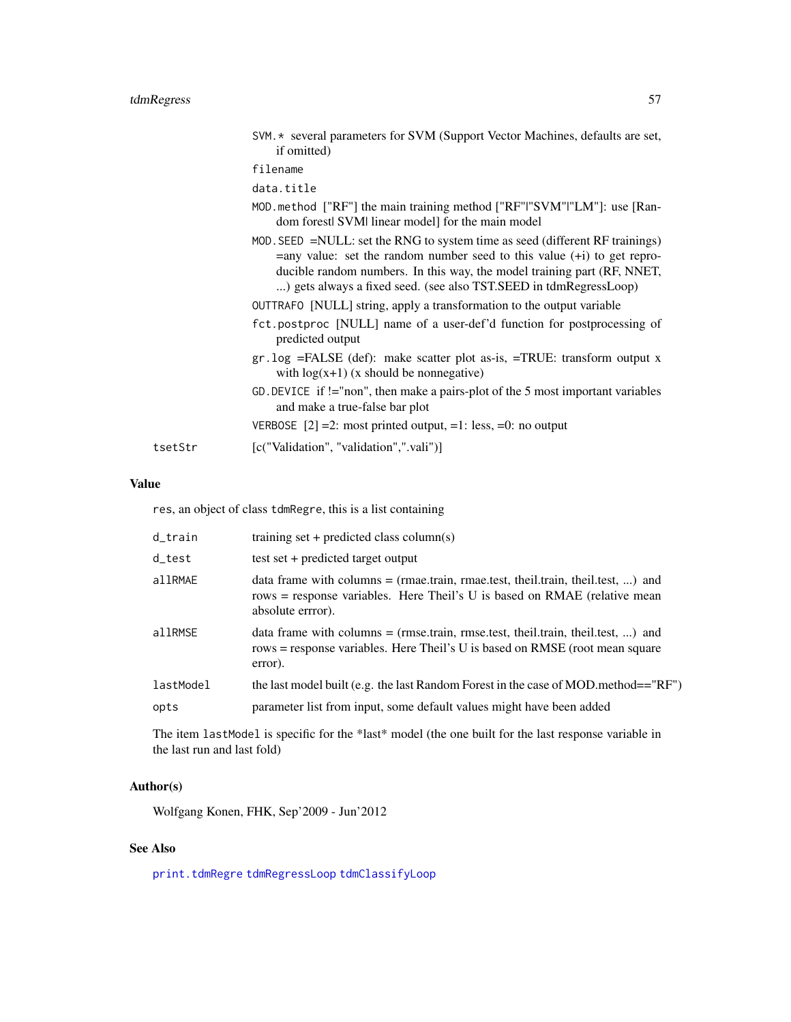<span id="page-56-0"></span>

|         | SVM. * several parameters for SVM (Support Vector Machines, defaults are set,<br>if omitted)                                                                                                                                                                                                                    |
|---------|-----------------------------------------------------------------------------------------------------------------------------------------------------------------------------------------------------------------------------------------------------------------------------------------------------------------|
|         | filename                                                                                                                                                                                                                                                                                                        |
|         | data.title                                                                                                                                                                                                                                                                                                      |
|         | MOD method ["RF"] the main training method ["RF" "SVM" "LM"]: use [Ran-<br>dom forest SVM linear model for the main model                                                                                                                                                                                       |
|         | MOD. SEED $=$ NULL: set the RNG to system time as seed (different RF trainings)<br>$=$ any value: set the random number seed to this value $(+i)$ to get repro-<br>ducible random numbers. In this way, the model training part (RF, NNET,<br>) gets always a fixed seed. (see also TST.SEED in tdmRegressLoop) |
|         | OUTTRAFO [NULL] string, apply a transformation to the output variable                                                                                                                                                                                                                                           |
|         | fct.postproc [NULL] name of a user-def'd function for postprocessing of<br>predicted output                                                                                                                                                                                                                     |
|         | $gr. log = FALSE (def): make scatter plot as-is, = TRUE: transform output x$<br>with $log(x+1)$ (x should be nonnegative)                                                                                                                                                                                       |
|         | GD. DEVICE if $!=$ "non", then make a pairs-plot of the 5 most important variables<br>and make a true-false bar plot                                                                                                                                                                                            |
|         | VERBOSE $[2] = 2$ : most printed output, =1: less, =0: no output                                                                                                                                                                                                                                                |
| tsetStr | [c("Validation", "validation",".vali")]                                                                                                                                                                                                                                                                         |

## Value

res, an object of class tdmRegre, this is a list containing

| d_train   | training set + predicted class column(s)                                                                                                                                             |
|-----------|--------------------------------------------------------------------------------------------------------------------------------------------------------------------------------------|
| d_test    | test set + predicted target output                                                                                                                                                   |
| allRMAE   | data frame with columns $=$ (rmae.train, rmae.test, theil.train, theil.test, ) and<br>rows = response variables. Here Theil's U is based on RMAE (relative mean<br>absolute errror). |
| allRMSE   | data frame with columns $=$ (rmse.train, rmse.test, theil.train, theil.test, ) and<br>rows = response variables. Here Theil's U is based on RMSE (root mean square<br>error).        |
| lastModel | the last model built (e.g. the last Random Forest in the case of MOD method== $R$ F")                                                                                                |
| opts      | parameter list from input, some default values might have been added                                                                                                                 |

The item lastModel is specific for the \*last\* model (the one built for the last response variable in the last run and last fold)

## Author(s)

Wolfgang Konen, FHK, Sep'2009 - Jun'2012

## See Also

[print.tdmRegre](#page-10-2) [tdmRegressLoop](#page-57-1) [tdmClassifyLoop](#page-18-1)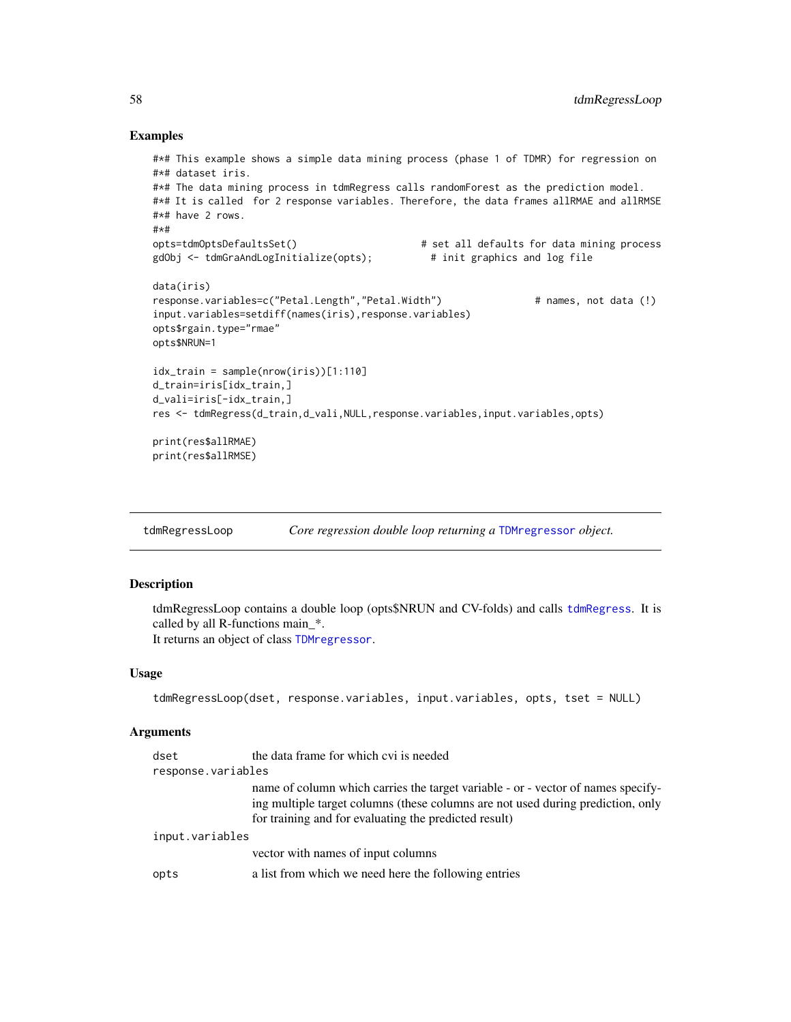#### Examples

```
#*# This example shows a simple data mining process (phase 1 of TDMR) for regression on
#*# dataset iris.
#*# The data mining process in tdmRegress calls randomForest as the prediction model.
#*# It is called for 2 response variables. Therefore, the data frames allRMAE and allRMSE
#*# have 2 rows.
#*#
opts=tdmOptsDefaultsSet() # set all defaults for data mining process
gdObj <- tdmGraAndLogInitialize(opts); # init graphics and log file
data(iris)
response.variables=c("Petal.Length","Petal.Width") # names, not data (!)
input.variables=setdiff(names(iris),response.variables)
opts$rgain.type="rmae"
opts$NRUN=1
idx\_train = sample(nrow(iris))[1:110]d_train=iris[idx_train,]
d_vali=iris[-idx_train,]
res <- tdmRegress(d_train,d_vali,NULL,response.variables,input.variables,opts)
print(res$allRMAE)
print(res$allRMSE)
```
<span id="page-57-1"></span>

| Core regression double loop returning a TDMregressor object.<br>tdmRegressLoop |  |
|--------------------------------------------------------------------------------|--|

## <span id="page-57-2"></span>Description

tdmRegressLoop contains a double loop (opts\$NRUN and CV-folds) and calls [tdmRegress](#page-55-1). It is called by all R-functions main\_\*. It returns an object of class [TDMregressor](#page-57-2).

#### Usage

```
tdmRegressLoop(dset, response.variables, input.variables, opts, tset = NULL)
```

| dset               | the data frame for which cvi is needed                                                                                                                                                                                       |
|--------------------|------------------------------------------------------------------------------------------------------------------------------------------------------------------------------------------------------------------------------|
| response.variables |                                                                                                                                                                                                                              |
|                    | name of column which carries the target variable - or - vector of names specify-<br>ing multiple target columns (these columns are not used during prediction, only<br>for training and for evaluating the predicted result) |
| input.variables    |                                                                                                                                                                                                                              |
|                    | vector with names of input columns                                                                                                                                                                                           |
| opts               | a list from which we need here the following entries                                                                                                                                                                         |

<span id="page-57-0"></span>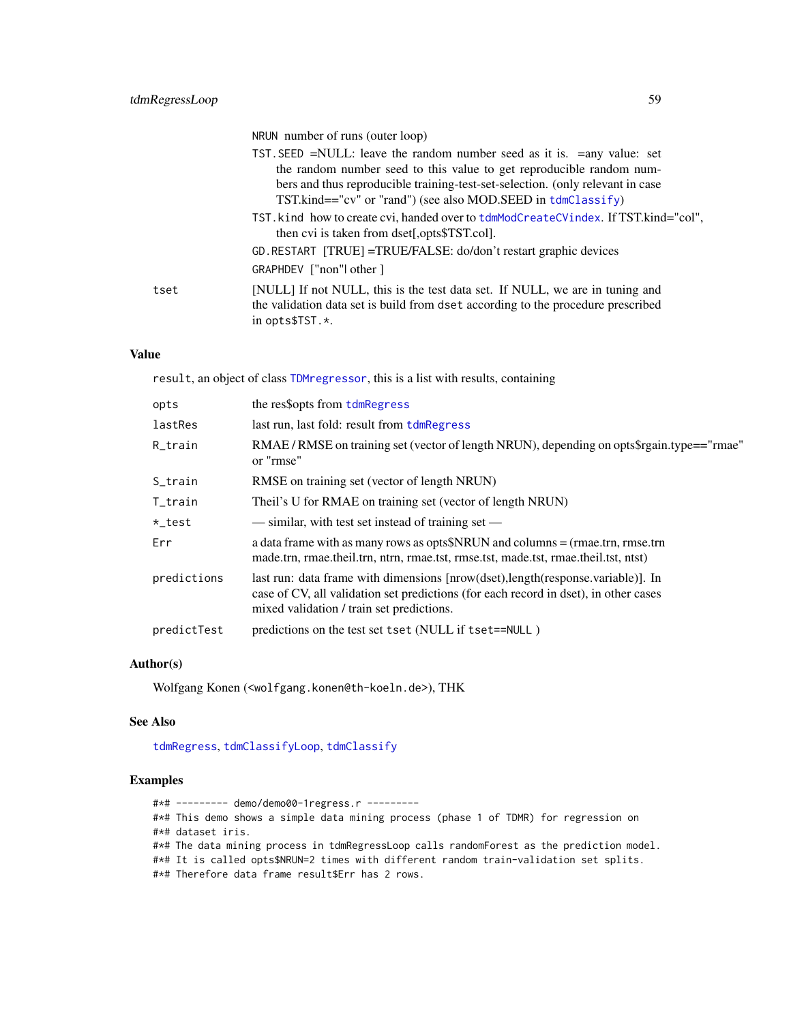NRUN number of runs (outer loop)

<span id="page-58-0"></span>

|      | TST. SEED =NULL: leave the random number seed as it is. =any value: set                                                                                                                |
|------|----------------------------------------------------------------------------------------------------------------------------------------------------------------------------------------|
|      | the random number seed to this value to get reproducible random num-                                                                                                                   |
|      | bers and thus reproducible training-test-set-selection. (only relevant in case                                                                                                         |
|      | $TST.kind == "cv"$ or "rand") (see also MOD.SEED in $tdmClassify$ )                                                                                                                    |
|      | TST. kind how to create cvi, handed over to tdmModCreateCVindex. If TST.kind="col",<br>then cvi is taken from dset[,opts\$TST.col].                                                    |
|      | GD. RESTART [TRUE] = TRUE/FALSE: do/don't restart graphic devices                                                                                                                      |
|      | GRAPHDEV ["non"] other ]                                                                                                                                                               |
| tset | [NULL] If not NULL, this is the test data set. If NULL, we are in tuning and<br>the validation data set is build from dset according to the procedure prescribed<br>in opts $$TST.*$ . |

#### Value

result, an object of class [TDMregressor](#page-57-2), this is a list with results, containing

| lastRes<br>last run, last fold: result from tdmRegress<br>R_train<br>or "rmse"<br>RMSE on training set (vector of length NRUN)<br>S_train<br>Theil's U for RMAE on training set (vector of length NRUN)<br>T_train<br>— similar, with test set instead of training set —<br>*_test<br>a data frame with as many rows as opts\$NRUN and columns = (rmae.trn, rmse.trn<br>Err<br>made.trn, rmae.theil.trn, ntrn, rmae.tst, rmse.tst, made.tst, rmae.theil.tst, ntst)<br>predictions<br>last run: data frame with dimensions [nrow(dset), length(response.variable)]. In<br>case of CV, all validation set predictions (for each record in dset), in other cases<br>mixed validation / train set predictions.<br>predictions on the test set tset (NULL if tset==NULL)<br>predictTest | opts | the res\$opts from tdmRegress                                                              |
|------------------------------------------------------------------------------------------------------------------------------------------------------------------------------------------------------------------------------------------------------------------------------------------------------------------------------------------------------------------------------------------------------------------------------------------------------------------------------------------------------------------------------------------------------------------------------------------------------------------------------------------------------------------------------------------------------------------------------------------------------------------------------------|------|--------------------------------------------------------------------------------------------|
|                                                                                                                                                                                                                                                                                                                                                                                                                                                                                                                                                                                                                                                                                                                                                                                    |      |                                                                                            |
|                                                                                                                                                                                                                                                                                                                                                                                                                                                                                                                                                                                                                                                                                                                                                                                    |      | RMAE / RMSE on training set (vector of length NRUN), depending on opts\$rgain.type=="rmae" |
|                                                                                                                                                                                                                                                                                                                                                                                                                                                                                                                                                                                                                                                                                                                                                                                    |      |                                                                                            |
|                                                                                                                                                                                                                                                                                                                                                                                                                                                                                                                                                                                                                                                                                                                                                                                    |      |                                                                                            |
|                                                                                                                                                                                                                                                                                                                                                                                                                                                                                                                                                                                                                                                                                                                                                                                    |      |                                                                                            |
|                                                                                                                                                                                                                                                                                                                                                                                                                                                                                                                                                                                                                                                                                                                                                                                    |      |                                                                                            |
|                                                                                                                                                                                                                                                                                                                                                                                                                                                                                                                                                                                                                                                                                                                                                                                    |      |                                                                                            |
|                                                                                                                                                                                                                                                                                                                                                                                                                                                                                                                                                                                                                                                                                                                                                                                    |      |                                                                                            |

## Author(s)

Wolfgang Konen (<wolfgang.konen@th-koeln.de>), THK

#### See Also

[tdmRegress](#page-55-1), [tdmClassifyLoop](#page-18-1), [tdmClassify](#page-15-1)

#### Examples

#\*# --------- demo/demo00-1regress.r --------- #\*# This demo shows a simple data mining process (phase 1 of TDMR) for regression on #\*# dataset iris. #\*# The data mining process in tdmRegressLoop calls randomForest as the prediction model. #\*# It is called opts\$NRUN=2 times with different random train-validation set splits. #\*# Therefore data frame result\$Err has 2 rows.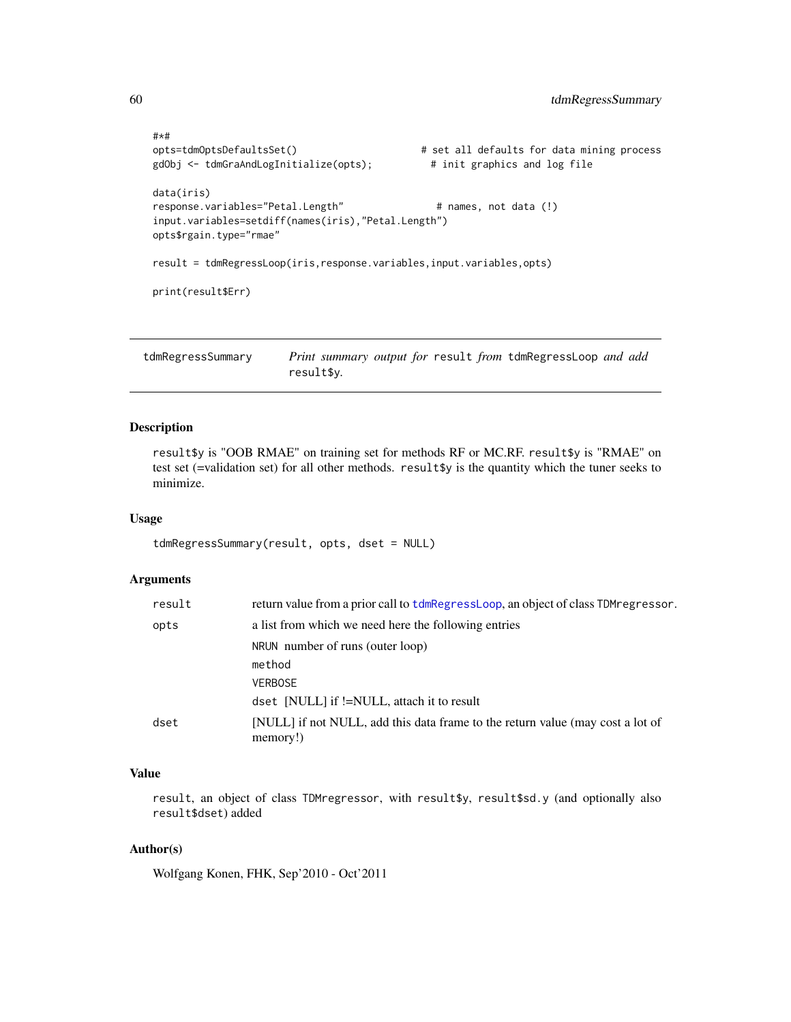```
#*#
opts=tdmOptsDefaultsSet() # set all defaults for data mining process
gdObj <- tdmGraAndLogInitialize(opts); # init graphics and log file
data(iris)
response.variables="Petal.Length" # names, not data (!)
input.variables=setdiff(names(iris),"Petal.Length")
opts$rgain.type="rmae"
result = tdmRegressLoop(iris,response.variables,input.variables,opts)
print(result$Err)
```
<span id="page-59-1"></span>tdmRegressSummary *Print summary output for* result *from* tdmRegressLoop *and add* result\$y*.*

#### Description

result\$y is "OOB RMAE" on training set for methods RF or MC.RF. result\$y is "RMAE" on test set (=validation set) for all other methods. result\$y is the quantity which the tuner seeks to minimize.

#### Usage

```
tdmRegressSummary(result, opts, dset = NULL)
```
#### Arguments

| result | return value from a prior call to tdmRegressLoop, an object of class TDM regressor.        |
|--------|--------------------------------------------------------------------------------------------|
| opts   | a list from which we need here the following entries                                       |
|        | NRUN number of runs (outer loop)                                                           |
|        | method                                                                                     |
|        | <b>VERBOSE</b>                                                                             |
|        | dset [NULL] if !=NULL, attach it to result                                                 |
| dset   | [NULL] if not NULL, add this data frame to the return value (may cost a lot of<br>memory!) |

## Value

result, an object of class TDMregressor, with result\$y, result\$sd.y (and optionally also result\$dset) added

#### Author(s)

Wolfgang Konen, FHK, Sep'2010 - Oct'2011

<span id="page-59-0"></span>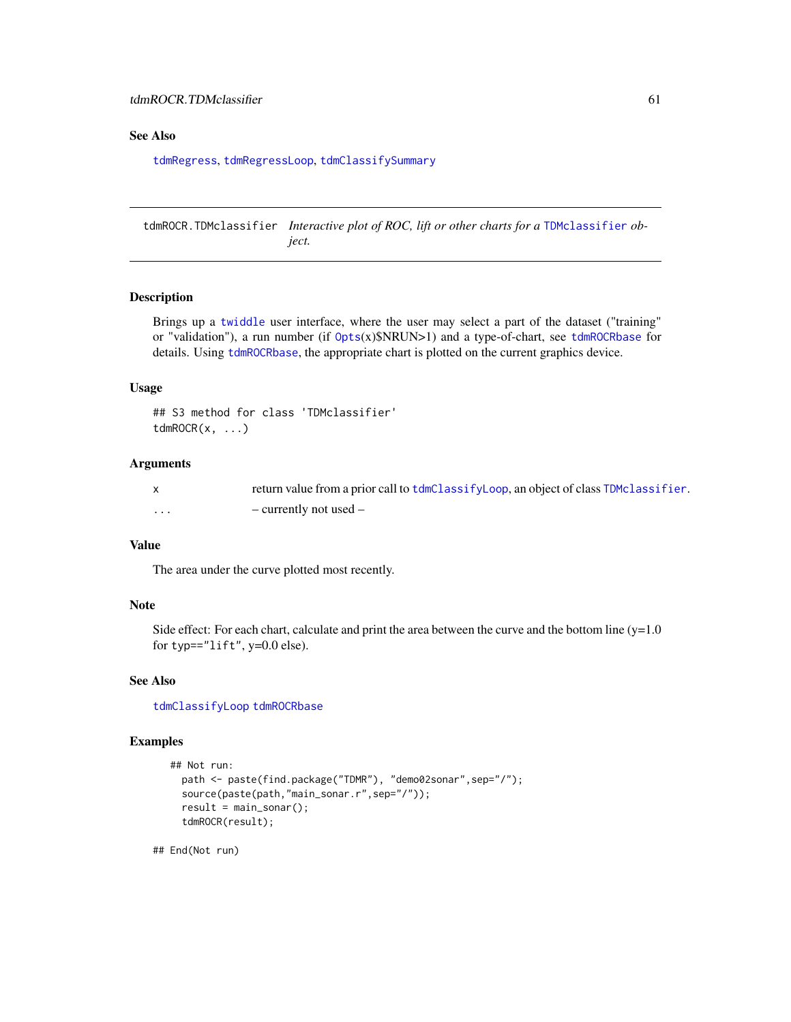#### <span id="page-60-0"></span>See Also

[tdmRegress](#page-55-1), [tdmRegressLoop](#page-57-1), [tdmClassifySummary](#page-20-1)

<span id="page-60-1"></span>tdmROCR.TDMclassifier *Interactive plot of ROC, lift or other charts for a* [TDMclassifier](#page-18-2) *object.*

#### Description

Brings up a [twiddle](#page-0-0) user interface, where the user may select a part of the dataset ("training" or "validation"), a run number (if  $0pts(x)\$NRUN>1$ ) and a type-of-chart, see [tdmROCRbase](#page-61-1) for details. Using [tdmROCRbase](#page-61-1), the appropriate chart is plotted on the current graphics device.

#### Usage

```
## S3 method for class 'TDMclassifier'
tdmROCR(x, \ldots)
```
#### Arguments

|   | return value from a prior call to tdmClassifyLoop, an object of class TDMclassifier. |
|---|--------------------------------------------------------------------------------------|
| . | - currently not used -                                                               |

## Value

The area under the curve plotted most recently.

#### Note

Side effect: For each chart, calculate and print the area between the curve and the bottom line  $(y=1.0$ for typ=="lift", y=0.0 else).

#### See Also

[tdmClassifyLoop](#page-18-1) [tdmROCRbase](#page-61-1)

#### Examples

```
## Not run:
 path <- paste(find.package("TDMR"), "demo02sonar",sep="/");
  source(paste(path,"main_sonar.r",sep="/"));
  result = main\_sonar();
  tdmROCR(result);
```
## End(Not run)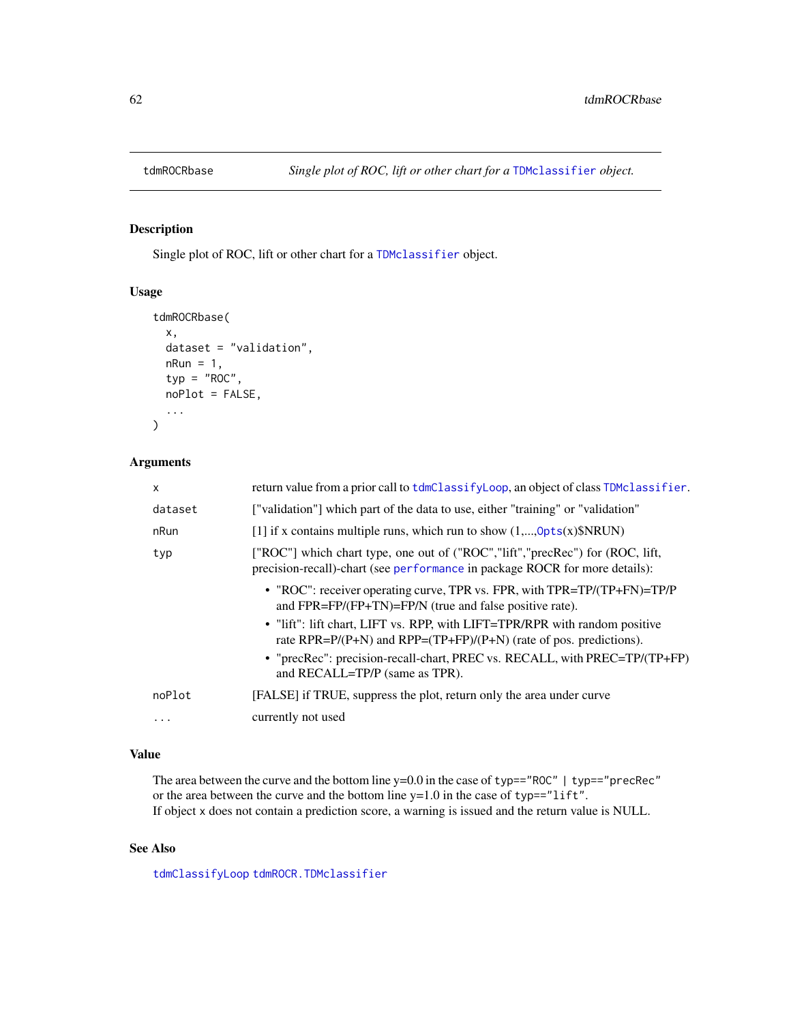<span id="page-61-1"></span><span id="page-61-0"></span>

Single plot of ROC, lift or other chart for a [TDMclassifier](#page-18-2) object.

#### Usage

```
tdmROCRbase(
  x,
  dataset = "validation",
 nRun = 1,
  typ = "ROC",noPlot = FALSE,
  ...
\mathcal{L}
```
## Arguments

| X       | return value from a prior call to tdmClassifyLoop, an object of class TDMclassifier.                                                                         |
|---------|--------------------------------------------------------------------------------------------------------------------------------------------------------------|
| dataset | ["validation"] which part of the data to use, either "training" or "validation"                                                                              |
| nRun    | [1] if x contains multiple runs, which run to show $(1,,0pts(x)\$NRUN)$                                                                                      |
| typ     | ["ROC"] which chart type, one out of ("ROC","lift","precRec") for (ROC, lift,<br>precision-recall)-chart (see performance in package ROCR for more details): |
|         | • "ROC": receiver operating curve, TPR vs. FPR, with TPR=TP/(TP+FN)=TP/P<br>and $FPR = FP / (FP + TN) = FP / N$ (true and false positive rate).              |
|         | • "lift": lift chart, LIFT vs. RPP, with LIFT=TPR/RPR with random positive<br>rate RPR= $P/(P+N)$ and RPP= $(TP+FP)/(P+N)$ (rate of pos. predictions).       |
|         | • "precRec": precision-recall-chart, PREC vs. RECALL, with PREC=TP/(TP+FP)<br>and RECALL=TP/P (same as TPR).                                                 |
| noPlot  | [FALSE] if TRUE, suppress the plot, return only the area under curve                                                                                         |
| .       | currently not used                                                                                                                                           |
|         |                                                                                                                                                              |

## Value

The area between the curve and the bottom line y=0.0 in the case of typ=="ROC" | typ=="precRec" or the area between the curve and the bottom line  $y=1.0$  in the case of typ=="lift". If object x does not contain a prediction score, a warning is issued and the return value is NULL.

## See Also

[tdmClassifyLoop](#page-18-1) [tdmROCR.TDMclassifier](#page-60-1)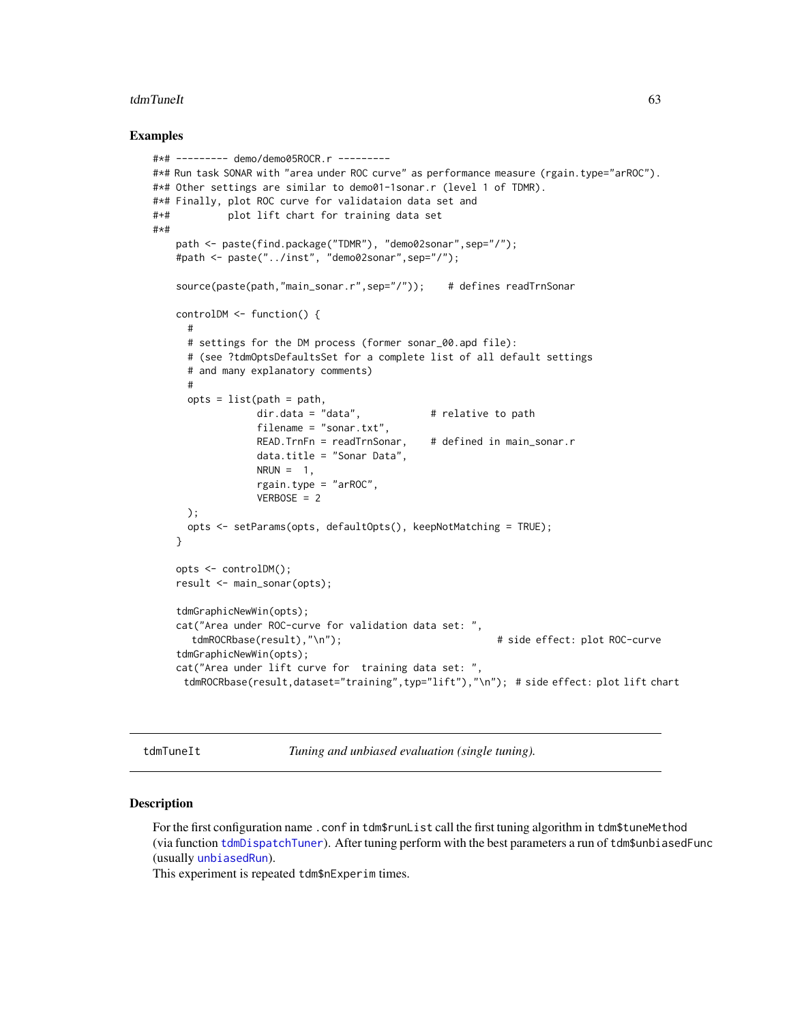#### <span id="page-62-0"></span>tdmTuneIt 63

#### Examples

```
#*# --------- demo/demo05ROCR.r ---------
#*# Run task SONAR with "area under ROC curve" as performance measure (rgain.type="arROC").
#*# Other settings are similar to demo01-1sonar.r (level 1 of TDMR).
#*# Finally, plot ROC curve for validataion data set and
#+# plot lift chart for training data set
#*#
   path <- paste(find.package("TDMR"), "demo02sonar",sep="/");
   #path <- paste("../inst", "demo02sonar",sep="/");
   source(paste(path,"main_sonar.r",sep="/")); # defines readTrnSonar
   controlDM <- function() {
     #
     # settings for the DM process (former sonar_00.apd file):
     # (see ?tdmOptsDefaultsSet for a complete list of all default settings
     # and many explanatory comments)
     #
     opts = list(path = path,dir.data = "data", # relative to pathfilename = "sonar.txt",
                 READ.TrnFn = readTrnSonar, # defined in main\_sonar.rdata.title = "Sonar Data",
                 NRUN = 1,
                 rgain.type = "arROC",
                 VERBOSE = 2);
     opts <- setParams(opts, defaultOpts(), keepNotMatching = TRUE);
   }
   opts <- controlDM();
   result <- main_sonar(opts);
   tdmGraphicNewWin(opts);
   cat("Area under ROC-curve for validation data set: ",
      tdmROCRbase(result),"\n"); # side effect: plot ROC-curve
   tdmGraphicNewWin(opts);
   cat("Area under lift curve for training data set: ",
     tdmROCRbase(result,dataset="training",typ="lift"),"\n"); # side effect: plot lift chart
```
<span id="page-62-1"></span>tdmTuneIt *Tuning and unbiased evaluation (single tuning).*

#### Description

For the first configuration name .conf in tdm\$runList call the first tuning algorithm in tdm\$tuneMethod (via function [tdmDispatchTuner](#page-0-0)). After tuning perform with the best parameters a run of tdm\$unbiasedFunc (usually [unbiasedRun](#page-65-1)).

This experiment is repeated tdm\$nExperim times.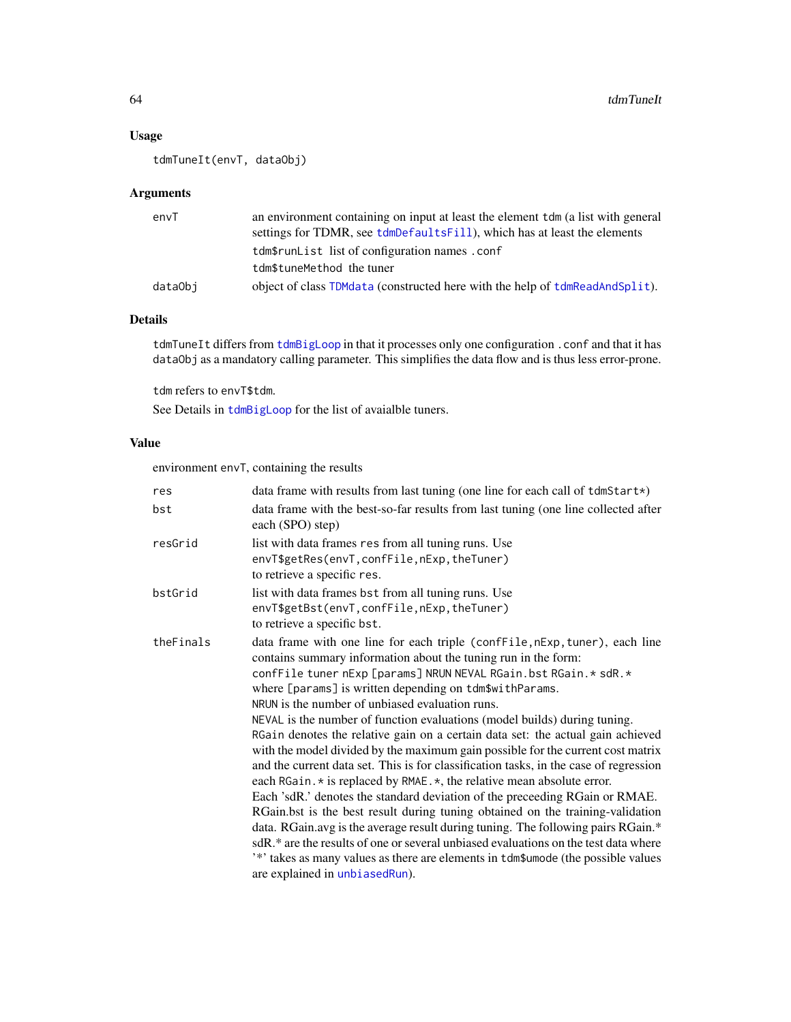## <span id="page-63-0"></span>Usage

tdmTuneIt(envT, dataObj)

#### Arguments

| envT    | an environment containing on input at least the element to the (a list with general<br>settings for TDMR, see tdmDefaultsFill), which has at least the elements |
|---------|-----------------------------------------------------------------------------------------------------------------------------------------------------------------|
|         | tdm\$runList list of configuration names.conf                                                                                                                   |
|         | tdm\$tuneMethod the tuner                                                                                                                                       |
| dataObi | object of class TDMdata (constructed here with the help of tdmReadAndSplit).                                                                                    |

## Details

tdmTuneIt differs from [tdmBigLoop](#page-11-1) in that it processes only one configuration . conf and that it has dataObj as a mandatory calling parameter. This simplifies the data flow and is thus less error-prone.

tdm refers to envT\$tdm.

See Details in [tdmBigLoop](#page-11-1) for the list of avaialble tuners.

#### Value

environment envT, containing the results

| res       | data frame with results from last tuning (one line for each call of $tdmStart*)$                                                                                                                                                                                                                                                                                                                                                                                                                                                                                                                                                                                                                                                                                                                                                                                                                                                                                                                                                                                                                                                                                                                                          |
|-----------|---------------------------------------------------------------------------------------------------------------------------------------------------------------------------------------------------------------------------------------------------------------------------------------------------------------------------------------------------------------------------------------------------------------------------------------------------------------------------------------------------------------------------------------------------------------------------------------------------------------------------------------------------------------------------------------------------------------------------------------------------------------------------------------------------------------------------------------------------------------------------------------------------------------------------------------------------------------------------------------------------------------------------------------------------------------------------------------------------------------------------------------------------------------------------------------------------------------------------|
| bst       | data frame with the best-so-far results from last tuning (one line collected after<br>each (SPO) step)                                                                                                                                                                                                                                                                                                                                                                                                                                                                                                                                                                                                                                                                                                                                                                                                                                                                                                                                                                                                                                                                                                                    |
| resGrid   | list with data frames res from all tuning runs. Use<br>envT\$getRes(envT, confFile, nExp, theTuner)<br>to retrieve a specific res.                                                                                                                                                                                                                                                                                                                                                                                                                                                                                                                                                                                                                                                                                                                                                                                                                                                                                                                                                                                                                                                                                        |
| bstGrid   | list with data frames bst from all tuning runs. Use<br>envT\$getBst(envT, confFile, nExp, theTuner)<br>to retrieve a specific bst.                                                                                                                                                                                                                                                                                                                                                                                                                                                                                                                                                                                                                                                                                                                                                                                                                                                                                                                                                                                                                                                                                        |
| theFinals | data frame with one line for each triple (confFile, nExp, tuner), each line<br>contains summary information about the tuning run in the form:<br>confFile tuner nExp [params] NRUN NEVAL RGain.bst RGain.* sdR.*<br>where [params] is written depending on tdm\$withParams.<br>NRUN is the number of unbiased evaluation runs.<br>NEVAL is the number of function evaluations (model builds) during tuning.<br>RGain denotes the relative gain on a certain data set: the actual gain achieved<br>with the model divided by the maximum gain possible for the current cost matrix<br>and the current data set. This is for classification tasks, in the case of regression<br>each RGain. * is replaced by RMAE. *, the relative mean absolute error.<br>Each 'sdR.' denotes the standard deviation of the preceeding RGain or RMAE.<br>RGain.bst is the best result during tuning obtained on the training-validation<br>data. RGain.avg is the average result during tuning. The following pairs RGain.*<br>sdR.* are the results of one or several unbiased evaluations on the test data where<br>'*' takes as many values as there are elements in tdm\$umode (the possible values<br>are explained in unbiased Run). |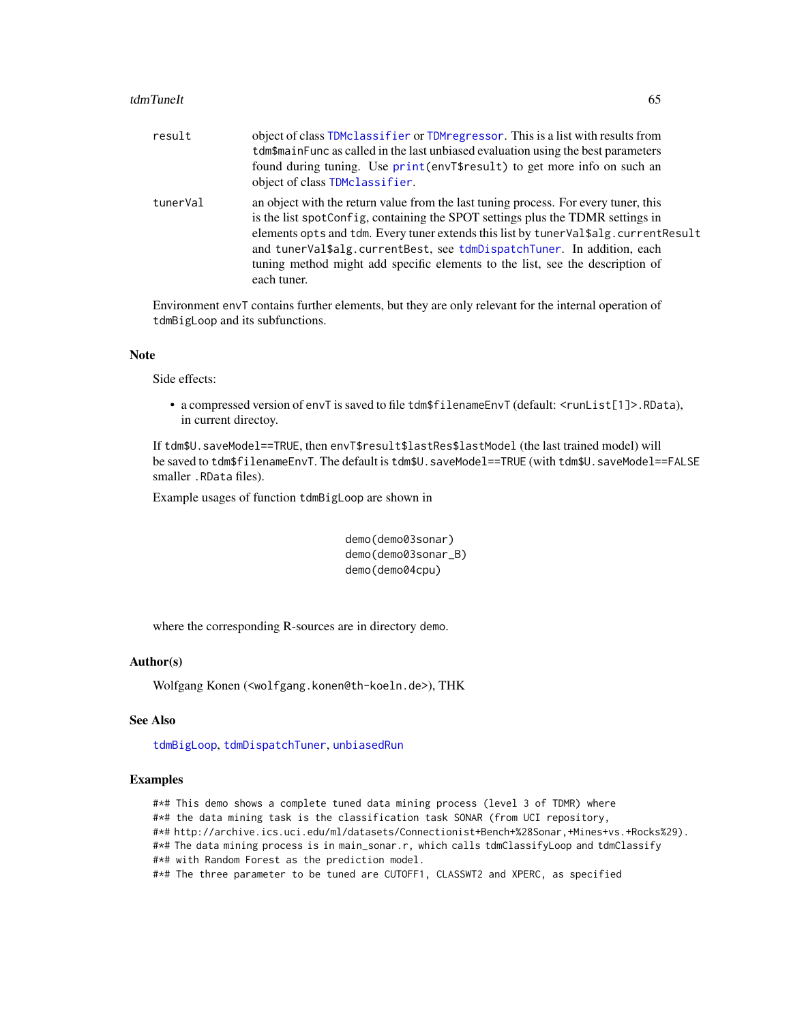#### <span id="page-64-0"></span>tdmTuneIt 65

| result   | object of class TDMclassifier or TDMregressor. This is a list with results from<br>tdm\$mainFunc as called in the last unbiased evaluation using the best parameters<br>found during tuning. Use print (envT\$result) to get more info on such an<br>object of class TDMclassifier.                                                                                                                                                    |
|----------|----------------------------------------------------------------------------------------------------------------------------------------------------------------------------------------------------------------------------------------------------------------------------------------------------------------------------------------------------------------------------------------------------------------------------------------|
| tunerVal | an object with the return value from the last tuning process. For every tuner, this<br>is the list spotConfig, containing the SPOT settings plus the TDMR settings in<br>elements opts and tdm. Every tuner extends this list by tunerVal\$alg.currentResult<br>and tunerVal\$alg.currentBest, see tdmDispatchTuner. In addition, each<br>tuning method might add specific elements to the list, see the description of<br>each tuner. |

Environment envT contains further elements, but they are only relevant for the internal operation of tdmBigLoop and its subfunctions.

#### Note

Side effects:

• a compressed version of envT is saved to file tdm\$filenameEnvT (default: <runList[1]>.RData), in current directoy.

If tdm\$U.saveModel==TRUE, then envT\$result\$lastRes\$lastModel (the last trained model) will be saved to tdm\$filenameEnvT. The default is tdm\$U.saveModel==TRUE (with tdm\$U.saveModel==FALSE smaller .RData files).

Example usages of function tdmBigLoop are shown in

```
demo(demo03sonar)
demo(demo03sonar_B)
demo(demo04cpu)
```
where the corresponding R-sources are in directory demo.

## Author(s)

Wolfgang Konen (<wolfgang.konen@th-koeln.de>), THK

## See Also

[tdmBigLoop](#page-11-1), [tdmDispatchTuner](#page-0-0), [unbiasedRun](#page-65-1)

#### Examples

#\*# This demo shows a complete tuned data mining process (level 3 of TDMR) where

- #\*# the data mining task is the classification task SONAR (from UCI repository,
- #\*# http://archive.ics.uci.edu/ml/datasets/Connectionist+Bench+%28Sonar,+Mines+vs.+Rocks%29).

#\*# The data mining process is in main\_sonar.r, which calls tdmClassifyLoop and tdmClassify

#\*# with Random Forest as the prediction model.

#\*# The three parameter to be tuned are CUTOFF1, CLASSWT2 and XPERC, as specified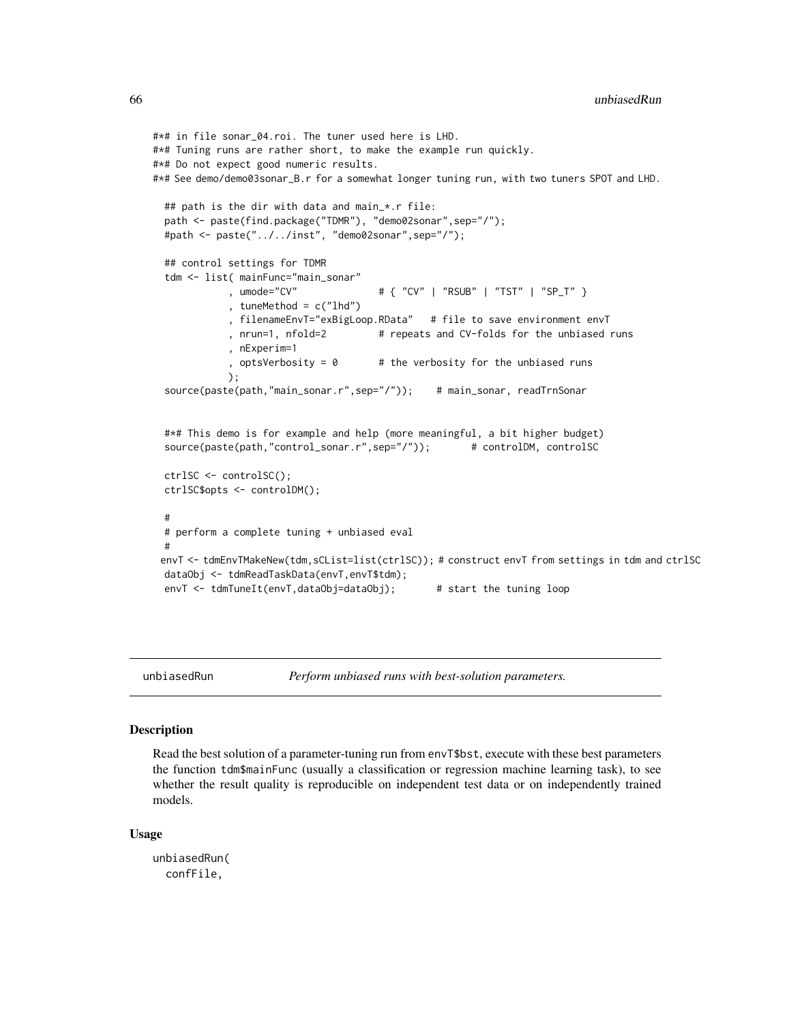```
#*# in file sonar_04.roi. The tuner used here is LHD.
#*# Tuning runs are rather short, to make the example run quickly.
#*# Do not expect good numeric results.
#*# See demo/demo03sonar_B.r for a somewhat longer tuning run, with two tuners SPOT and LHD.
 ## path is the dir with data and main_*.r file:
 path <- paste(find.package("TDMR"), "demo02sonar",sep="/");
 #path <- paste("../../inst", "demo02sonar",sep="/");
 ## control settings for TDMR
 tdm <- list( mainFunc="main_sonar"
            , umode="CV" # { "CV" | "RSUB" | "TST" | "SP_T" }
            , tuneMethod = c("lhd"), filenameEnvT="exBigLoop.RData" # file to save environment envT
            , nrun=1, nfold=2 # repeats and CV-folds for the unbiased runs
            , nExperim=1
            , optsVerbosity = 0 # the verbosity for the unbiased runs
            );
 source(paste(path,"main_sonar.r",sep="/")); # main_sonar, readTrnSonar
 #*# This demo is for example and help (more meaningful, a bit higher budget)
 source(paste(path,"control_sonar.r",sep="/")); # controlDM, controlSC
 ctrlSC <- controlSC();
 ctrlSC$opts <- controlDM();
  #
 # perform a complete tuning + unbiased eval
  #
 envT <- tdmEnvTMakeNew(tdm,sCList=list(ctrlSC)); # construct envT from settings in tdm and ctrlSC
 dataObj <- tdmReadTaskData(envT,envT$tdm);
 envT <- tdmTuneIt(envT,dataObj=dataObj); # start the tuning loop
```
<span id="page-65-1"></span>

unbiasedRun *Perform unbiased runs with best-solution parameters.*

#### **Description**

Read the best solution of a parameter-tuning run from envT\$bst, execute with these best parameters the function tdm\$mainFunc (usually a classification or regression machine learning task), to see whether the result quality is reproducible on independent test data or on independently trained models.

#### Usage

unbiasedRun( confFile,

<span id="page-65-0"></span>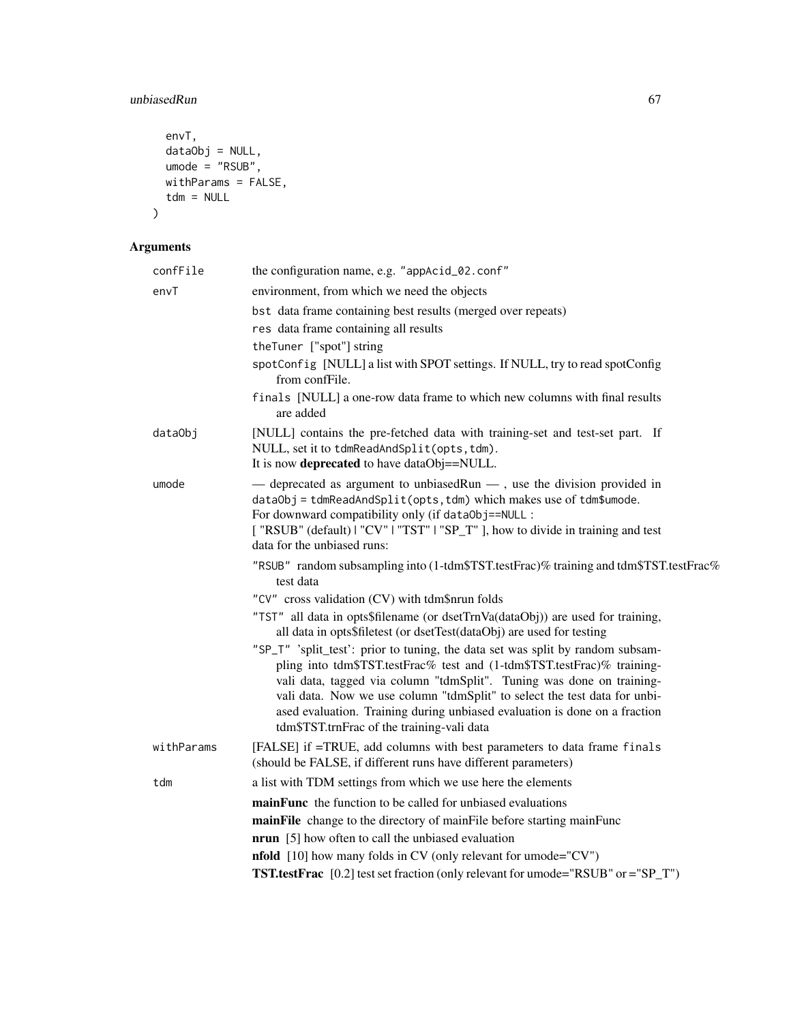## unbiasedRun 67

```
envT,
  dataObj = NULL,umode = "RSUB",
  withParams = FALSE,
  tdm = NULL\mathcal{L}
```

| confFile   | the configuration name, e.g. "appAcid_02.conf"                                                                                                                                                                                                                                                                                                                                                                                              |  |  |
|------------|---------------------------------------------------------------------------------------------------------------------------------------------------------------------------------------------------------------------------------------------------------------------------------------------------------------------------------------------------------------------------------------------------------------------------------------------|--|--|
| envT       | environment, from which we need the objects                                                                                                                                                                                                                                                                                                                                                                                                 |  |  |
|            | bst data frame containing best results (merged over repeats)                                                                                                                                                                                                                                                                                                                                                                                |  |  |
|            | res data frame containing all results                                                                                                                                                                                                                                                                                                                                                                                                       |  |  |
|            | theTuner ["spot"] string                                                                                                                                                                                                                                                                                                                                                                                                                    |  |  |
|            | spotConfig [NULL] a list with SPOT settings. If NULL, try to read spotConfig<br>from confFile.                                                                                                                                                                                                                                                                                                                                              |  |  |
|            | finals [NULL] a one-row data frame to which new columns with final results<br>are added                                                                                                                                                                                                                                                                                                                                                     |  |  |
| dataObj    | [NULL] contains the pre-fetched data with training-set and test-set part. If<br>NULL, set it to tdmReadAndSplit(opts, tdm).<br>It is now deprecated to have dataObj==NULL.                                                                                                                                                                                                                                                                  |  |  |
| umode      | — deprecated as argument to unbiasedRun —, use the division provided in<br>dataObj = tdmReadAndSplit(opts, tdm) which makes use of tdm\$umode.<br>For downward compatibility only (if dataObj==NULL:<br>["RSUB" (default)   "CV"   "TST"   "SP_T" ], how to divide in training and test<br>data for the unbiased runs:                                                                                                                      |  |  |
|            | "RSUB" random subsampling into (1-tdm\$TST.testFrac)% training and tdm\$TST.testFrac%<br>test data                                                                                                                                                                                                                                                                                                                                          |  |  |
|            | "CV" cross validation (CV) with tdm\$nrun folds                                                                                                                                                                                                                                                                                                                                                                                             |  |  |
|            | "TST" all data in opts\$filename (or dsetTrnVa(dataObj)) are used for training,<br>all data in opts\$filetest (or dsetTest(dataObj) are used for testing                                                                                                                                                                                                                                                                                    |  |  |
|            | "SP_T" 'split_test': prior to tuning, the data set was split by random subsam-<br>pling into tdm\$TST.testFrac% test and (1-tdm\$TST.testFrac)% training-<br>vali data, tagged via column "tdmSplit". Tuning was done on training-<br>vali data. Now we use column "tdmSplit" to select the test data for unbi-<br>ased evaluation. Training during unbiased evaluation is done on a fraction<br>tdm\$TST.trnFrac of the training-vali data |  |  |
| withParams | [FALSE] if =TRUE, add columns with best parameters to data frame finals<br>(should be FALSE, if different runs have different parameters)                                                                                                                                                                                                                                                                                                   |  |  |
| tdm        | a list with TDM settings from which we use here the elements                                                                                                                                                                                                                                                                                                                                                                                |  |  |
|            | mainFunc the function to be called for unbiased evaluations                                                                                                                                                                                                                                                                                                                                                                                 |  |  |
|            | mainFile change to the directory of mainFile before starting mainFunc                                                                                                                                                                                                                                                                                                                                                                       |  |  |
|            | <b>nrun</b> [5] how often to call the unbiased evaluation                                                                                                                                                                                                                                                                                                                                                                                   |  |  |
|            | <b>nfold</b> [10] how many folds in CV (only relevant for umode="CV")                                                                                                                                                                                                                                                                                                                                                                       |  |  |
|            | <b>TST.testFrac</b> [0.2] test set fraction (only relevant for umode="RSUB" or ="SP_T")                                                                                                                                                                                                                                                                                                                                                     |  |  |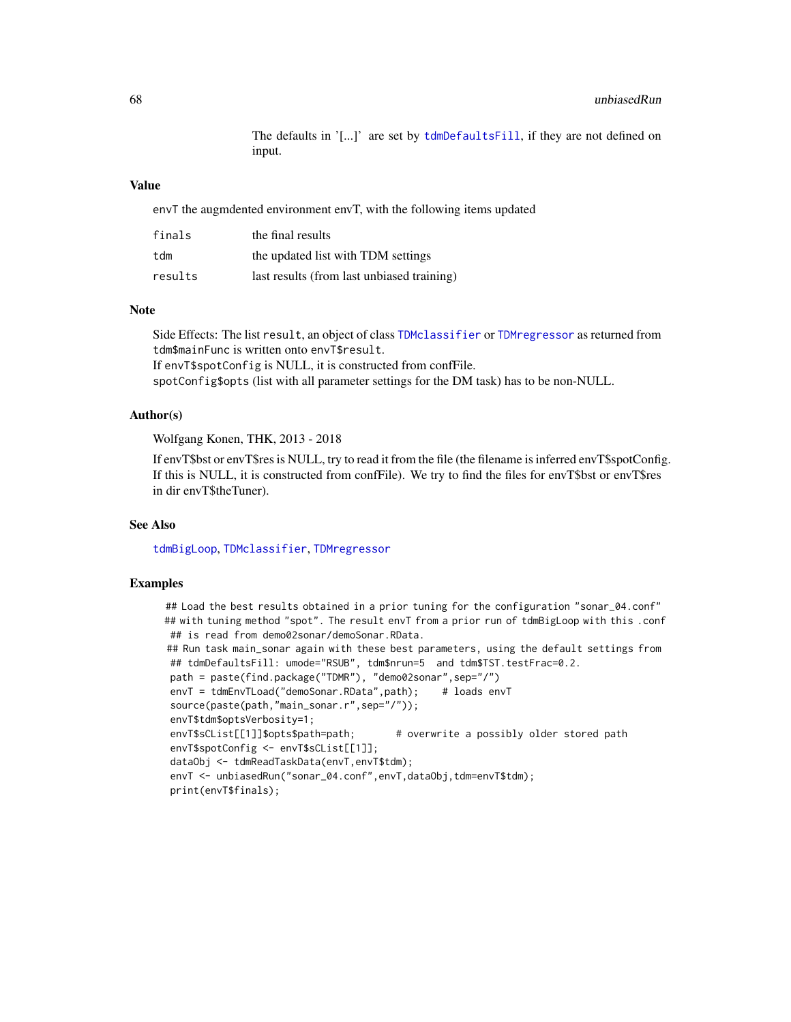The defaults in '[...]' are set by [tdmDefaultsFill](#page-21-1), if they are not defined on input.

#### <span id="page-67-0"></span>Value

envT the augmdented environment envT, with the following items updated

| finals  | the final results                          |
|---------|--------------------------------------------|
| tdm     | the updated list with TDM settings         |
| results | last results (from last unbiased training) |

#### Note

Side Effects: The list result, an object of class [TDMclassifier](#page-18-2) or [TDMregressor](#page-57-2) as returned from tdm\$mainFunc is written onto envT\$result. If envT\$spotConfig is NULL, it is constructed from confFile. spotConfig\$opts (list with all parameter settings for the DM task) has to be non-NULL.

#### Author(s)

Wolfgang Konen, THK, 2013 - 2018

If envT\$bst or envT\$res is NULL, try to read it from the file (the filename is inferred envT\$spotConfig. If this is NULL, it is constructed from confFile). We try to find the files for envT\$bst or envT\$res in dir envT\$theTuner).

#### See Also

[tdmBigLoop](#page-11-1), [TDMclassifier](#page-18-2), [TDMregressor](#page-57-2)

## **Examples**

## Load the best results obtained in a prior tuning for the configuration "sonar\_04.conf" ## with tuning method "spot". The result envT from a prior run of tdmBigLoop with this .conf ## is read from demo02sonar/demoSonar.RData. ## Run task main\_sonar again with these best parameters, using the default settings from ## tdmDefaultsFill: umode="RSUB", tdm\$nrun=5 and tdm\$TST.testFrac=0.2. path = paste(find.package("TDMR"), "demo02sonar",sep="/") envT = tdmEnvTLoad("demoSonar.RData",path); # loads envT source(paste(path,"main\_sonar.r",sep="/")); envT\$tdm\$optsVerbosity=1; envT\$sCList[[1]]\$opts\$path=path; # overwrite a possibly older stored path envT\$spotConfig <- envT\$sCList[[1]]; dataObj <- tdmReadTaskData(envT,envT\$tdm); envT <- unbiasedRun("sonar\_04.conf", envT, dataObj, tdm=envT\$tdm); print(envT\$finals);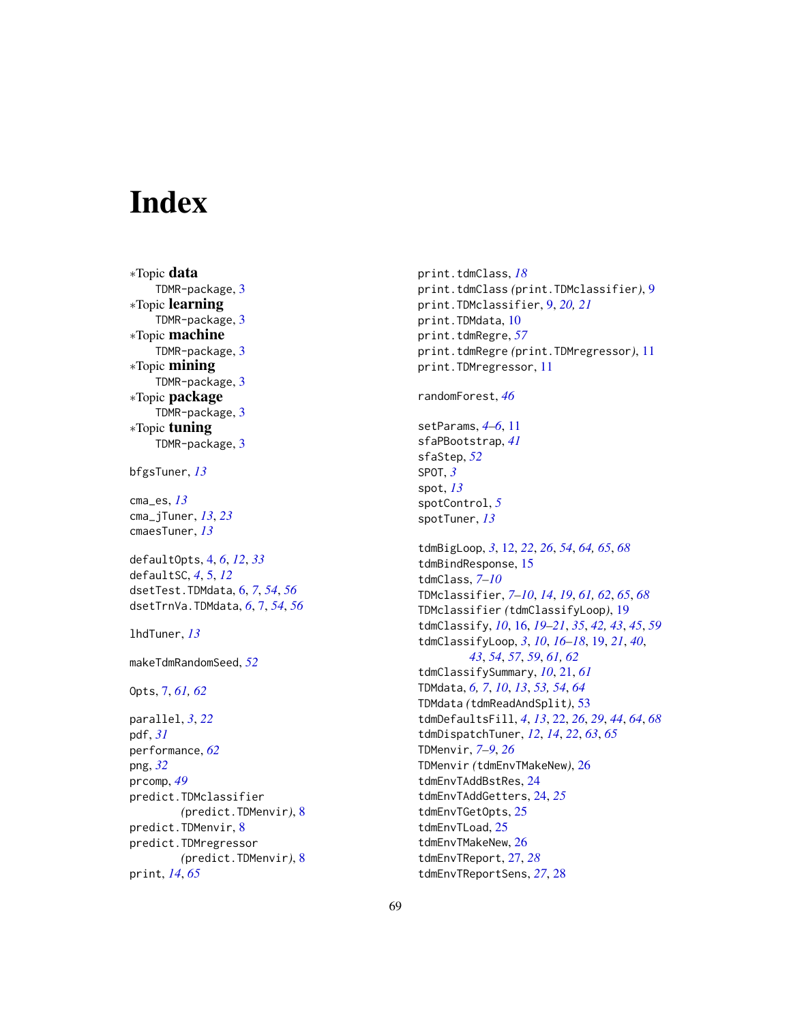# <span id="page-68-0"></span>**Index**

∗Topic data TDMR-package, [3](#page-2-0) ∗Topic learning TDMR-package, [3](#page-2-0) ∗Topic machine TDMR-package, [3](#page-2-0) ∗Topic mining TDMR-package, [3](#page-2-0) ∗Topic package TDMR-package, [3](#page-2-0) ∗Topic tuning TDMR-package, [3](#page-2-0)

bfgsTuner, *[13](#page-12-0)*

cma\_es, *[13](#page-12-0)* cma\_jTuner, *[13](#page-12-0)*, *[23](#page-22-0)* cmaesTuner, *[13](#page-12-0)*

defaultOpts, [4,](#page-3-0) *[6](#page-5-0)*, *[12](#page-11-0)*, *[33](#page-32-0)* defaultSC, *[4](#page-3-0)*, [5,](#page-4-0) *[12](#page-11-0)* dsetTest.TDMdata, [6,](#page-5-0) *[7](#page-6-0)*, *[54](#page-53-0)*, *[56](#page-55-0)* dsetTrnVa.TDMdata, *[6](#page-5-0)*, [7,](#page-6-0) *[54](#page-53-0)*, *[56](#page-55-0)*

lhdTuner, *[13](#page-12-0)*

makeTdmRandomSeed, *[52](#page-51-0)*

Opts, [7,](#page-6-0) *[61,](#page-60-0) [62](#page-61-0)*

parallel, *[3](#page-2-0)*, *[22](#page-21-0)* pdf, *[31](#page-30-0)* performance, *[62](#page-61-0)* png, *[32](#page-31-0)* prcomp, *[49](#page-48-0)* predict.TDMclassifier *(*predict.TDMenvir*)*, [8](#page-7-0) predict.TDMenvir, [8](#page-7-0) predict.TDMregressor *(*predict.TDMenvir*)*, [8](#page-7-0) print, *[14](#page-13-0)*, *[65](#page-64-0)*

print.tdmClass, *[18](#page-17-0)* print.tdmClass *(*print.TDMclassifier*)*, [9](#page-8-0) print.TDMclassifier, [9,](#page-8-0) *[20,](#page-19-0) [21](#page-20-0)* print.TDMdata, [10](#page-9-0) print.tdmRegre, *[57](#page-56-0)* print.tdmRegre *(*print.TDMregressor*)*, [11](#page-10-0) print.TDMregressor, [11](#page-10-0) randomForest, *[46](#page-45-0)* setParams, *[4](#page-3-0)[–6](#page-5-0)*, [11](#page-10-0) sfaPBootstrap, *[41](#page-40-0)* sfaStep, *[52](#page-51-0)* SPOT, *[3](#page-2-0)* spot, *[13](#page-12-0)* spotControl, *[5](#page-4-0)* spotTuner, *[13](#page-12-0)* tdmBigLoop, *[3](#page-2-0)*, [12,](#page-11-0) *[22](#page-21-0)*, *[26](#page-25-0)*, *[54](#page-53-0)*, *[64,](#page-63-0) [65](#page-64-0)*, *[68](#page-67-0)* tdmBindResponse, [15](#page-14-0) tdmClass, *[7](#page-6-0)[–10](#page-9-0)* TDMclassifier, *[7](#page-6-0)[–10](#page-9-0)*, *[14](#page-13-0)*, *[19](#page-18-0)*, *[61,](#page-60-0) [62](#page-61-0)*, *[65](#page-64-0)*, *[68](#page-67-0)* TDMclassifier *(*tdmClassifyLoop*)*, [19](#page-18-0) tdmClassify, *[10](#page-9-0)*, [16,](#page-15-0) *[19–](#page-18-0)[21](#page-20-0)*, *[35](#page-34-0)*, *[42,](#page-41-0) [43](#page-42-0)*, *[45](#page-44-0)*, *[59](#page-58-0)* tdmClassifyLoop, *[3](#page-2-0)*, *[10](#page-9-0)*, *[16](#page-15-0)[–18](#page-17-0)*, [19,](#page-18-0) *[21](#page-20-0)*, *[40](#page-39-0)*, *[43](#page-42-0)*, *[54](#page-53-0)*, *[57](#page-56-0)*, *[59](#page-58-0)*, *[61,](#page-60-0) [62](#page-61-0)* tdmClassifySummary, *[10](#page-9-0)*, [21,](#page-20-0) *[61](#page-60-0)* TDMdata, *[6,](#page-5-0) [7](#page-6-0)*, *[10](#page-9-0)*, *[13](#page-12-0)*, *[53,](#page-52-0) [54](#page-53-0)*, *[64](#page-63-0)* TDMdata *(*tdmReadAndSplit*)*, [53](#page-52-0) tdmDefaultsFill, *[4](#page-3-0)*, *[13](#page-12-0)*, [22,](#page-21-0) *[26](#page-25-0)*, *[29](#page-28-0)*, *[44](#page-43-0)*, *[64](#page-63-0)*, *[68](#page-67-0)* tdmDispatchTuner, *[12](#page-11-0)*, *[14](#page-13-0)*, *[22](#page-21-0)*, *[63](#page-62-0)*, *[65](#page-64-0)* TDMenvir, *[7](#page-6-0)[–9](#page-8-0)*, *[26](#page-25-0)* TDMenvir *(*tdmEnvTMakeNew*)*, [26](#page-25-0) tdmEnvTAddBstRes, [24](#page-23-0) tdmEnvTAddGetters, [24,](#page-23-0) *[25](#page-24-0)* tdmEnvTGetOpts, [25](#page-24-0) tdmEnvTLoad, [25](#page-24-0) tdmEnvTMakeNew, [26](#page-25-0) tdmEnvTReport, [27,](#page-26-0) *[28](#page-27-0)*

tdmEnvTReportSens, *[27](#page-26-0)*, [28](#page-27-0)